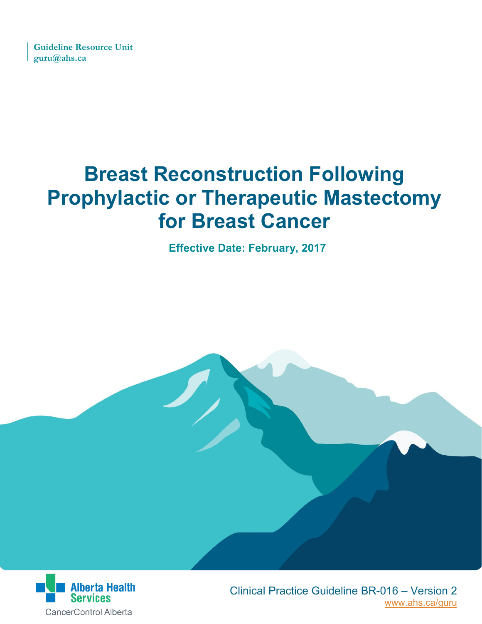**Guideline Resource Unit guru@ahs.ca**

# **Breast Reconstruction Following Prophylactic or Therapeutic Mastectomy for Breast Cancer**

**Effective Date: February, 2017**



 [www.ahs.ca/guru](http://www.ahs.ca/guru) Clinical Practice Guideline BR-016 – Version 2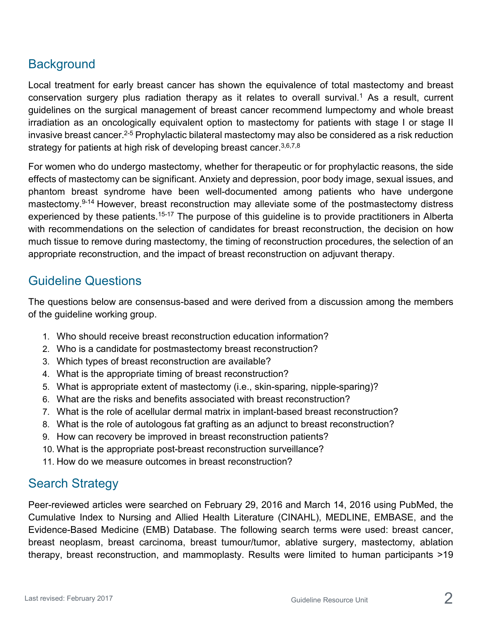# **Background**

Local treatment for early breast cancer has shown the equivalence of total mastectomy and breast conservation surgery plus radiation therapy as it relates to overall survival.<sup>1</sup> As a result, current guidelines on the surgical management of breast cancer recommend lumpectomy and whole breast irradiation as an oncologically equivalent option to mastectomy for patients with stage I or stage II invasive breast cancer.<sup>2-5</sup> Prophylactic bilateral mastectomy may also be considered as a risk reduction strategy for patients at high risk of developing breast cancer.  $3,6,7,8$ 

For women who do undergo mastectomy, whether for therapeutic or for prophylactic reasons, the side effects of mastectomy can be significant. Anxiety and depression, poor body image, sexual issues, and phantom breast syndrome have been well-documented among patients who have undergone mastectomy.<sup>9-14</sup> However, breast reconstruction may alleviate some of the postmastectomy distress experienced by these patients.<sup>15-17</sup> The purpose of this guideline is to provide practitioners in Alberta with recommendations on the selection of candidates for breast reconstruction, the decision on how much tissue to remove during mastectomy, the timing of reconstruction procedures, the selection of an appropriate reconstruction, and the impact of breast reconstruction on adjuvant therapy.

# Guideline Questions

The questions below are consensus-based and were derived from a discussion among the members of the guideline working group.

- 1. Who should receive breast reconstruction education information?
- 2. Who is a candidate for postmastectomy breast reconstruction?
- 3. Which types of breast reconstruction are available?
- 4. What is the appropriate timing of breast reconstruction?
- 5. What is appropriate extent of mastectomy (i.e., skin-sparing, nipple-sparing)?
- 6. What are the risks and benefits associated with breast reconstruction?
- 7. What is the role of acellular dermal matrix in implant-based breast reconstruction?
- 8. What is the role of autologous fat grafting as an adjunct to breast reconstruction?
- 9. How can recovery be improved in breast reconstruction patients?
- 10. What is the appropriate post-breast reconstruction surveillance?
- 11. How do we measure outcomes in breast reconstruction?

# Search Strategy

Peer-reviewed articles were searched on February 29, 2016 and March 14, 2016 using PubMed, the Cumulative Index to Nursing and Allied Health Literature (CINAHL), MEDLINE, EMBASE, and the Evidence-Based Medicine (EMB) Database. The following search terms were used: breast cancer, breast neoplasm, breast carcinoma, breast tumour/tumor, ablative surgery, mastectomy, ablation therapy, breast reconstruction, and mammoplasty. Results were limited to human participants >19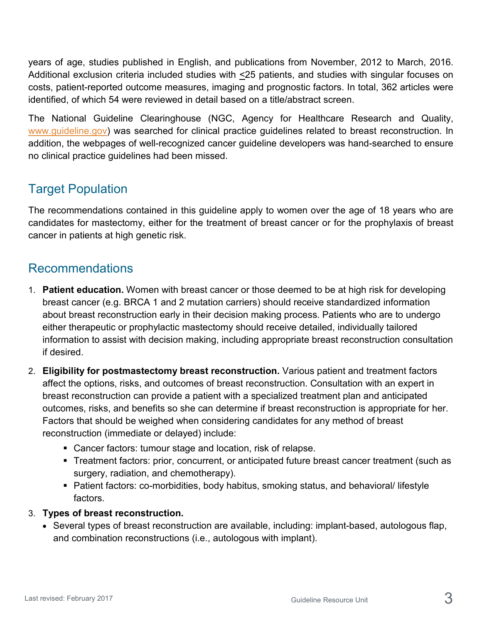years of age, studies published in English, and publications from November, 2012 to March, 2016. Additional exclusion criteria included studies with <25 patients, and studies with singular focuses on costs, patient-reported outcome measures, imaging and prognostic factors. In total, 362 articles were identified, of which 54 were reviewed in detail based on a title/abstract screen.

The National Guideline Clearinghouse (NGC, Agency for Healthcare Research and Quality, [www.guideline.gov\)](http://www.guideline.gov/) was searched for clinical practice guidelines related to breast reconstruction. In addition, the webpages of well-recognized cancer guideline developers was hand-searched to ensure no clinical practice guidelines had been missed.

# Target Population

The recommendations contained in this guideline apply to women over the age of 18 years who are candidates for mastectomy, either for the treatment of breast cancer or for the prophylaxis of breast cancer in patients at high genetic risk.

# Recommendations

- 1. **Patient education.** Women with breast cancer or those deemed to be at high risk for developing breast cancer (e.g. BRCA 1 and 2 mutation carriers) should receive standardized information about breast reconstruction early in their decision making process. Patients who are to undergo either therapeutic or prophylactic mastectomy should receive detailed, individually tailored information to assist with decision making, including appropriate breast reconstruction consultation if desired.
- 2. **Eligibility for postmastectomy breast reconstruction.** Various patient and treatment factors affect the options, risks, and outcomes of breast reconstruction. Consultation with an expert in breast reconstruction can provide a patient with a specialized treatment plan and anticipated outcomes, risks, and benefits so she can determine if breast reconstruction is appropriate for her. Factors that should be weighed when considering candidates for any method of breast reconstruction (immediate or delayed) include:
	- Cancer factors: tumour stage and location, risk of relapse.
	- **Treatment factors: prior, concurrent, or anticipated future breast cancer treatment (such as** surgery, radiation, and chemotherapy).
	- Patient factors: co-morbidities, body habitus, smoking status, and behavioral/ lifestyle factors.
- 3. **Types of breast reconstruction.**
	- Several types of breast reconstruction are available, including: implant-based, autologous flap, and combination reconstructions (i.e., autologous with implant).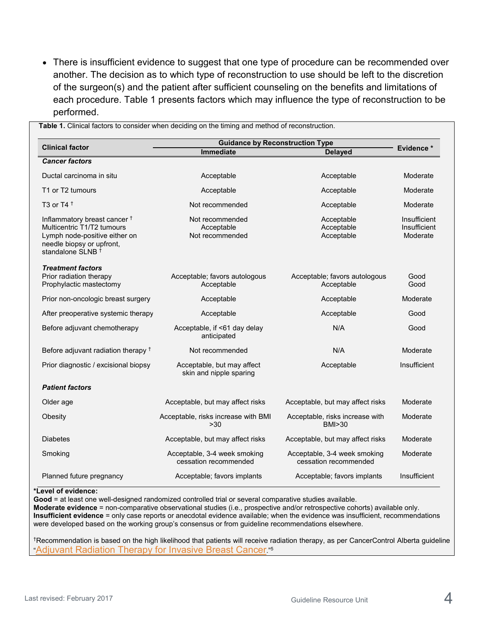• There is insufficient evidence to suggest that one type of procedure can be recommended over another. The decision as to which type of reconstruction to use should be left to the discretion of the surgeon(s) and the patient after sufficient counseling on the benefits and limitations of each procedure. Table 1 presents factors which may influence the type of reconstruction to be performed.

| <b>Clinical factor</b>                                                                                                                                              | <b>Guidance by Reconstruction Type</b>                |                                                       |                                          |
|---------------------------------------------------------------------------------------------------------------------------------------------------------------------|-------------------------------------------------------|-------------------------------------------------------|------------------------------------------|
|                                                                                                                                                                     | Immediate                                             | <b>Delayed</b>                                        | <b>Evidence*</b>                         |
| <b>Cancer factors</b>                                                                                                                                               |                                                       |                                                       |                                          |
| Ductal carcinoma in situ                                                                                                                                            | Acceptable                                            | Acceptable                                            | Moderate                                 |
| T1 or T2 tumours                                                                                                                                                    | Acceptable                                            | Acceptable                                            | Moderate                                 |
| T3 or T4 $†$                                                                                                                                                        | Not recommended                                       | Acceptable                                            | Moderate                                 |
| Inflammatory breast cancer <sup>†</sup><br>Multicentric T1/T2 tumours<br>Lymph node-positive either on<br>needle biopsy or upfront,<br>standalone SLNB <sup>+</sup> | Not recommended<br>Acceptable<br>Not recommended      | Acceptable<br>Acceptable<br>Acceptable                | Insufficient<br>Insufficient<br>Moderate |
| <b>Treatment factors</b><br>Prior radiation therapy<br>Prophylactic mastectomy                                                                                      | Acceptable; favors autologous<br>Acceptable           | Acceptable; favors autologous<br>Acceptable           | Good<br>Good                             |
| Prior non-oncologic breast surgery                                                                                                                                  | Acceptable                                            | Acceptable                                            | Moderate                                 |
| After preoperative systemic therapy                                                                                                                                 | Acceptable                                            | Acceptable                                            | Good                                     |
| Before adjuvant chemotherapy                                                                                                                                        | Acceptable, if <61 day delay<br>anticipated           | N/A                                                   | Good                                     |
| Before adjuvant radiation therapy <sup>+</sup>                                                                                                                      | Not recommended                                       | N/A                                                   | Moderate                                 |
| Prior diagnostic / excisional biopsy                                                                                                                                | Acceptable, but may affect<br>skin and nipple sparing | Acceptable                                            | Insufficient                             |
| <b>Patient factors</b>                                                                                                                                              |                                                       |                                                       |                                          |
| Older age                                                                                                                                                           | Acceptable, but may affect risks                      | Acceptable, but may affect risks                      | Moderate                                 |
| Obesity                                                                                                                                                             | Acceptable, risks increase with BMI<br>>30            | Acceptable, risks increase with<br>BMI>30             | Moderate                                 |
| Diabetes                                                                                                                                                            | Acceptable, but may affect risks                      | Acceptable, but may affect risks                      | Moderate                                 |
| Smoking                                                                                                                                                             | Acceptable, 3-4 week smoking<br>cessation recommended | Acceptable, 3-4 week smoking<br>cessation recommended | Moderate                                 |
| Planned future pregnancy                                                                                                                                            | Acceptable; favors implants                           | Acceptable; favors implants                           | Insufficient                             |

#### **\*Level of evidence:**

Good = at least one well-designed randomized controlled trial or several comparative studies available.

**Moderate evidence** = non-comparative observational studies (i.e., prospective and/or retrospective cohorts) available only. **Insufficient evidence** = only case reports or anecdotal evidence available; when the evidence was insufficient, recommendations were developed based on the working group's consensus or from guideline recommendations elsewhere.

†Recommendation is based on the high likelihood that patients will receive radiation therapy, as per CancerControl Alberta guideline ["Adjuvant Radiation Therapy for Invasive Breast Cancer.](http://www.albertahealthservices.ca/assets/info/hp/cancer/if-hp-cancer-guide-br005-adjuvant-rt-invasive-breast.pdf)"<sup>5</sup>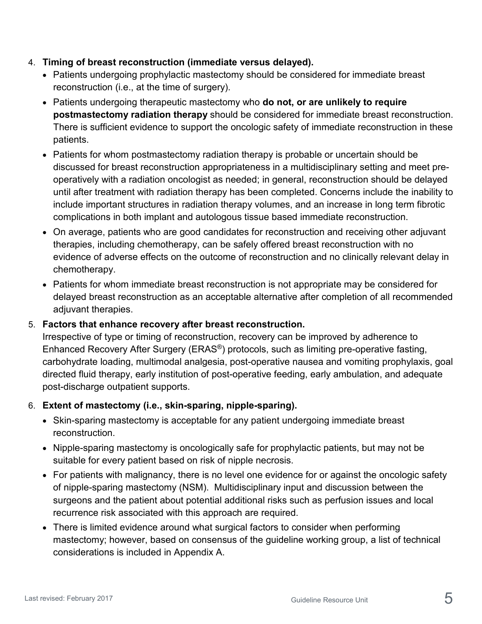#### 4. **Timing of breast reconstruction (immediate versus delayed).**

- Patients undergoing prophylactic mastectomy should be considered for immediate breast reconstruction (i.e., at the time of surgery).
- Patients undergoing therapeutic mastectomy who **do not, or are unlikely to require postmastectomy radiation therapy** should be considered for immediate breast reconstruction. There is sufficient evidence to support the oncologic safety of immediate reconstruction in these patients.
- Patients for whom postmastectomy radiation therapy is probable or uncertain should be discussed for breast reconstruction appropriateness in a multidisciplinary setting and meet preoperatively with a radiation oncologist as needed; in general, reconstruction should be delayed until after treatment with radiation therapy has been completed. Concerns include the inability to include important structures in radiation therapy volumes, and an increase in long term fibrotic complications in both implant and autologous tissue based immediate reconstruction.
- On average, patients who are good candidates for reconstruction and receiving other adjuvant therapies, including chemotherapy, can be safely offered breast reconstruction with no evidence of adverse effects on the outcome of reconstruction and no clinically relevant delay in chemotherapy.
- Patients for whom immediate breast reconstruction is not appropriate may be considered for delayed breast reconstruction as an acceptable alternative after completion of all recommended adjuvant therapies.

#### 5. **Factors that enhance recovery after breast reconstruction.**

Irrespective of type or timing of reconstruction, recovery can be improved by adherence to Enhanced Recovery After Surgery (ERAS®) protocols, such as limiting pre-operative fasting, carbohydrate loading, multimodal analgesia, post-operative nausea and vomiting prophylaxis, goal directed fluid therapy, early institution of post-operative feeding, early ambulation, and adequate post-discharge outpatient supports.

#### 6. **Extent of mastectomy (i.e., skin-sparing, nipple-sparing).**

- Skin-sparing mastectomy is acceptable for any patient undergoing immediate breast reconstruction.
- Nipple-sparing mastectomy is oncologically safe for prophylactic patients, but may not be suitable for every patient based on risk of nipple necrosis.
- For patients with malignancy, there is no level one evidence for or against the oncologic safety of nipple-sparing mastectomy (NSM). Multidisciplinary input and discussion between the surgeons and the patient about potential additional risks such as perfusion issues and local recurrence risk associated with this approach are required.
- There is limited evidence around what surgical factors to consider when performing mastectomy; however, based on consensus of the guideline working group, a list of technical considerations is included in Appendix A.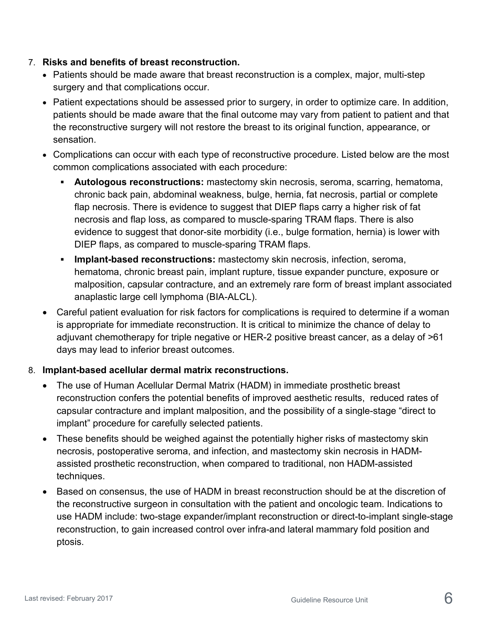#### 7. **Risks and benefits of breast reconstruction.**

- Patients should be made aware that breast reconstruction is a complex, major, multi-step surgery and that complications occur.
- Patient expectations should be assessed prior to surgery, in order to optimize care. In addition, patients should be made aware that the final outcome may vary from patient to patient and that the reconstructive surgery will not restore the breast to its original function, appearance, or sensation.
- Complications can occur with each type of reconstructive procedure. Listed below are the most common complications associated with each procedure:
	- **Autologous reconstructions:** mastectomy skin necrosis, seroma, scarring, hematoma, chronic back pain, abdominal weakness, bulge, hernia, fat necrosis, partial or complete flap necrosis. There is evidence to suggest that DIEP flaps carry a higher risk of fat necrosis and flap loss, as compared to muscle-sparing TRAM flaps. There is also evidence to suggest that donor-site morbidity (i.e., bulge formation, hernia) is lower with DIEP flaps, as compared to muscle-sparing TRAM flaps.
	- **Implant-based reconstructions:** mastectomy skin necrosis, infection, seroma, hematoma, chronic breast pain, implant rupture, tissue expander puncture, exposure or malposition, capsular contracture, and an extremely rare form of breast implant associated anaplastic large cell lymphoma (BIA-ALCL).
- Careful patient evaluation for risk factors for complications is required to determine if a woman is appropriate for immediate reconstruction. It is critical to minimize the chance of delay to adjuvant chemotherapy for triple negative or HER-2 positive breast cancer, as a delay of >61 days may lead to inferior breast outcomes.

#### 8. **Implant-based acellular dermal matrix reconstructions.**

- The use of Human Acellular Dermal Matrix (HADM) in immediate prosthetic breast reconstruction confers the potential benefits of improved aesthetic results, reduced rates of capsular contracture and implant malposition, and the possibility of a single-stage "direct to implant" procedure for carefully selected patients.
- These benefits should be weighed against the potentially higher risks of mastectomy skin necrosis, postoperative seroma, and infection, and mastectomy skin necrosis in HADMassisted prosthetic reconstruction, when compared to traditional, non HADM-assisted techniques.
- Based on consensus, the use of HADM in breast reconstruction should be at the discretion of the reconstructive surgeon in consultation with the patient and oncologic team. Indications to use HADM include: two-stage expander/implant reconstruction or direct-to-implant single-stage reconstruction, to gain increased control over infra-and lateral mammary fold position and ptosis.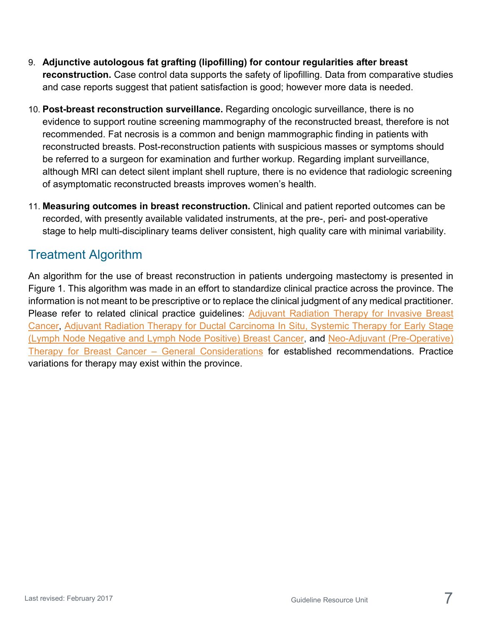- 9. **Adjunctive autologous fat grafting (lipofilling) for contour regularities after breast reconstruction.** Case control data supports the safety of lipofilling. Data from comparative studies and case reports suggest that patient satisfaction is good; however more data is needed.
- 10. **Post-breast reconstruction surveillance.** Regarding oncologic surveillance, there is no evidence to support routine screening mammography of the reconstructed breast, therefore is not recommended. Fat necrosis is a common and benign mammographic finding in patients with reconstructed breasts. Post-reconstruction patients with suspicious masses or symptoms should be referred to a surgeon for examination and further workup. Regarding implant surveillance, although MRI can detect silent implant shell rupture, there is no evidence that radiologic screening of asymptomatic reconstructed breasts improves women's health.
- 11. **Measuring outcomes in breast reconstruction.** Clinical and patient reported outcomes can be recorded, with presently available validated instruments, at the pre-, peri- and post-operative stage to help multi-disciplinary teams deliver consistent, high quality care with minimal variability.

# Treatment Algorithm

An algorithm for the use of breast reconstruction in patients undergoing mastectomy is presented in Figure 1. This algorithm was made in an effort to standardize clinical practice across the province. The information is not meant to be prescriptive or to replace the clinical judgment of any medical practitioner. Please refer to related clinical practice guidelines: Adjuvant Radiation Therapy for Invasive Breast [Cancer,](http://www.albertahealthservices.ca/assets/info/hp/cancer/if-hp-cancer-guide-br005-adjuvant-rt-invasive-breast.pdf) [Adjuvant Radiation Therapy for Ductal Carcinoma In Situ,](http://www.albertahealthservices.ca/assets/info/hp/cancer/if-hp-cancer-guide-br006-adjuvant-rt-dcis.pdf) [Systemic Therapy for Early Stage](http://www.albertahealthservices.ca/assets/info/hp/cancer/if-hp-cancer-guide-adjuvant-systemic-therapy-breast.pdf)  [\(Lymph Node Negative and Lymph Node Positive\) Breast Cancer,](http://www.albertahealthservices.ca/assets/info/hp/cancer/if-hp-cancer-guide-adjuvant-systemic-therapy-breast.pdf) and [Neo-Adjuvant \(Pre-Operative\)](http://www.albertahealthservices.ca/assets/info/hp/cancer/if-hp-cancer-guide-br015.pdf)  [Therapy for Breast Cancer –](http://www.albertahealthservices.ca/assets/info/hp/cancer/if-hp-cancer-guide-br015.pdf) General Considerations for established recommendations. Practice variations for therapy may exist within the province.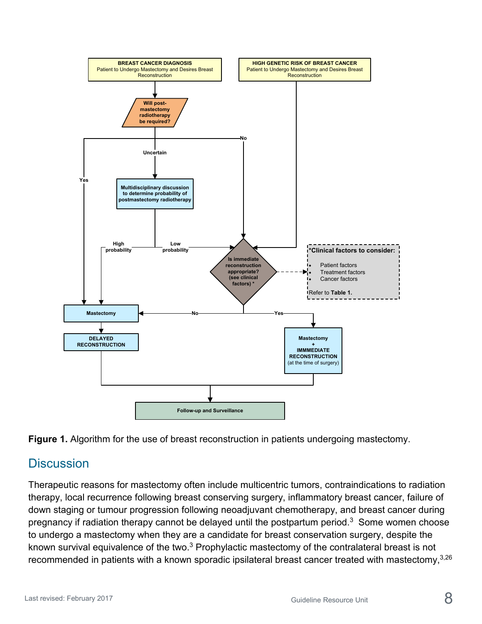



# **Discussion**

Therapeutic reasons for mastectomy often include multicentric tumors, contraindications to radiation therapy, local recurrence following breast conserving surgery, inflammatory breast cancer, failure of down staging or tumour progression following neoadjuvant chemotherapy, and breast cancer during pregnancy if radiation therapy cannot be delayed until the postpartum period.<sup>3</sup> Some women choose to undergo a mastectomy when they are a candidate for breast conservation surgery, despite the known survival equivalence of the two.3 Prophylactic mastectomy of the contralateral breast is not recommended in patients with a known sporadic ipsilateral breast cancer treated with mastectomy,  $3,26$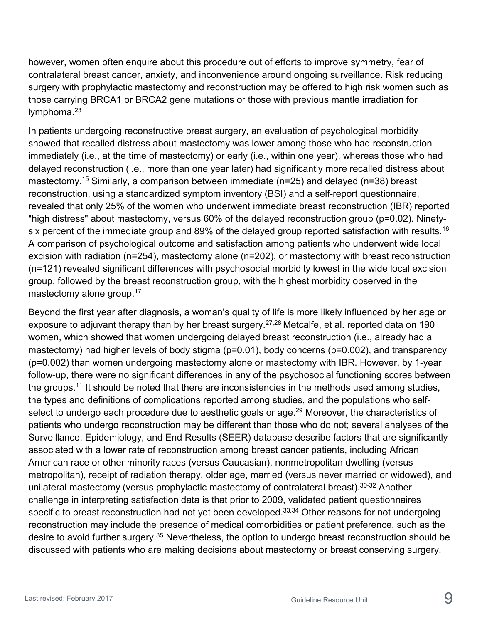however, women often enquire about this procedure out of efforts to improve symmetry, fear of contralateral breast cancer, anxiety, and inconvenience around ongoing surveillance. Risk reducing surgery with prophylactic mastectomy and reconstruction may be offered to high risk women such as those carrying BRCA1 or BRCA2 gene mutations or those with previous mantle irradiation for lymphoma. $23$ 

In patients undergoing reconstructive breast surgery, an evaluation of psychological morbidity showed that recalled distress about mastectomy was lower among those who had reconstruction immediately (i.e., at the time of mastectomy) or early (i.e., within one year), whereas those who had delayed reconstruction (i.e., more than one year later) had significantly more recalled distress about mastectomy.<sup>15</sup> Similarly, a comparison between immediate (n=25) and delayed (n=38) breast reconstruction, using a standardized symptom inventory (BSI) and a self-report questionnaire, revealed that only 25% of the women who underwent immediate breast reconstruction (IBR) reported "high distress" about mastectomy, versus 60% of the delayed reconstruction group (p=0.02). Ninetysix percent of the immediate group and 89% of the delayed group reported satisfaction with results.<sup>16</sup> A comparison of psychological outcome and satisfaction among patients who underwent wide local excision with radiation (n=254), mastectomy alone (n=202), or mastectomy with breast reconstruction (n=121) revealed significant differences with psychosocial morbidity lowest in the wide local excision group, followed by the breast reconstruction group, with the highest morbidity observed in the mastectomy alone group.<sup>17</sup>

Beyond the first year after diagnosis, a woman's quality of life is more likely influenced by her age or exposure to adjuvant therapy than by her breast surgery.<sup>27,28</sup> Metcalfe, et al. reported data on 190 women, which showed that women undergoing delayed breast reconstruction (i.e., already had a mastectomy) had higher levels of body stigma (p=0.01), body concerns (p=0.002), and transparency (p=0.002) than women undergoing mastectomy alone or mastectomy with IBR. However, by 1-year follow-up, there were no significant differences in any of the psychosocial functioning scores between the groups.<sup>11</sup> It should be noted that there are inconsistencies in the methods used among studies, the types and definitions of complications reported among studies, and the populations who selfselect to undergo each procedure due to aesthetic goals or age.<sup>29</sup> Moreover, the characteristics of patients who undergo reconstruction may be different than those who do not; several analyses of the Surveillance, Epidemiology, and End Results (SEER) database describe factors that are significantly associated with a lower rate of reconstruction among breast cancer patients, including African American race or other minority races (versus Caucasian), nonmetropolitan dwelling (versus metropolitan), receipt of radiation therapy, older age, married (versus never married or widowed), and unilateral mastectomy (versus prophylactic mastectomy of contralateral breast).<sup>30-32</sup> Another challenge in interpreting satisfaction data is that prior to 2009, validated patient questionnaires specific to breast reconstruction had not yet been developed.<sup>33,34</sup> Other reasons for not undergoing reconstruction may include the presence of medical comorbidities or patient preference, such as the desire to avoid further surgery.35 Nevertheless, the option to undergo breast reconstruction should be discussed with patients who are making decisions about mastectomy or breast conserving surgery.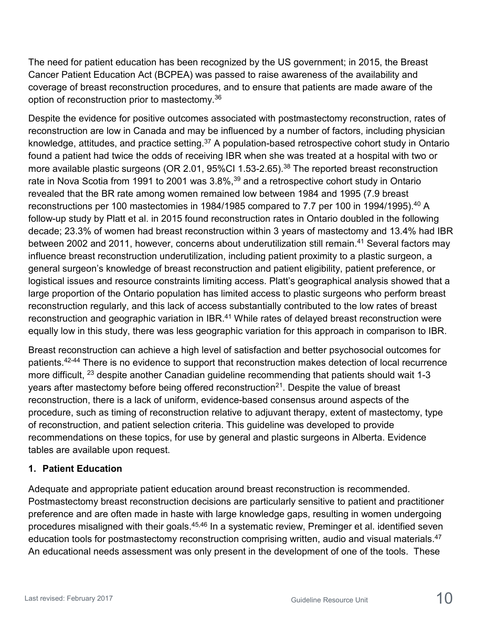The need for patient education has been recognized by the US government; in 2015, the Breast Cancer Patient Education Act (BCPEA) was passed to raise awareness of the availability and coverage of breast reconstruction procedures, and to ensure that patients are made aware of the option of reconstruction prior to mastectomy.36

Despite the evidence for positive outcomes associated with postmastectomy reconstruction, rates of reconstruction are low in Canada and may be influenced by a number of factors, including physician knowledge, attitudes, and practice setting.37 A population-based retrospective cohort study in Ontario found a patient had twice the odds of receiving IBR when she was treated at a hospital with two or more available plastic surgeons (OR 2.01, 95%Cl 1.53-2.65).<sup>38</sup> The reported breast reconstruction rate in Nova Scotia from 1991 to 2001 was 3.8%,<sup>39</sup> and a retrospective cohort study in Ontario revealed that the BR rate among women remained low between 1984 and 1995 (7.9 breast reconstructions per 100 mastectomies in 1984/1985 compared to 7.7 per 100 in 1994/1995).<sup>40</sup> A follow-up study by Platt et al. in 2015 found reconstruction rates in Ontario doubled in the following decade; 23.3% of women had breast reconstruction within 3 years of mastectomy and 13.4% had IBR between 2002 and 2011, however, concerns about underutilization still remain.<sup>41</sup> Several factors may influence breast reconstruction underutilization, including patient proximity to a plastic surgeon, a general surgeon's knowledge of breast reconstruction and patient eligibility, patient preference, or logistical issues and resource constraints limiting access. Platt's geographical analysis showed that a large proportion of the Ontario population has limited access to plastic surgeons who perform breast reconstruction regularly, and this lack of access substantially contributed to the low rates of breast reconstruction and geographic variation in IBR.<sup>41</sup> While rates of delayed breast reconstruction were equally low in this study, there was less geographic variation for this approach in comparison to IBR.

Breast reconstruction can achieve a high level of satisfaction and better psychosocial outcomes for patients.42-44 There is no evidence to support that reconstruction makes detection of local recurrence more difficult, <sup>23</sup> despite another Canadian guideline recommending that patients should wait 1-3 years after mastectomy before being offered reconstruction<sup>21</sup>. Despite the value of breast reconstruction, there is a lack of uniform, evidence-based consensus around aspects of the procedure, such as timing of reconstruction relative to adjuvant therapy, extent of mastectomy, type of reconstruction, and patient selection criteria. This guideline was developed to provide recommendations on these topics, for use by general and plastic surgeons in Alberta. Evidence tables are available upon request.

#### **1. Patient Education**

Adequate and appropriate patient education around breast reconstruction is recommended. Postmastectomy breast reconstruction decisions are particularly sensitive to patient and practitioner preference and are often made in haste with large knowledge gaps, resulting in women undergoing procedures misaligned with their goals.<sup>45,46</sup> In a systematic review, Preminger et al. identified seven education tools for postmastectomy reconstruction comprising written, audio and visual materials.<sup>47</sup> An educational needs assessment was only present in the development of one of the tools. These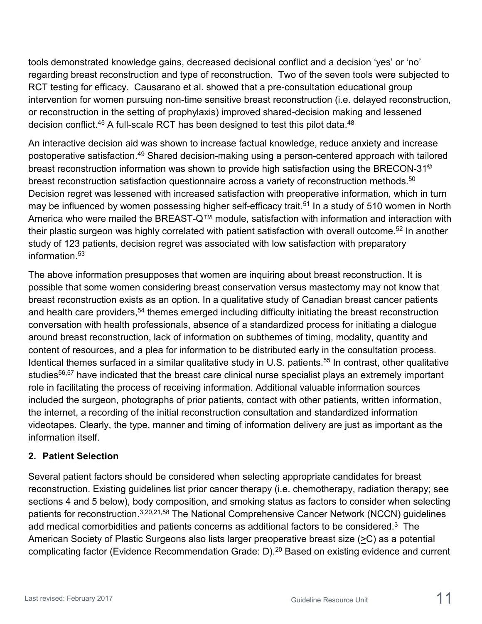tools demonstrated knowledge gains, decreased decisional conflict and a decision 'yes' or 'no' regarding breast reconstruction and type of reconstruction. Two of the seven tools were subjected to RCT testing for efficacy. Causarano et al. showed that a pre-consultation educational group intervention for women pursuing non-time sensitive breast reconstruction (i.e. delayed reconstruction, or reconstruction in the setting of prophylaxis) improved shared-decision making and lessened decision conflict.<sup>45</sup> A full-scale RCT has been designed to test this pilot data.<sup>48</sup>

An interactive decision aid was shown to increase factual knowledge, reduce anxiety and increase postoperative satisfaction.49 Shared decision-making using a person-centered approach with tailored breast reconstruction information was shown to provide high satisfaction using the BRECON-31<sup>®</sup> breast reconstruction satisfaction questionnaire across a variety of reconstruction methods.<sup>50</sup> Decision regret was lessened with increased satisfaction with preoperative information, which in turn may be influenced by women possessing higher self-efficacy trait.<sup>51</sup> In a study of 510 women in North America who were mailed the BREAST-Q™ module, satisfaction with information and interaction with their plastic surgeon was highly correlated with patient satisfaction with overall outcome.<sup>52</sup> In another study of 123 patients, decision regret was associated with low satisfaction with preparatory information.53

The above information presupposes that women are inquiring about breast reconstruction. It is possible that some women considering breast conservation versus mastectomy may not know that breast reconstruction exists as an option. In a qualitative study of Canadian breast cancer patients and health care providers,<sup>54</sup> themes emerged including difficulty initiating the breast reconstruction conversation with health professionals, absence of a standardized process for initiating a dialogue around breast reconstruction, lack of information on subthemes of timing, modality, quantity and content of resources, and a plea for information to be distributed early in the consultation process. Identical themes surfaced in a similar qualitative study in U.S. patients.<sup>55</sup> In contrast, other qualitative studies<sup>56,57</sup> have indicated that the breast care clinical nurse specialist plays an extremely important role in facilitating the process of receiving information. Additional valuable information sources included the surgeon, photographs of prior patients, contact with other patients, written information, the internet, a recording of the initial reconstruction consultation and standardized information videotapes. Clearly, the type, manner and timing of information delivery are just as important as the information itself.

#### **2. Patient Selection**

Several patient factors should be considered when selecting appropriate candidates for breast reconstruction. Existing guidelines list prior cancer therapy (i.e. chemotherapy, radiation therapy; see sections 4 and 5 below), body composition, and smoking status as factors to consider when selecting patients for reconstruction.3,20,21,58 The National Comprehensive Cancer Network (NCCN) guidelines add medical comorbidities and patients concerns as additional factors to be considered. $3$  The American Society of Plastic Surgeons also lists larger preoperative breast size (>C) as a potential complicating factor (Evidence Recommendation Grade: D).<sup>20</sup> Based on existing evidence and current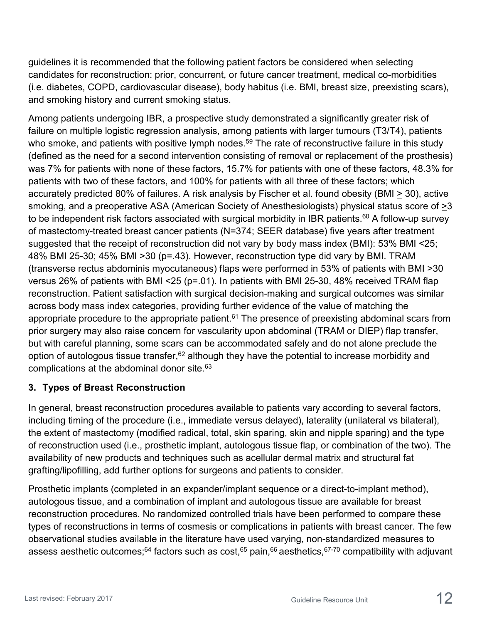guidelines it is recommended that the following patient factors be considered when selecting candidates for reconstruction: prior, concurrent, or future cancer treatment, medical co-morbidities (i.e. diabetes, COPD, cardiovascular disease), body habitus (i.e. BMI, breast size, preexisting scars), and smoking history and current smoking status.

Among patients undergoing IBR, a prospective study demonstrated a significantly greater risk of failure on multiple logistic regression analysis, among patients with larger tumours (T3/T4), patients who smoke, and patients with positive lymph nodes.<sup>59</sup> The rate of reconstructive failure in this study (defined as the need for a second intervention consisting of removal or replacement of the prosthesis) was 7% for patients with none of these factors, 15.7% for patients with one of these factors, 48.3% for patients with two of these factors, and 100% for patients with all three of these factors; which accurately predicted 80% of failures. A risk analysis by Fischer et al. found obesity (BMI > 30), active smoking, and a preoperative ASA (American Society of Anesthesiologists) physical status score of >3 to be independent risk factors associated with surgical morbidity in IBR patients.<sup>60</sup> A follow-up survey of mastectomy-treated breast cancer patients (N=374; SEER database) five years after treatment suggested that the receipt of reconstruction did not vary by body mass index (BMI): 53% BMI <25; 48% BMI 25-30; 45% BMI >30 (p=.43). However, reconstruction type did vary by BMI. TRAM (transverse rectus abdominis myocutaneous) flaps were performed in 53% of patients with BMI >30 versus 26% of patients with BMI <25 (p=.01). In patients with BMI 25-30, 48% received TRAM flap reconstruction. Patient satisfaction with surgical decision-making and surgical outcomes was similar across body mass index categories, providing further evidence of the value of matching the appropriate procedure to the appropriate patient.<sup>61</sup> The presence of preexisting abdominal scars from prior surgery may also raise concern for vascularity upon abdominal (TRAM or DIEP) flap transfer, but with careful planning, some scars can be accommodated safely and do not alone preclude the option of autologous tissue transfer,  $62$  although they have the potential to increase morbidity and complications at the abdominal donor site.63

### **3. Types of Breast Reconstruction**

In general, breast reconstruction procedures available to patients vary according to several factors, including timing of the procedure (i.e., immediate versus delayed), laterality (unilateral vs bilateral), the extent of mastectomy (modified radical, total, skin sparing, skin and nipple sparing) and the type of reconstruction used (i.e., prosthetic implant, autologous tissue flap, or combination of the two). The availability of new products and techniques such as acellular dermal matrix and structural fat grafting/lipofilling, add further options for surgeons and patients to consider.

Prosthetic implants (completed in an expander/implant sequence or a direct-to-implant method), autologous tissue, and a combination of implant and autologous tissue are available for breast reconstruction procedures. No randomized controlled trials have been performed to compare these types of reconstructions in terms of cosmesis or complications in patients with breast cancer. The few observational studies available in the literature have used varying, non-standardized measures to assess aesthetic outcomes;<sup>64</sup> factors such as cost,<sup>65</sup> pain,<sup>66</sup> aesthetics,  $67-70$  compatibility with adjuvant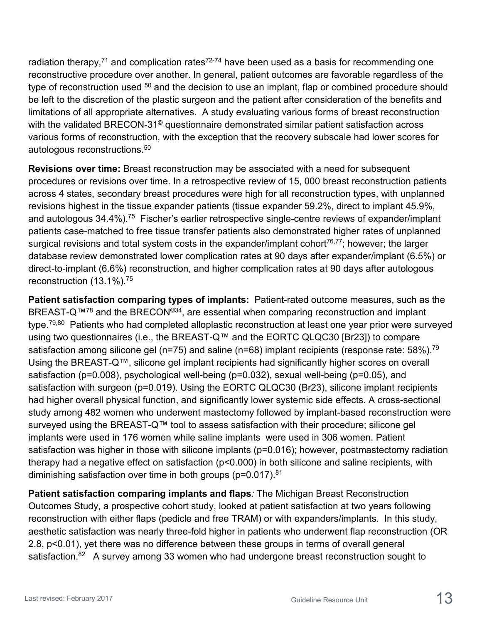radiation therapy,<sup>71</sup> and complication rates<sup>72-74</sup> have been used as a basis for recommending one reconstructive procedure over another. In general, patient outcomes are favorable regardless of the type of reconstruction used <sup>50</sup> and the decision to use an implant, flap or combined procedure should be left to the discretion of the plastic surgeon and the patient after consideration of the benefits and limitations of all appropriate alternatives. A study evaluating various forms of breast reconstruction with the validated BRECON-31<sup>®</sup> questionnaire demonstrated similar patient satisfaction across various forms of reconstruction, with the exception that the recovery subscale had lower scores for autologous reconstructions.<sup>50</sup>

**Revisions over time:** Breast reconstruction may be associated with a need for subsequent procedures or revisions over time. In a retrospective review of 15, 000 breast reconstruction patients across 4 states, secondary breast procedures were high for all reconstruction types, with unplanned revisions highest in the tissue expander patients (tissue expander 59.2%, direct to implant 45.9%, and autologous 34.4%).<sup>75</sup> Fischer's earlier retrospective single-centre reviews of expander/implant patients case-matched to free tissue transfer patients also demonstrated higher rates of unplanned surgical revisions and total system costs in the expander/implant cohort<sup>76,77</sup>; however; the larger database review demonstrated lower complication rates at 90 days after expander/implant (6.5%) or direct-to-implant (6.6%) reconstruction, and higher complication rates at 90 days after autologous reconstruction (13.1%).75

**Patient satisfaction comparing types of implants:** Patient-rated outcome measures, such as the BREAST-Q<sup>™78</sup> and the BRECON<sup>©34</sup>, are essential when comparing reconstruction and implant type.<sup>79,80</sup> Patients who had completed alloplastic reconstruction at least one year prior were surveyed using two questionnaires (i.e., the BREAST-Q™ and the EORTC QLQC30 [Br23]) to compare satisfaction among silicone gel (n=75) and saline (n=68) implant recipients (response rate:  $58\%$ ).<sup>79</sup> Using the BREAST-Q™, silicone gel implant recipients had significantly higher scores on overall satisfaction (p=0.008), psychological well-being (p=0.032), sexual well-being (p=0.05), and satisfaction with surgeon (p=0.019). Using the EORTC QLQC30 (Br23), silicone implant recipients had higher overall physical function, and significantly lower systemic side effects. A cross-sectional study among 482 women who underwent mastectomy followed by implant-based reconstruction were surveyed using the BREAST-Q™ tool to assess satisfaction with their procedure; silicone gel implants were used in 176 women while saline implants were used in 306 women. Patient satisfaction was higher in those with silicone implants (p=0.016); however, postmastectomy radiation therapy had a negative effect on satisfaction (p<0.000) in both silicone and saline recipients, with diminishing satisfaction over time in both groups (p=0.017).<sup>81</sup>

**Patient satisfaction comparing implants and flaps***:* The Michigan Breast Reconstruction Outcomes Study, a prospective cohort study, looked at patient satisfaction at two years following reconstruction with either flaps (pedicle and free TRAM) or with expanders/implants. In this study, aesthetic satisfaction was nearly three-fold higher in patients who underwent flap reconstruction (OR 2.8, p<0.01), yet there was no difference between these groups in terms of overall general satisfaction.<sup>82</sup> A survey among 33 women who had undergone breast reconstruction sought to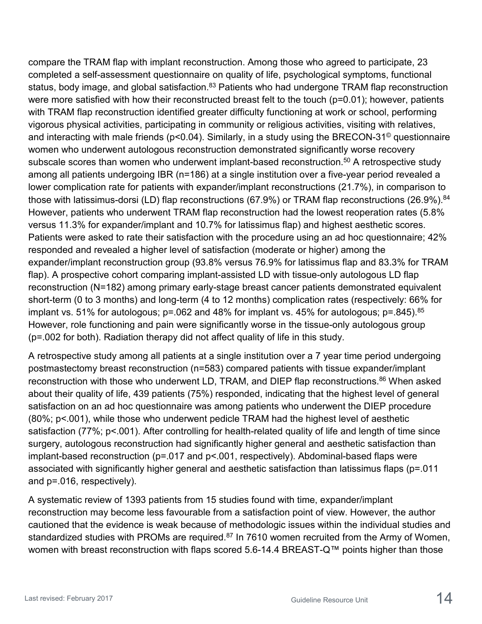compare the TRAM flap with implant reconstruction. Among those who agreed to participate, 23 completed a self-assessment questionnaire on quality of life, psychological symptoms, functional status, body image, and global satisfaction.<sup>83</sup> Patients who had undergone TRAM flap reconstruction were more satisfied with how their reconstructed breast felt to the touch (p=0.01); however, patients with TRAM flap reconstruction identified greater difficulty functioning at work or school, performing vigorous physical activities, participating in community or religious activities, visiting with relatives, and interacting with male friends (p<0.04). Similarly, in a study using the BRECON-31<sup>®</sup> questionnaire women who underwent autologous reconstruction demonstrated significantly worse recovery subscale scores than women who underwent implant-based reconstruction.<sup>50</sup> A retrospective study among all patients undergoing IBR (n=186) at a single institution over a five-year period revealed a lower complication rate for patients with expander/implant reconstructions (21.7%), in comparison to those with latissimus-dorsi (LD) flap reconstructions (67.9%) or TRAM flap reconstructions (26.9%).<sup>84</sup> However, patients who underwent TRAM flap reconstruction had the lowest reoperation rates (5.8% versus 11.3% for expander/implant and 10.7% for latissimus flap) and highest aesthetic scores. Patients were asked to rate their satisfaction with the procedure using an ad hoc questionnaire; 42% responded and revealed a higher level of satisfaction (moderate or higher) among the expander/implant reconstruction group (93.8% versus 76.9% for latissimus flap and 83.3% for TRAM flap). A prospective cohort comparing implant-assisted LD with tissue-only autologous LD flap reconstruction (N=182) among primary early-stage breast cancer patients demonstrated equivalent short-term (0 to 3 months) and long-term (4 to 12 months) complication rates (respectively: 66% for implant vs. 51% for autologous;  $p = 062$  and 48% for implant vs. 45% for autologous;  $p = 0.845$ .  $85$ However, role functioning and pain were significantly worse in the tissue-only autologous group (p=.002 for both). Radiation therapy did not affect quality of life in this study.

A retrospective study among all patients at a single institution over a 7 year time period undergoing postmastectomy breast reconstruction (n=583) compared patients with tissue expander/implant reconstruction with those who underwent LD, TRAM, and DIEP flap reconstructions.<sup>86</sup> When asked about their quality of life, 439 patients (75%) responded, indicating that the highest level of general satisfaction on an ad hoc questionnaire was among patients who underwent the DIEP procedure (80%; p<.001), while those who underwent pedicle TRAM had the highest level of aesthetic satisfaction (77%; p<.001). After controlling for health-related quality of life and length of time since surgery, autologous reconstruction had significantly higher general and aesthetic satisfaction than implant-based reconstruction (p=.017 and p<.001, respectively). Abdominal-based flaps were associated with significantly higher general and aesthetic satisfaction than latissimus flaps (p=.011 and p=.016, respectively).

A systematic review of 1393 patients from 15 studies found with time, expander/implant reconstruction may become less favourable from a satisfaction point of view. However, the author cautioned that the evidence is weak because of methodologic issues within the individual studies and standardized studies with PROMs are required.<sup>87</sup> In 7610 women recruited from the Army of Women, women with breast reconstruction with flaps scored 5.6-14.4 BREAST-Q™ points higher than those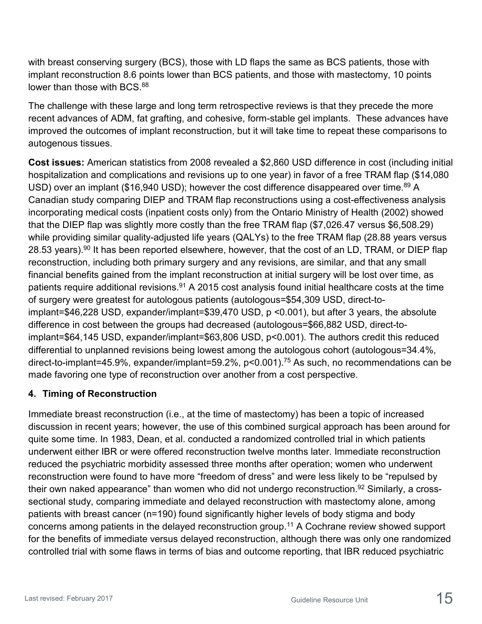with breast conserving surgery (BCS), those with LD flaps the same as BCS patients, those with implant reconstruction 8.6 points lower than BCS patients, and those with mastectomy, 10 points lower than those with BCS.<sup>88</sup>

The challenge with these large and long term retrospective reviews is that they precede the more recent advances of ADM, fat grafting, and cohesive, form-stable gel implants. These advances have improved the outcomes of implant reconstruction, but it will take time to repeat these comparisons to autogenous tissues.

**Cost issues:** American statistics from 2008 revealed a \$2,860 USD difference in cost (including initial hospitalization and complications and revisions up to one year) in favor of a free TRAM flap (\$14,080 USD) over an implant (\$16,940 USD); however the cost difference disappeared over time.<sup>89</sup> A Canadian study comparing DIEP and TRAM flap reconstructions using a cost-effectiveness analysis incorporating medical costs (inpatient costs only) from the Ontario Ministry of Health (2002) showed that the DIEP flap was slightly more costly than the free TRAM flap (\$7,026.47 versus \$6,508.29) while providing similar quality-adjusted life years (QALYs) to the free TRAM flap (28.88 years versus 28.53 years).<sup>90</sup> It has been reported elsewhere, however, that the cost of an LD, TRAM, or DIEP flap reconstruction, including both primary surgery and any revisions, are similar, and that any small financial benefits gained from the implant reconstruction at initial surgery will be lost over time, as patients require additional revisions.<sup>91</sup> A 2015 cost analysis found initial healthcare costs at the time of surgery were greatest for autologous patients (autologous=\$54,309 USD, direct-toimplant=\$46,228 USD, expander/implant=\$39,470 USD, p <0.001), but after 3 years, the absolute difference in cost between the groups had decreased (autologous=\$66,882 USD, direct-toimplant=\$64,145 USD, expander/implant=\$63,806 USD, p<0.001). The authors credit this reduced differential to unplanned revisions being lowest among the autologous cohort (autologous=34.4%, direct-to-implant=45.9%, expander/implant=59.2%, p<0.001).75 As such, no recommendations can be made favoring one type of reconstruction over another from a cost perspective.

### **4. Timing of Reconstruction**

Immediate breast reconstruction (i.e., at the time of mastectomy) has been a topic of increased discussion in recent years; however, the use of this combined surgical approach has been around for quite some time. In 1983, Dean, et al. conducted a randomized controlled trial in which patients underwent either IBR or were offered reconstruction twelve months later. Immediate reconstruction reduced the psychiatric morbidity assessed three months after operation; women who underwent reconstruction were found to have more "freedom of dress" and were less likely to be "repulsed by their own naked appearance" than women who did not undergo reconstruction.<sup>92</sup> Similarly, a crosssectional study, comparing immediate and delayed reconstruction with mastectomy alone, among patients with breast cancer (n=190) found significantly higher levels of body stigma and body concerns among patients in the delayed reconstruction group.11 A Cochrane review showed support for the benefits of immediate versus delayed reconstruction, although there was only one randomized controlled trial with some flaws in terms of bias and outcome reporting, that IBR reduced psychiatric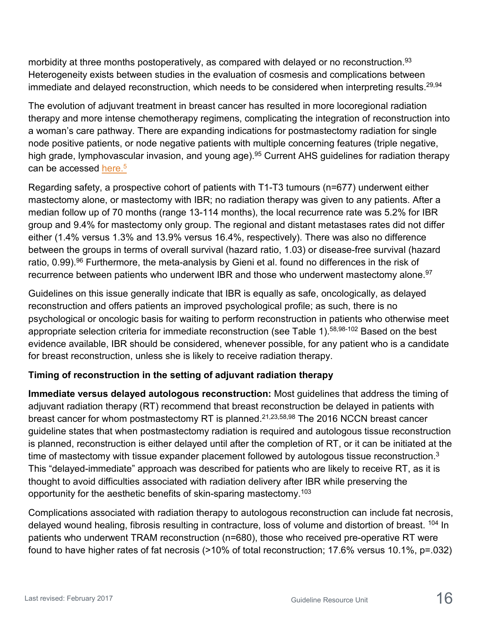morbidity at three months postoperatively, as compared with delayed or no reconstruction.<sup>93</sup> Heterogeneity exists between studies in the evaluation of cosmesis and complications between immediate and delayed reconstruction, which needs to be considered when interpreting results.  $29,94$ 

The evolution of adjuvant treatment in breast cancer has resulted in more locoregional radiation therapy and more intense chemotherapy regimens, complicating the integration of reconstruction into a woman's care pathway. There are expanding indications for postmastectomy radiation for single node positive patients, or node negative patients with multiple concerning features (triple negative, high grade, lymphovascular invasion, and young age).<sup>95</sup> Current AHS guidelines for radiation therapy can be accessed <u>here.<sup>5</sup></u>

Regarding safety, a prospective cohort of patients with T1-T3 tumours (n=677) underwent either mastectomy alone, or mastectomy with IBR; no radiation therapy was given to any patients. After a median follow up of 70 months (range 13-114 months), the local recurrence rate was 5.2% for IBR group and 9.4% for mastectomy only group. The regional and distant metastases rates did not differ either (1.4% versus 1.3% and 13.9% versus 16.4%, respectively). There was also no difference between the groups in terms of overall survival (hazard ratio, 1.03) or disease-free survival (hazard ratio, 0.99).<sup>96</sup> Furthermore, the meta-analysis by Gieni et al. found no differences in the risk of recurrence between patients who underwent IBR and those who underwent mastectomy alone.<sup>97</sup>

Guidelines on this issue generally indicate that IBR is equally as safe, oncologically, as delayed reconstruction and offers patients an improved psychological profile; as such, there is no psychological or oncologic basis for waiting to perform reconstruction in patients who otherwise meet appropriate selection criteria for immediate reconstruction (see Table 1).<sup>58,98-102</sup> Based on the best evidence available, IBR should be considered, whenever possible, for any patient who is a candidate for breast reconstruction, unless she is likely to receive radiation therapy.

### **Timing of reconstruction in the setting of adjuvant radiation therapy**

**Immediate versus delayed autologous reconstruction:** Most guidelines that address the timing of adjuvant radiation therapy (RT) recommend that breast reconstruction be delayed in patients with breast cancer for whom postmastectomy RT is planned.<sup>21,23,58,98</sup> The 2016 NCCN breast cancer guideline states that when postmastectomy radiation is required and autologous tissue reconstruction is planned, reconstruction is either delayed until after the completion of RT, or it can be initiated at the time of mastectomy with tissue expander placement followed by autologous tissue reconstruction. $3$ This "delayed-immediate" approach was described for patients who are likely to receive RT, as it is thought to avoid difficulties associated with radiation delivery after IBR while preserving the opportunity for the aesthetic benefits of skin-sparing mastectomy.103

Complications associated with radiation therapy to autologous reconstruction can include fat necrosis, delayed wound healing, fibrosis resulting in contracture, loss of volume and distortion of breast. <sup>104</sup> In patients who underwent TRAM reconstruction (n=680), those who received pre-operative RT were found to have higher rates of fat necrosis (>10% of total reconstruction; 17.6% versus 10.1%, p=.032)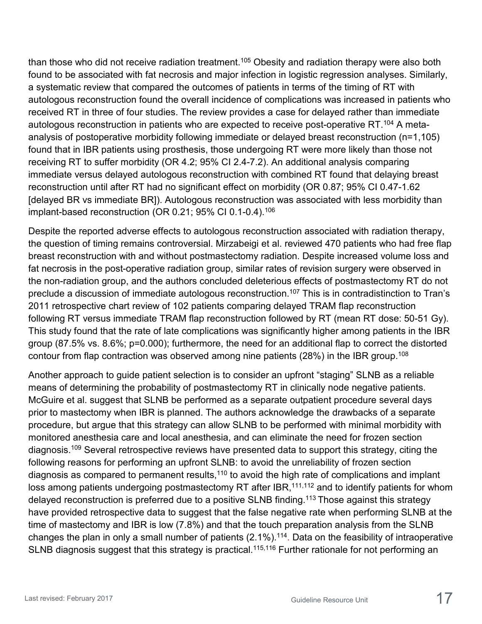than those who did not receive radiation treatment.<sup>105</sup> Obesity and radiation therapy were also both found to be associated with fat necrosis and major infection in logistic regression analyses. Similarly, a systematic review that compared the outcomes of patients in terms of the timing of RT with autologous reconstruction found the overall incidence of complications was increased in patients who received RT in three of four studies. The review provides a case for delayed rather than immediate autologous reconstruction in patients who are expected to receive post-operative RT.<sup>104</sup> A metaanalysis of postoperative morbidity following immediate or delayed breast reconstruction (n=1,105) found that in IBR patients using prosthesis, those undergoing RT were more likely than those not receiving RT to suffer morbidity (OR 4.2; 95% CI 2.4-7.2). An additional analysis comparing immediate versus delayed autologous reconstruction with combined RT found that delaying breast reconstruction until after RT had no significant effect on morbidity (OR 0.87; 95% CI 0.47-1.62 [delayed BR vs immediate BR]). Autologous reconstruction was associated with less morbidity than implant-based reconstruction (OR 0.21; 95% CI 0.1-0.4).<sup>106</sup>

Despite the reported adverse effects to autologous reconstruction associated with radiation therapy, the question of timing remains controversial. Mirzabeigi et al. reviewed 470 patients who had free flap breast reconstruction with and without postmastectomy radiation. Despite increased volume loss and fat necrosis in the post-operative radiation group, similar rates of revision surgery were observed in the non-radiation group, and the authors concluded deleterious effects of postmastectomy RT do not preclude a discussion of immediate autologous reconstruction.<sup>107</sup> This is in contradistinction to Tran's 2011 retrospective chart review of 102 patients comparing delayed TRAM flap reconstruction following RT versus immediate TRAM flap reconstruction followed by RT (mean RT dose: 50-51 Gy). This study found that the rate of late complications was significantly higher among patients in the IBR group (87.5% vs. 8.6%; p=0.000); furthermore, the need for an additional flap to correct the distorted contour from flap contraction was observed among nine patients (28%) in the IBR group.<sup>108</sup>

Another approach to guide patient selection is to consider an upfront "staging" SLNB as a reliable means of determining the probability of postmastectomy RT in clinically node negative patients. McGuire et al. suggest that SLNB be performed as a separate outpatient procedure several days prior to mastectomy when IBR is planned. The authors acknowledge the drawbacks of a separate procedure, but argue that this strategy can allow SLNB to be performed with minimal morbidity with monitored anesthesia care and local anesthesia, and can eliminate the need for frozen section diagnosis.109 Several retrospective reviews have presented data to support this strategy, citing the following reasons for performing an upfront SLNB: to avoid the unreliability of frozen section diagnosis as compared to permanent results, $110$  to avoid the high rate of complications and implant loss among patients undergoing postmastectomy RT after IBR,<sup>111,112</sup> and to identify patients for whom delayed reconstruction is preferred due to a positive SLNB finding.<sup>113</sup> Those against this strategy have provided retrospective data to suggest that the false negative rate when performing SLNB at the time of mastectomy and IBR is low (7.8%) and that the touch preparation analysis from the SLNB changes the plan in only a small number of patients (2.1%).114. Data on the feasibility of intraoperative SLNB diagnosis suggest that this strategy is practical.<sup>115,116</sup> Further rationale for not performing an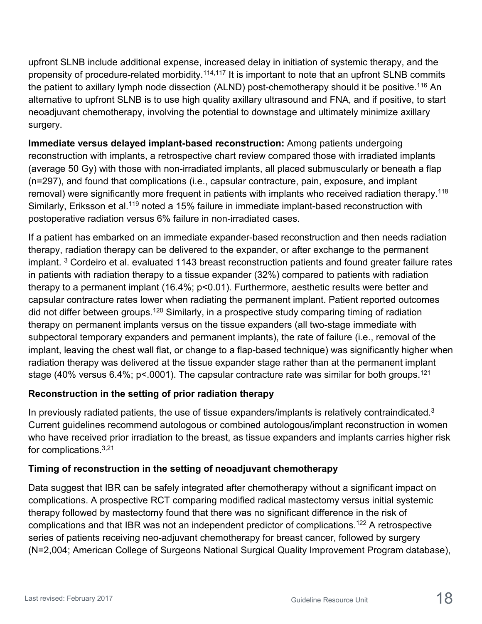upfront SLNB include additional expense, increased delay in initiation of systemic therapy, and the propensity of procedure-related morbidity.<sup>114,117</sup> It is important to note that an upfront SLNB commits the patient to axillary lymph node dissection (ALND) post-chemotherapy should it be positive.<sup>116</sup> An alternative to upfront SLNB is to use high quality axillary ultrasound and FNA, and if positive, to start neoadjuvant chemotherapy, involving the potential to downstage and ultimately minimize axillary surgery.

**Immediate versus delayed implant-based reconstruction:** Among patients undergoing reconstruction with implants, a retrospective chart review compared those with irradiated implants (average 50 Gy) with those with non-irradiated implants, all placed submuscularly or beneath a flap (n=297), and found that complications (i.e., capsular contracture, pain, exposure, and implant removal) were significantly more frequent in patients with implants who received radiation therapy.<sup>118</sup> Similarly, Eriksson et al.<sup>119</sup> noted a 15% failure in immediate implant-based reconstruction with postoperative radiation versus 6% failure in non-irradiated cases.

If a patient has embarked on an immediate expander-based reconstruction and then needs radiation therapy, radiation therapy can be delivered to the expander, or after exchange to the permanent implant.<sup>3</sup> Cordeiro et al. evaluated 1143 breast reconstruction patients and found greater failure rates in patients with radiation therapy to a tissue expander (32%) compared to patients with radiation therapy to a permanent implant (16.4%; p<0.01). Furthermore, aesthetic results were better and capsular contracture rates lower when radiating the permanent implant. Patient reported outcomes did not differ between groups.<sup>120</sup> Similarly, in a prospective study comparing timing of radiation therapy on permanent implants versus on the tissue expanders (all two-stage immediate with subpectoral temporary expanders and permanent implants), the rate of failure (i.e., removal of the implant, leaving the chest wall flat, or change to a flap-based technique) was significantly higher when radiation therapy was delivered at the tissue expander stage rather than at the permanent implant stage (40% versus 6.4%;  $p$ <.0001). The capsular contracture rate was similar for both groups.<sup>121</sup>

### **Reconstruction in the setting of prior radiation therapy**

In previously radiated patients, the use of tissue expanders/implants is relatively contraindicated.<sup>3</sup> Current guidelines recommend autologous or combined autologous/implant reconstruction in women who have received prior irradiation to the breast, as tissue expanders and implants carries higher risk for complications.3,21

#### **Timing of reconstruction in the setting of neoadjuvant chemotherapy**

Data suggest that IBR can be safely integrated after chemotherapy without a significant impact on complications. A prospective RCT comparing modified radical mastectomy versus initial systemic therapy followed by mastectomy found that there was no significant difference in the risk of complications and that IBR was not an independent predictor of complications.122 A retrospective series of patients receiving neo-adjuvant chemotherapy for breast cancer, followed by surgery (N=2,004; American College of Surgeons National Surgical Quality Improvement Program database),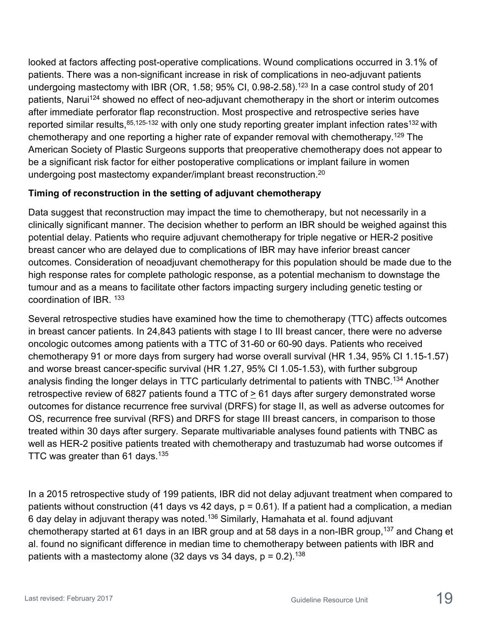looked at factors affecting post-operative complications. Wound complications occurred in 3.1% of patients. There was a non-significant increase in risk of complications in neo-adjuvant patients undergoing mastectomy with IBR (OR, 1.58; 95% CI, 0.98-2.58).<sup>123</sup> In a case control study of 201 patients, Narui<sup>124</sup> showed no effect of neo-adjuvant chemotherapy in the short or interim outcomes after immediate perforator flap reconstruction. Most prospective and retrospective series have reported similar results, 85,125-132 with only one study reporting greater implant infection rates<sup>132</sup> with chemotherapy and one reporting a higher rate of expander removal with chemotherapy.<sup>129</sup> The American Society of Plastic Surgeons supports that preoperative chemotherapy does not appear to be a significant risk factor for either postoperative complications or implant failure in women undergoing post mastectomy expander/implant breast reconstruction.<sup>20</sup>

### **Timing of reconstruction in the setting of adjuvant chemotherapy**

Data suggest that reconstruction may impact the time to chemotherapy, but not necessarily in a clinically significant manner. The decision whether to perform an IBR should be weighed against this potential delay. Patients who require adjuvant chemotherapy for triple negative or HER-2 positive breast cancer who are delayed due to complications of IBR may have inferior breast cancer outcomes. Consideration of neoadjuvant chemotherapy for this population should be made due to the high response rates for complete pathologic response, as a potential mechanism to downstage the tumour and as a means to facilitate other factors impacting surgery including genetic testing or coordination of IBR. 133

Several retrospective studies have examined how the time to chemotherapy (TTC) affects outcomes in breast cancer patients. In 24,843 patients with stage I to III breast cancer, there were no adverse oncologic outcomes among patients with a TTC of 31-60 or 60-90 days. Patients who received chemotherapy 91 or more days from surgery had worse overall survival (HR 1.34, 95% CI 1.15-1.57) and worse breast cancer-specific survival (HR 1.27, 95% CI 1.05-1.53), with further subgroup analysis finding the longer delays in TTC particularly detrimental to patients with TNBC.134 Another retrospective review of 6827 patients found a TTC of  $\geq$  61 days after surgery demonstrated worse outcomes for distance recurrence free survival (DRFS) for stage II, as well as adverse outcomes for OS, recurrence free survival (RFS) and DRFS for stage III breast cancers, in comparison to those treated within 30 days after surgery. Separate multivariable analyses found patients with TNBC as well as HER-2 positive patients treated with chemotherapy and trastuzumab had worse outcomes if TTC was greater than  $61$  days.<sup>135</sup>

In a 2015 retrospective study of 199 patients, IBR did not delay adjuvant treatment when compared to patients without construction (41 days vs 42 days,  $p = 0.61$ ). If a patient had a complication, a median 6 day delay in adjuvant therapy was noted.<sup>136</sup> Similarly, Hamahata et al. found adjuvant chemotherapy started at 61 days in an IBR group and at 58 days in a non-IBR group,<sup>137</sup> and Chang et al. found no significant difference in median time to chemotherapy between patients with IBR and patients with a mastectomy alone (32 days vs 34 days,  $p = 0.2$ ).<sup>138</sup>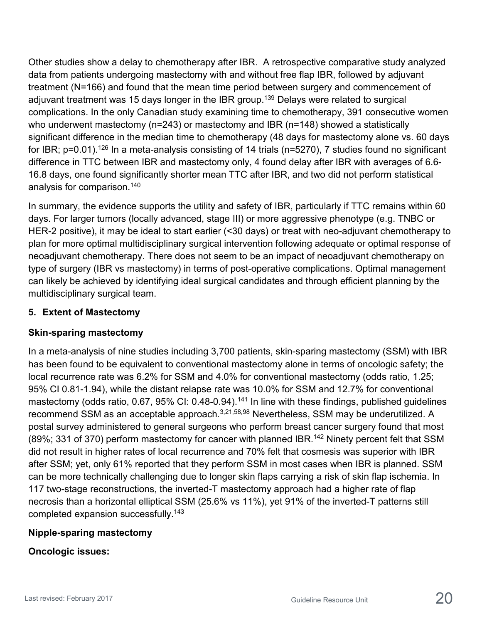Other studies show a delay to chemotherapy after IBR. A retrospective comparative study analyzed data from patients undergoing mastectomy with and without free flap IBR, followed by adjuvant treatment (N=166) and found that the mean time period between surgery and commencement of adjuvant treatment was 15 days longer in the IBR group.<sup>139</sup> Delays were related to surgical complications. In the only Canadian study examining time to chemotherapy, 391 consecutive women who underwent mastectomy (n=243) or mastectomy and IBR (n=148) showed a statistically significant difference in the median time to chemotherapy (48 days for mastectomy alone vs. 60 days for IBR; p=0.01).<sup>126</sup> In a meta-analysis consisting of 14 trials (n=5270), 7 studies found no significant difference in TTC between IBR and mastectomy only, 4 found delay after IBR with averages of 6.6- 16.8 days, one found significantly shorter mean TTC after IBR, and two did not perform statistical analysis for comparison.140

In summary, the evidence supports the utility and safety of IBR, particularly if TTC remains within 60 days. For larger tumors (locally advanced, stage III) or more aggressive phenotype (e.g. TNBC or HER-2 positive), it may be ideal to start earlier (<30 days) or treat with neo-adjuvant chemotherapy to plan for more optimal multidisciplinary surgical intervention following adequate or optimal response of neoadjuvant chemotherapy. There does not seem to be an impact of neoadjuvant chemotherapy on type of surgery (IBR vs mastectomy) in terms of post-operative complications. Optimal management can likely be achieved by identifying ideal surgical candidates and through efficient planning by the multidisciplinary surgical team.

#### **5. Extent of Mastectomy**

#### **Skin-sparing mastectomy**

In a meta-analysis of nine studies including 3,700 patients, skin-sparing mastectomy (SSM) with IBR has been found to be equivalent to conventional mastectomy alone in terms of oncologic safety; the local recurrence rate was 6.2% for SSM and 4.0% for conventional mastectomy (odds ratio, 1.25; 95% CI 0.81-1.94), while the distant relapse rate was 10.0% for SSM and 12.7% for conventional mastectomy (odds ratio, 0.67, 95% CI: 0.48-0.94).<sup>141</sup> In line with these findings, published guidelines recommend SSM as an acceptable approach.<sup>3,21,58,98</sup> Nevertheless, SSM may be underutilized. A postal survey administered to general surgeons who perform breast cancer surgery found that most (89%; 331 of 370) perform mastectomy for cancer with planned IBR.<sup>142</sup> Ninety percent felt that SSM did not result in higher rates of local recurrence and 70% felt that cosmesis was superior with IBR after SSM; yet, only 61% reported that they perform SSM in most cases when IBR is planned. SSM can be more technically challenging due to longer skin flaps carrying a risk of skin flap ischemia. In 117 two-stage reconstructions, the inverted-T mastectomy approach had a higher rate of flap necrosis than a horizontal elliptical SSM (25.6% vs 11%), yet 91% of the inverted-T patterns still completed expansion successfully.143

### **Nipple-sparing mastectomy**

#### **Oncologic issues:**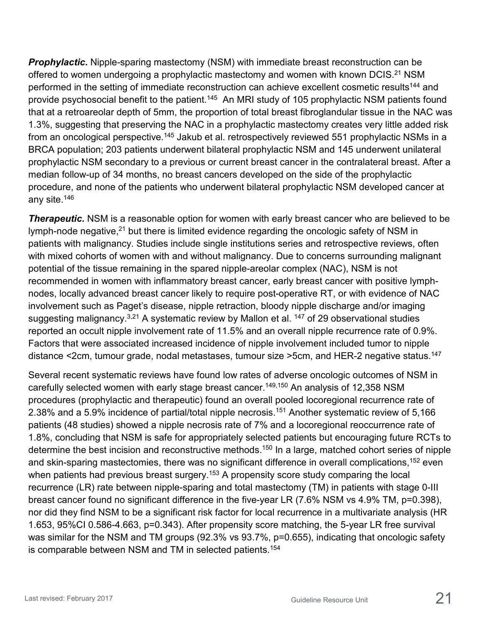**Prophylactic.** Nipple-sparing mastectomy (NSM) with immediate breast reconstruction can be offered to women undergoing a prophylactic mastectomy and women with known DCIS.<sup>21</sup> NSM performed in the setting of immediate reconstruction can achieve excellent cosmetic results<sup>144</sup> and provide psychosocial benefit to the patient.<sup>145</sup> An MRI study of 105 prophylactic NSM patients found that at a retroareolar depth of 5mm, the proportion of total breast fibroglandular tissue in the NAC was 1.3%, suggesting that preserving the NAC in a prophylactic mastectomy creates very little added risk from an oncological perspective.<sup>145</sup> Jakub et al. retrospectively reviewed 551 prophylactic NSMs in a BRCA population; 203 patients underwent bilateral prophylactic NSM and 145 underwent unilateral prophylactic NSM secondary to a previous or current breast cancer in the contralateral breast. After a median follow-up of 34 months, no breast cancers developed on the side of the prophylactic procedure, and none of the patients who underwent bilateral prophylactic NSM developed cancer at any site.146

**Therapeutic.** NSM is a reasonable option for women with early breast cancer who are believed to be lymph-node negative, $21$  but there is limited evidence regarding the oncologic safety of NSM in patients with malignancy. Studies include single institutions series and retrospective reviews, often with mixed cohorts of women with and without malignancy. Due to concerns surrounding malignant potential of the tissue remaining in the spared nipple-areolar complex (NAC), NSM is not recommended in women with inflammatory breast cancer, early breast cancer with positive lymphnodes, locally advanced breast cancer likely to require post-operative RT, or with evidence of NAC involvement such as Paget's disease, nipple retraction, bloody nipple discharge and/or imaging suggesting malignancy.<sup>3,21</sup> A systematic review by Mallon et al. <sup>147</sup> of 29 observational studies reported an occult nipple involvement rate of 11.5% and an overall nipple recurrence rate of 0.9%. Factors that were associated increased incidence of nipple involvement included tumor to nipple distance <2cm, tumour grade, nodal metastases, tumour size >5cm, and HER-2 negative status.<sup>147</sup>

Several recent systematic reviews have found low rates of adverse oncologic outcomes of NSM in carefully selected women with early stage breast cancer.<sup>149,150</sup> An analysis of 12,358 NSM procedures (prophylactic and therapeutic) found an overall pooled locoregional recurrence rate of 2.38% and a 5.9% incidence of partial/total nipple necrosis.<sup>151</sup> Another systematic review of 5,166 patients (48 studies) showed a nipple necrosis rate of 7% and a locoregional reoccurrence rate of 1.8%, concluding that NSM is safe for appropriately selected patients but encouraging future RCTs to determine the best incision and reconstructive methods.<sup>150</sup> In a large, matched cohort series of nipple and skin-sparing mastectomies, there was no significant difference in overall complications,<sup>152</sup> even when patients had previous breast surgery.<sup>153</sup> A propensity score study comparing the local recurrence (LR) rate between nipple-sparing and total mastectomy (TM) in patients with stage 0-III breast cancer found no significant difference in the five-year LR (7.6% NSM vs 4.9% TM, p=0.398), nor did they find NSM to be a significant risk factor for local recurrence in a multivariate analysis (HR 1.653, 95%CI 0.586-4.663, p=0.343). After propensity score matching, the 5-year LR free survival was similar for the NSM and TM groups (92.3% vs 93.7%, p=0.655), indicating that oncologic safety is comparable between NSM and TM in selected patients.154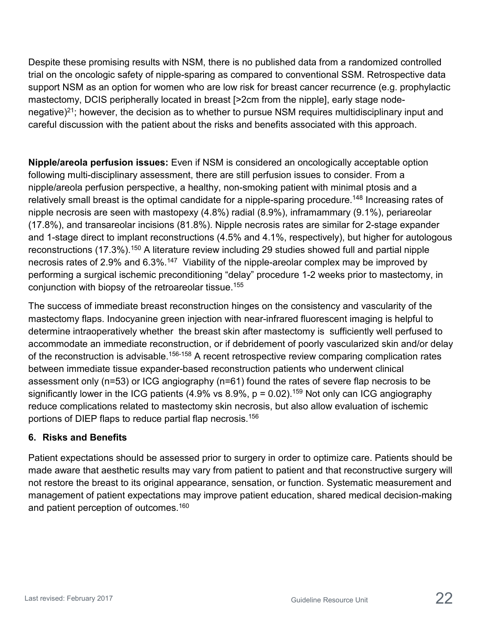Despite these promising results with NSM, there is no published data from a randomized controlled trial on the oncologic safety of nipple-sparing as compared to conventional SSM. Retrospective data support NSM as an option for women who are low risk for breast cancer recurrence (e.g. prophylactic mastectomy, DCIS peripherally located in breast [>2cm from the nipple], early stage nodenegative)<sup>21</sup>; however, the decision as to whether to pursue NSM requires multidisciplinary input and careful discussion with the patient about the risks and benefits associated with this approach.

**Nipple/areola perfusion issues:** Even if NSM is considered an oncologically acceptable option following multi-disciplinary assessment, there are still perfusion issues to consider. From a nipple/areola perfusion perspective, a healthy, non-smoking patient with minimal ptosis and a relatively small breast is the optimal candidate for a nipple-sparing procedure.<sup>148</sup> Increasing rates of nipple necrosis are seen with mastopexy (4.8%) radial (8.9%), inframammary (9.1%), periareolar (17.8%), and transareolar incisions (81.8%). Nipple necrosis rates are similar for 2-stage expander and 1-stage direct to implant reconstructions (4.5% and 4.1%, respectively), but higher for autologous reconstructions (17.3%).<sup>150</sup> A literature review including 29 studies showed full and partial nipple necrosis rates of 2.9% and 6.3%.<sup>147</sup> Viability of the nipple-areolar complex may be improved by performing a surgical ischemic preconditioning "delay" procedure 1-2 weeks prior to mastectomy, in conjunction with biopsy of the retroareolar tissue.155

The success of immediate breast reconstruction hinges on the consistency and vascularity of the mastectomy flaps. Indocyanine green injection with near-infrared fluorescent imaging is helpful to determine intraoperatively whether the breast skin after mastectomy is sufficiently well perfused to accommodate an immediate reconstruction, or if debridement of poorly vascularized skin and/or delay of the reconstruction is advisable.<sup>156-158</sup> A recent retrospective review comparing complication rates between immediate tissue expander-based reconstruction patients who underwent clinical assessment only (n=53) or ICG angiography (n=61) found the rates of severe flap necrosis to be significantly lower in the ICG patients (4.9% vs 8.9%,  $p = 0.02$ ).<sup>159</sup> Not only can ICG angiography reduce complications related to mastectomy skin necrosis, but also allow evaluation of ischemic portions of DIEP flaps to reduce partial flap necrosis.156

#### **6. Risks and Benefits**

Patient expectations should be assessed prior to surgery in order to optimize care. Patients should be made aware that aesthetic results may vary from patient to patient and that reconstructive surgery will not restore the breast to its original appearance, sensation, or function. Systematic measurement and management of patient expectations may improve patient education, shared medical decision-making and patient perception of outcomes.<sup>160</sup>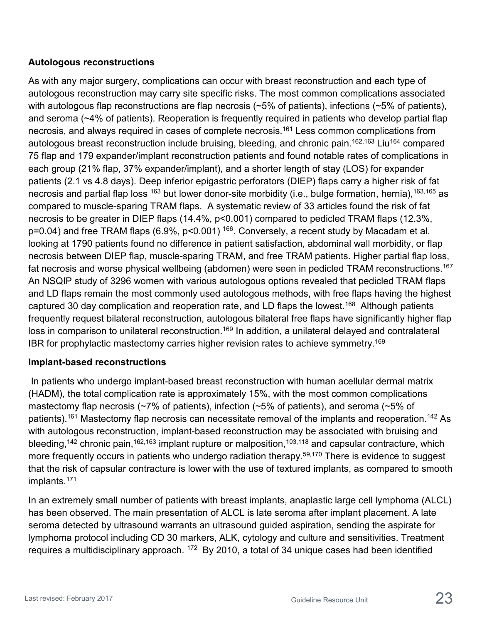#### **Autologous reconstructions**

As with any major surgery, complications can occur with breast reconstruction and each type of autologous reconstruction may carry site specific risks. The most common complications associated with autologous flap reconstructions are flap necrosis (~5% of patients), infections (~5% of patients), and seroma (~4% of patients). Reoperation is frequently required in patients who develop partial flap necrosis, and always required in cases of complete necrosis.<sup>161</sup> Less common complications from autologous breast reconstruction include bruising, bleeding, and chronic pain.<sup>162,163</sup> Liu<sup>164</sup> compared 75 flap and 179 expander/implant reconstruction patients and found notable rates of complications in each group (21% flap, 37% expander/implant), and a shorter length of stay (LOS) for expander patients (2.1 vs 4.8 days). Deep inferior epigastric perforators (DIEP) flaps carry a higher risk of fat necrosis and partial flap loss <sup>163</sup> but lower donor-site morbidity (i.e., bulge formation, hernia), <sup>163,165</sup> as compared to muscle-sparing TRAM flaps. A systematic review of 33 articles found the risk of fat necrosis to be greater in DIEP flaps (14.4%, p<0.001) compared to pedicled TRAM flaps (12.3%, p=0.04) and free TRAM flaps (6.9%, p<0.001) <sup>166</sup>. Conversely, a recent study by Macadam et al. looking at 1790 patients found no difference in patient satisfaction, abdominal wall morbidity, or flap necrosis between DIEP flap, muscle-sparing TRAM, and free TRAM patients. Higher partial flap loss, fat necrosis and worse physical wellbeing (abdomen) were seen in pedicled TRAM reconstructions.<sup>167</sup> An NSQIP study of 3296 women with various autologous options revealed that pedicled TRAM flaps and LD flaps remain the most commonly used autologous methods, with free flaps having the highest captured 30 day complication and reoperation rate, and LD flaps the lowest.<sup>168</sup> Although patients frequently request bilateral reconstruction, autologous bilateral free flaps have significantly higher flap loss in comparison to unilateral reconstruction.<sup>169</sup> In addition, a unilateral delayed and contralateral IBR for prophylactic mastectomy carries higher revision rates to achieve symmetry.169

### **Implant-based reconstructions**

In patients who undergo implant-based breast reconstruction with human acellular dermal matrix (HADM), the total complication rate is approximately 15%, with the most common complications mastectomy flap necrosis (~7% of patients), infection (~5% of patients), and seroma (~5% of patients).<sup>161</sup> Mastectomy flap necrosis can necessitate removal of the implants and reoperation.<sup>142</sup> As with autologous reconstruction, implant-based reconstruction may be associated with bruising and bleeding,<sup>142</sup> chronic pain,<sup>162,163</sup> implant rupture or malposition,<sup>103,118</sup> and capsular contracture, which more frequently occurs in patients who undergo radiation therapy.<sup>59,170</sup> There is evidence to suggest that the risk of capsular contracture is lower with the use of textured implants, as compared to smooth implants.171

In an extremely small number of patients with breast implants, anaplastic large cell lymphoma (ALCL) has been observed. The main presentation of ALCL is late seroma after implant placement. A late seroma detected by ultrasound warrants an ultrasound guided aspiration, sending the aspirate for lymphoma protocol including CD 30 markers, ALK, cytology and culture and sensitivities. Treatment requires a multidisciplinary approach.  $172$  By 2010, a total of 34 unique cases had been identified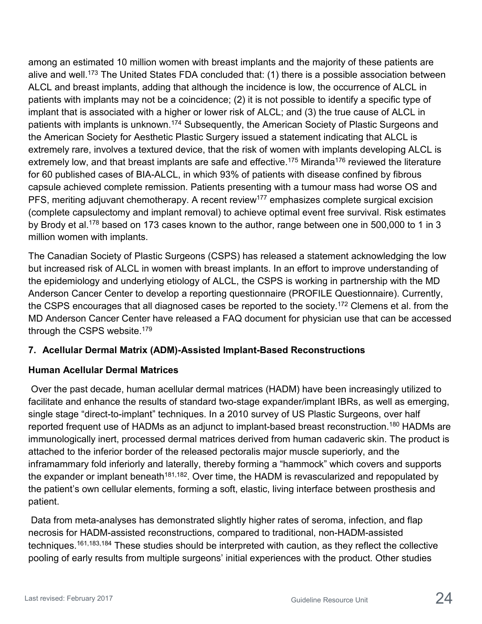among an estimated 10 million women with breast implants and the majority of these patients are alive and well.<sup>173</sup> The United States FDA concluded that: (1) there is a possible association between ALCL and breast implants, adding that although the incidence is low, the occurrence of ALCL in patients with implants may not be a coincidence; (2) it is not possible to identify a specific type of implant that is associated with a higher or lower risk of ALCL; and (3) the true cause of ALCL in patients with implants is unknown.<sup>174</sup> Subsequently, the American Society of Plastic Surgeons and the American Society for Aesthetic Plastic Surgery issued a statement indicating that ALCL is extremely rare, involves a textured device, that the risk of women with implants developing ALCL is extremely low, and that breast implants are safe and effective.<sup>175</sup> Miranda<sup>176</sup> reviewed the literature for 60 published cases of BIA-ALCL, in which 93% of patients with disease confined by fibrous capsule achieved complete remission. Patients presenting with a tumour mass had worse OS and PFS, meriting adjuvant chemotherapy. A recent review<sup>177</sup> emphasizes complete surgical excision (complete capsulectomy and implant removal) to achieve optimal event free survival. Risk estimates by Brody et al.<sup>178</sup> based on 173 cases known to the author, range between one in 500,000 to 1 in 3 million women with implants.

The Canadian Society of Plastic Surgeons (CSPS) has released a statement acknowledging the low but increased risk of ALCL in women with breast implants. In an effort to improve understanding of the epidemiology and underlying etiology of ALCL, the CSPS is working in partnership with the MD Anderson Cancer Center to develop a reporting questionnaire (PROFILE Questionnaire). Currently, the CSPS encourages that all diagnosed cases be reported to the society.<sup>172</sup> Clemens et al. from the MD Anderson Cancer Center have released a FAQ document for physician use that can be accessed through the CSPS website.<sup>179</sup>

### **7. Acellular Dermal Matrix (ADM)-Assisted Implant-Based Reconstructions**

### **Human Acellular Dermal Matrices**

Over the past decade, human acellular dermal matrices (HADM) have been increasingly utilized to facilitate and enhance the results of standard two-stage expander/implant IBRs, as well as emerging, single stage "direct-to-implant" techniques. In a 2010 survey of US Plastic Surgeons, over half reported frequent use of HADMs as an adjunct to implant-based breast reconstruction.<sup>180</sup> HADMs are immunologically inert, processed dermal matrices derived from human cadaveric skin. The product is attached to the inferior border of the released pectoralis major muscle superiorly, and the inframammary fold inferiorly and laterally, thereby forming a "hammock" which covers and supports the expander or implant beneath<sup>181,182</sup>. Over time, the HADM is revascularized and repopulated by the patient's own cellular elements, forming a soft, elastic, living interface between prosthesis and patient.

Data from meta-analyses has demonstrated slightly higher rates of seroma, infection, and flap necrosis for HADM-assisted reconstructions, compared to traditional, non-HADM-assisted techniques.<sup>161,183,184</sup> These studies should be interpreted with caution, as they reflect the collective pooling of early results from multiple surgeons' initial experiences with the product. Other studies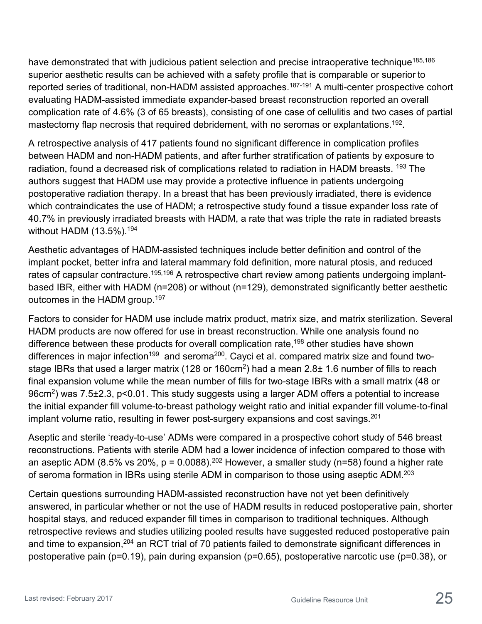have demonstrated that with judicious patient selection and precise intraoperative technique<sup>185,186</sup> superior aesthetic results can be achieved with a safety profile that is comparable or superior to reported series of traditional, non-HADM assisted approaches.<sup>187-191</sup> A multi-center prospective cohort evaluating HADM-assisted immediate expander-based breast reconstruction reported an overall complication rate of 4.6% (3 of 65 breasts), consisting of one case of cellulitis and two cases of partial mastectomy flap necrosis that required debridement, with no seromas or explantations.<sup>192</sup>.

A retrospective analysis of 417 patients found no significant difference in complication profiles between HADM and non-HADM patients, and after further stratification of patients by exposure to radiation, found a decreased risk of complications related to radiation in HADM breasts. <sup>193</sup> The authors suggest that HADM use may provide a protective influence in patients undergoing postoperative radiation therapy. In a breast that has been previously irradiated, there is evidence which contraindicates the use of HADM; a retrospective study found a tissue expander loss rate of 40.7% in previously irradiated breasts with HADM, a rate that was triple the rate in radiated breasts without HADM (13.5%).<sup>194</sup>

Aesthetic advantages of HADM-assisted techniques include better definition and control of the implant pocket, better infra and lateral mammary fold definition, more natural ptosis, and reduced rates of capsular contracture.<sup>195,196</sup> A retrospective chart review among patients undergoing implantbased IBR, either with HADM (n=208) or without (n=129), demonstrated significantly better aesthetic outcomes in the HADM group.<sup>197</sup>

Factors to consider for HADM use include matrix product, matrix size, and matrix sterilization. Several HADM products are now offered for use in breast reconstruction. While one analysis found no difference between these products for overall complication rate,<sup>198</sup> other studies have shown differences in major infection<sup>199</sup> and seroma<sup>200</sup>. Cayci et al. compared matrix size and found twostage IBRs that used a larger matrix (128 or 160cm<sup>2</sup>) had a mean 2.8± 1.6 number of fills to reach final expansion volume while the mean number of fills for two-stage IBRs with a small matrix (48 or 96cm<sup>2</sup>) was 7.5±2.3, p<0.01. This study suggests using a larger ADM offers a potential to increase the initial expander fill volume-to-breast pathology weight ratio and initial expander fill volume-to-final implant volume ratio, resulting in fewer post-surgery expansions and cost savings.<sup>201</sup>

Aseptic and sterile 'ready-to-use' ADMs were compared in a prospective cohort study of 546 breast reconstructions. Patients with sterile ADM had a lower incidence of infection compared to those with an aseptic ADM (8.5% vs 20%,  $p = 0.0088$ ).<sup>202</sup> However, a smaller study (n=58) found a higher rate of seroma formation in IBRs using sterile ADM in comparison to those using aseptic ADM.<sup>203</sup>

Certain questions surrounding HADM-assisted reconstruction have not yet been definitively answered, in particular whether or not the use of HADM results in reduced postoperative pain, shorter hospital stays, and reduced expander fill times in comparison to traditional techniques. Although retrospective reviews and studies utilizing pooled results have suggested reduced postoperative pain and time to expansion,<sup>204</sup> an RCT trial of 70 patients failed to demonstrate significant differences in postoperative pain (p=0.19), pain during expansion (p=0.65), postoperative narcotic use (p=0.38), or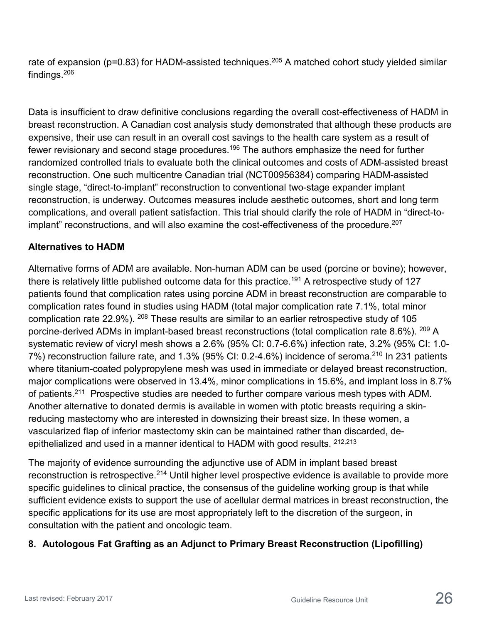rate of expansion (p=0.83) for HADM-assisted techniques.<sup>205</sup> A matched cohort study yielded similar findings.206

Data is insufficient to draw definitive conclusions regarding the overall cost-effectiveness of HADM in breast reconstruction. A Canadian cost analysis study demonstrated that although these products are expensive, their use can result in an overall cost savings to the health care system as a result of fewer revisionary and second stage procedures.<sup>196</sup> The authors emphasize the need for further randomized controlled trials to evaluate both the clinical outcomes and costs of ADM-assisted breast reconstruction. One such multicentre Canadian trial (NCT00956384) comparing HADM-assisted single stage, "direct-to-implant" reconstruction to conventional two-stage expander implant reconstruction, is underway. Outcomes measures include aesthetic outcomes, short and long term complications, and overall patient satisfaction. This trial should clarify the role of HADM in "direct-toimplant" reconstructions, and will also examine the cost-effectiveness of the procedure.<sup>207</sup>

#### **Alternatives to HADM**

Alternative forms of ADM are available. Non-human ADM can be used (porcine or bovine); however, there is relatively little published outcome data for this practice.<sup>191</sup> A retrospective study of 127 patients found that complication rates using porcine ADM in breast reconstruction are comparable to complication rates found in studies using HADM (total major complication rate 7.1%, total minor complication rate 22.9%). 208 These results are similar to an earlier retrospective study of 105 porcine-derived ADMs in implant-based breast reconstructions (total complication rate 8.6%). 209 A systematic review of vicryl mesh shows a 2.6% (95% CI: 0.7-6.6%) infection rate, 3.2% (95% CI: 1.0- 7%) reconstruction failure rate, and 1.3% (95% CI: 0.2-4.6%) incidence of seroma.<sup>210</sup> In 231 patients where titanium-coated polypropylene mesh was used in immediate or delayed breast reconstruction, major complications were observed in 13.4%, minor complications in 15.6%, and implant loss in 8.7% of patients.<sup>211</sup> Prospective studies are needed to further compare various mesh types with ADM. Another alternative to donated dermis is available in women with ptotic breasts requiring a skinreducing mastectomy who are interested in downsizing their breast size. In these women, a vascularized flap of inferior mastectomy skin can be maintained rather than discarded, deepithelialized and used in a manner identical to HADM with good results. <sup>212,213</sup>

The majority of evidence surrounding the adjunctive use of ADM in implant based breast reconstruction is retrospective.<sup>214</sup> Until higher level prospective evidence is available to provide more specific guidelines to clinical practice, the consensus of the guideline working group is that while sufficient evidence exists to support the use of acellular dermal matrices in breast reconstruction, the specific applications for its use are most appropriately left to the discretion of the surgeon, in consultation with the patient and oncologic team.

### **8. Autologous Fat Grafting as an Adjunct to Primary Breast Reconstruction (Lipofilling)**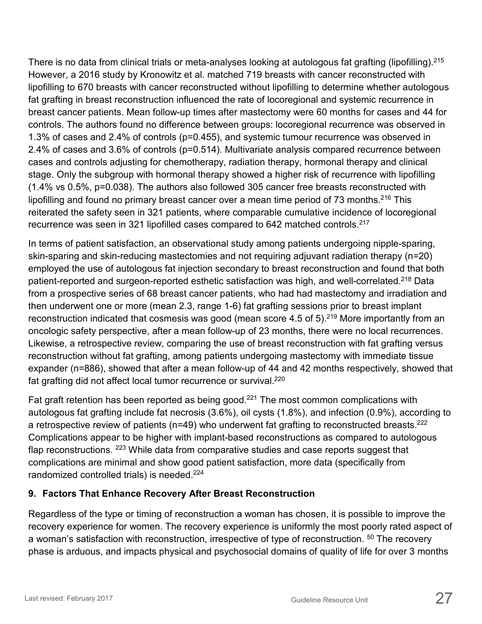There is no data from clinical trials or meta-analyses looking at autologous fat grafting (lipofilling).<sup>215</sup> However, a 2016 study by Kronowitz et al. matched 719 breasts with cancer reconstructed with lipofilling to 670 breasts with cancer reconstructed without lipofilling to determine whether autologous fat grafting in breast reconstruction influenced the rate of locoregional and systemic recurrence in breast cancer patients. Mean follow-up times after mastectomy were 60 months for cases and 44 for controls. The authors found no difference between groups: locoregional recurrence was observed in 1.3% of cases and 2.4% of controls (p=0.455), and systemic tumour recurrence was observed in 2.4% of cases and 3.6% of controls (p=0.514). Multivariate analysis compared recurrence between cases and controls adjusting for chemotherapy, radiation therapy, hormonal therapy and clinical stage. Only the subgroup with hormonal therapy showed a higher risk of recurrence with lipofilling (1.4% vs 0.5%, p=0.038). The authors also followed 305 cancer free breasts reconstructed with lipofilling and found no primary breast cancer over a mean time period of 73 months.<sup>216</sup> This reiterated the safety seen in 321 patients, where comparable cumulative incidence of locoregional recurrence was seen in 321 lipofilled cases compared to 642 matched controls.217

In terms of patient satisfaction, an observational study among patients undergoing nipple-sparing, skin-sparing and skin-reducing mastectomies and not requiring adjuvant radiation therapy (n=20) employed the use of autologous fat injection secondary to breast reconstruction and found that both patient-reported and surgeon-reported esthetic satisfaction was high, and well-correlated.<sup>218</sup> Data from a prospective series of 68 breast cancer patients, who had had mastectomy and irradiation and then underwent one or more (mean 2.3, range 1-6) fat grafting sessions prior to breast implant reconstruction indicated that cosmesis was good (mean score 4.5 of 5).<sup>219</sup> More importantly from an oncologic safety perspective, after a mean follow-up of 23 months, there were no local recurrences. Likewise, a retrospective review, comparing the use of breast reconstruction with fat grafting versus reconstruction without fat grafting, among patients undergoing mastectomy with immediate tissue expander (n=886), showed that after a mean follow-up of 44 and 42 months respectively, showed that fat grafting did not affect local tumor recurrence or survival.<sup>220</sup>

Fat graft retention has been reported as being good.<sup>221</sup> The most common complications with autologous fat grafting include fat necrosis (3.6%), oil cysts (1.8%), and infection (0.9%), according to a retrospective review of patients ( $n=49$ ) who underwent fat grafting to reconstructed breasts.<sup>222</sup> Complications appear to be higher with implant-based reconstructions as compared to autologous flap reconstructions. <sup>223</sup> While data from comparative studies and case reports suggest that complications are minimal and show good patient satisfaction, more data (specifically from randomized controlled trials) is needed.<sup>224</sup>

### **9. Factors That Enhance Recovery After Breast Reconstruction**

Regardless of the type or timing of reconstruction a woman has chosen, it is possible to improve the recovery experience for women. The recovery experience is uniformly the most poorly rated aspect of a woman's satisfaction with reconstruction, irrespective of type of reconstruction. <sup>50</sup> The recovery phase is arduous, and impacts physical and psychosocial domains of quality of life for over 3 months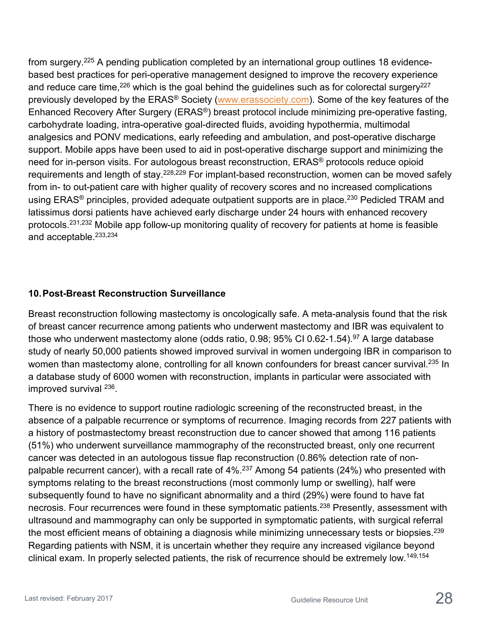from surgery.225 A pending publication completed by an international group outlines 18 evidencebased best practices for peri-operative management designed to improve the recovery experience and reduce care time,  $226$  which is the goal behind the guidelines such as for colorectal surgery  $227$ previously developed by the ERAS® Society [\(www.erassociety.com\)](http://www.erassociety.com/). Some of the key features of the Enhanced Recovery After Surgery (ERAS®) breast protocol include minimizing pre-operative fasting, carbohydrate loading, intra-operative goal-directed fluids, avoiding hypothermia, multimodal analgesics and PONV medications, early refeeding and ambulation, and post-operative discharge support. Mobile apps have been used to aid in post-operative discharge support and minimizing the need for in-person visits. For autologous breast reconstruction, ERAS® protocols reduce opioid requirements and length of stay.<sup>228,229</sup> For implant-based reconstruction, women can be moved safely from in- to out-patient care with higher quality of recovery scores and no increased complications using ERAS<sup>®</sup> principles, provided adequate outpatient supports are in place.<sup>230</sup> Pedicled TRAM and latissimus dorsi patients have achieved early discharge under 24 hours with enhanced recovery protocols.231,232 Mobile app follow-up monitoring quality of recovery for patients at home is feasible and acceptable.233,234

#### **10.Post-Breast Reconstruction Surveillance**

Breast reconstruction following mastectomy is oncologically safe. A meta-analysis found that the risk of breast cancer recurrence among patients who underwent mastectomy and IBR was equivalent to those who underwent mastectomy alone (odds ratio,  $0.98$ ;  $95\%$  CI 0.62-1.54).<sup>97</sup> A large database study of nearly 50,000 patients showed improved survival in women undergoing IBR in comparison to women than mastectomy alone, controlling for all known confounders for breast cancer survival.<sup>235</sup> In a database study of 6000 women with reconstruction, implants in particular were associated with improved survival 236.

There is no evidence to support routine radiologic screening of the reconstructed breast, in the absence of a palpable recurrence or symptoms of recurrence. Imaging records from 227 patients with a history of postmastectomy breast reconstruction due to cancer showed that among 116 patients (51%) who underwent surveillance mammography of the reconstructed breast, only one recurrent cancer was detected in an autologous tissue flap reconstruction (0.86% detection rate of nonpalpable recurrent cancer), with a recall rate of 4%.<sup>237</sup> Among 54 patients (24%) who presented with symptoms relating to the breast reconstructions (most commonly lump or swelling), half were subsequently found to have no significant abnormality and a third (29%) were found to have fat necrosis. Four recurrences were found in these symptomatic patients.<sup>238</sup> Presently, assessment with ultrasound and mammography can only be supported in symptomatic patients, with surgical referral the most efficient means of obtaining a diagnosis while minimizing unnecessary tests or biopsies.<sup>239</sup> Regarding patients with NSM, it is uncertain whether they require any increased vigilance beyond clinical exam. In properly selected patients, the risk of recurrence should be extremely low.<sup>149,154</sup>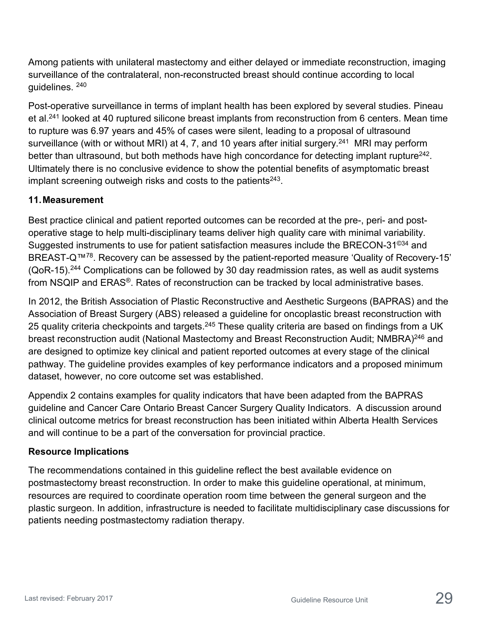Among patients with unilateral mastectomy and either delayed or immediate reconstruction, imaging surveillance of the contralateral, non-reconstructed breast should continue according to local guidelines. 240

Post-operative surveillance in terms of implant health has been explored by several studies. Pineau et al.241 looked at 40 ruptured silicone breast implants from reconstruction from 6 centers. Mean time to rupture was 6.97 years and 45% of cases were silent, leading to a proposal of ultrasound surveillance (with or without MRI) at 4, 7, and 10 years after initial surgery.<sup>241</sup> MRI may perform better than ultrasound, but both methods have high concordance for detecting implant rupture<sup>242</sup>. Ultimately there is no conclusive evidence to show the potential benefits of asymptomatic breast implant screening outweigh risks and costs to the patients $243$ .

#### **11.Measurement**

Best practice clinical and patient reported outcomes can be recorded at the pre-, peri- and postoperative stage to help multi-disciplinary teams deliver high quality care with minimal variability. Suggested instruments to use for patient satisfaction measures include the BRECON-31<sup>©34</sup> and BREAST-Q™78. Recovery can be assessed by the patient-reported measure 'Quality of Recovery-15' (QoR-15).244 Complications can be followed by 30 day readmission rates, as well as audit systems from NSQIP and ERAS®. Rates of reconstruction can be tracked by local administrative bases.

In 2012, the British Association of Plastic Reconstructive and Aesthetic Surgeons (BAPRAS) and the Association of Breast Surgery (ABS) released a guideline for oncoplastic breast reconstruction with 25 quality criteria checkpoints and targets.<sup>245</sup> These quality criteria are based on findings from a UK breast reconstruction audit (National Mastectomy and Breast Reconstruction Audit; NMBRA)<sup>246</sup> and are designed to optimize key clinical and patient reported outcomes at every stage of the clinical pathway. The guideline provides examples of key performance indicators and a proposed minimum dataset, however, no core outcome set was established.

Appendix 2 contains examples for quality indicators that have been adapted from the BAPRAS guideline and Cancer Care Ontario Breast Cancer Surgery Quality Indicators. A discussion around clinical outcome metrics for breast reconstruction has been initiated within Alberta Health Services and will continue to be a part of the conversation for provincial practice.

#### **Resource Implications**

The recommendations contained in this guideline reflect the best available evidence on postmastectomy breast reconstruction. In order to make this guideline operational, at minimum, resources are required to coordinate operation room time between the general surgeon and the plastic surgeon. In addition, infrastructure is needed to facilitate multidisciplinary case discussions for patients needing postmastectomy radiation therapy.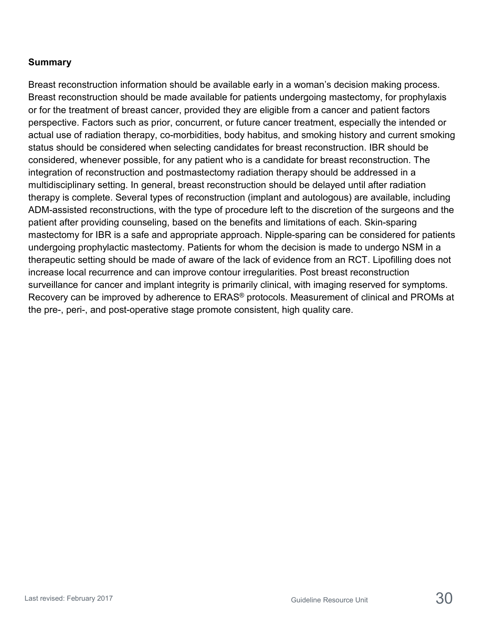#### **Summary**

Breast reconstruction information should be available early in a woman's decision making process. Breast reconstruction should be made available for patients undergoing mastectomy, for prophylaxis or for the treatment of breast cancer, provided they are eligible from a cancer and patient factors perspective. Factors such as prior, concurrent, or future cancer treatment, especially the intended or actual use of radiation therapy, co-morbidities, body habitus, and smoking history and current smoking status should be considered when selecting candidates for breast reconstruction. IBR should be considered, whenever possible, for any patient who is a candidate for breast reconstruction. The integration of reconstruction and postmastectomy radiation therapy should be addressed in a multidisciplinary setting. In general, breast reconstruction should be delayed until after radiation therapy is complete. Several types of reconstruction (implant and autologous) are available, including ADM-assisted reconstructions, with the type of procedure left to the discretion of the surgeons and the patient after providing counseling, based on the benefits and limitations of each. Skin-sparing mastectomy for IBR is a safe and appropriate approach. Nipple-sparing can be considered for patients undergoing prophylactic mastectomy. Patients for whom the decision is made to undergo NSM in a therapeutic setting should be made of aware of the lack of evidence from an RCT. Lipofilling does not increase local recurrence and can improve contour irregularities. Post breast reconstruction surveillance for cancer and implant integrity is primarily clinical, with imaging reserved for symptoms. Recovery can be improved by adherence to ERAS<sup>®</sup> protocols. Measurement of clinical and PROMs at the pre-, peri-, and post-operative stage promote consistent, high quality care.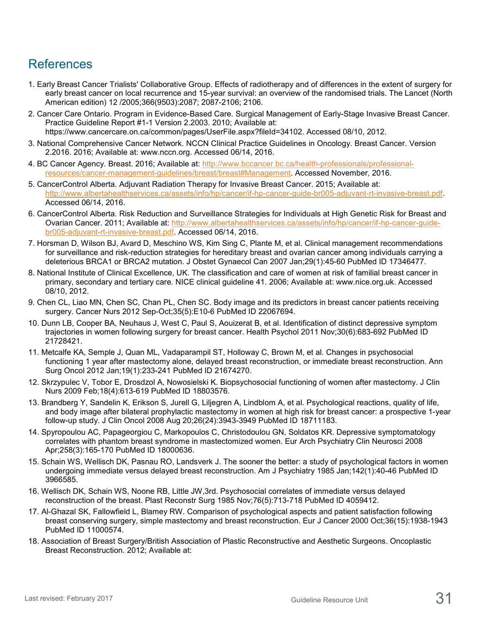# References

- 1. Early Breast Cancer Trialists' Collaborative Group. Effects of radiotherapy and of differences in the extent of surgery for early breast cancer on local recurrence and 15-year survival: an overview of the randomised trials. The Lancet (North American edition) 12 /2005;366(9503):2087; 2087-2106; 2106.
- 2. Cancer Care Ontario. Program in Evidence-Based Care. Surgical Management of Early-Stage Invasive Breast Cancer. Practice Guideline Report #1-1 Version 2.2003. 2010; Available at: https://www.cancercare.on.ca/common/pages/UserFile.aspx?fileId=34102. Accessed 08/10, 2012.
- 3. National Comprehensive Cancer Network. NCCN Clinical Practice Guidelines in Oncology. Breast Cancer. Version 2.2016. 2016; Available at: www.nccn.org. Accessed 06/14, 2016.
- 4. BC Cancer Agency. Breast. 2016; Available at: [http://www.bccancer.bc.ca/health-professionals/professional](http://www.bccancer.bc.ca/health-professionals/professional-resources/cancer-management-guidelines/breast/breast#Management)[resources/cancer-management-guidelines/breast/breast#Management.](http://www.bccancer.bc.ca/health-professionals/professional-resources/cancer-management-guidelines/breast/breast#Management) Accessed November, 2016.
- 5. CancerControl Alberta. Adjuvant Radiation Therapy for Invasive Breast Cancer. 2015; Available at: [http://www.albertahealthservices.ca/assets/info/hp/cancer/if-hp-cancer-guide-br005-adjuvant-rt-invasive-breast.pdf.](http://www.albertahealthservices.ca/assets/info/hp/cancer/if-hp-cancer-guide-br005-adjuvant-rt-invasive-breast.pdf) Accessed 06/14, 2016.
- 6. CancerControl Alberta. Risk Reduction and Surveillance Strategies for Individuals at High Genetic Risk for Breast and Ovarian Cancer. 2011; Available at: [http://www.albertahealthservices.ca/assets/info/hp/cancer/if-hp-cancer-guide](http://www.albertahealthservices.ca/assets/info/hp/cancer/if-hp-cancer-guide-br005-adjuvant-rt-invasive-breast.pdf)[br005-adjuvant-rt-invasive-breast.pdf.](http://www.albertahealthservices.ca/assets/info/hp/cancer/if-hp-cancer-guide-br005-adjuvant-rt-invasive-breast.pdf) Accessed 06/14, 2016.
- 7. Horsman D, Wilson BJ, Avard D, Meschino WS, Kim Sing C, Plante M, et al. Clinical management recommendations for surveillance and risk-reduction strategies for hereditary breast and ovarian cancer among individuals carrying a deleterious BRCA1 or BRCA2 mutation. J Obstet Gynaecol Can 2007 Jan;29(1):45-60 PubMed ID 17346477.
- 8. National Institute of Clinical Excellence, UK. The classification and care of women at risk of familial breast cancer in primary, secondary and tertiary care. NICE clinical guideline 41. 2006; Available at: www.nice.org.uk. Accessed 08/10, 2012.
- 9. Chen CL, Liao MN, Chen SC, Chan PL, Chen SC. Body image and its predictors in breast cancer patients receiving surgery. Cancer Nurs 2012 Sep-Oct;35(5):E10-6 PubMed ID 22067694.
- 10. Dunn LB, Cooper BA, Neuhaus J, West C, Paul S, Aouizerat B, et al. Identification of distinct depressive symptom trajectories in women following surgery for breast cancer. Health Psychol 2011 Nov;30(6):683-692 PubMed ID 21728421.
- 11. Metcalfe KA, Semple J, Quan ML, Vadaparampil ST, Holloway C, Brown M, et al. Changes in psychosocial functioning 1 year after mastectomy alone, delayed breast reconstruction, or immediate breast reconstruction. Ann Surg Oncol 2012 Jan;19(1):233-241 PubMed ID 21674270.
- 12. Skrzypulec V, Tobor E, Drosdzol A, Nowosielski K. Biopsychosocial functioning of women after mastectomy. J Clin Nurs 2009 Feb;18(4):613-619 PubMed ID 18803576.
- 13. Brandberg Y, Sandelin K, Erikson S, Jurell G, Liljegren A, Lindblom A, et al. Psychological reactions, quality of life, and body image after bilateral prophylactic mastectomy in women at high risk for breast cancer: a prospective 1-year follow-up study. J Clin Oncol 2008 Aug 20;26(24):3943-3949 PubMed ID 18711183.
- 14. Spyropoulou AC, Papageorgiou C, Markopoulos C, Christodoulou GN, Soldatos KR. Depressive symptomatology correlates with phantom breast syndrome in mastectomized women. Eur Arch Psychiatry Clin Neurosci 2008 Apr;258(3):165-170 PubMed ID 18000636.
- 15. Schain WS, Wellisch DK, Pasnau RO, Landsverk J. The sooner the better: a study of psychological factors in women undergoing immediate versus delayed breast reconstruction. Am J Psychiatry 1985 Jan;142(1):40-46 PubMed ID 3966585.
- 16. Wellisch DK, Schain WS, Noone RB, Little JW,3rd. Psychosocial correlates of immediate versus delayed reconstruction of the breast. Plast Reconstr Surg 1985 Nov;76(5):713-718 PubMed ID 4059412.
- 17. Al-Ghazal SK, Fallowfield L, Blamey RW. Comparison of psychological aspects and patient satisfaction following breast conserving surgery, simple mastectomy and breast reconstruction. Eur J Cancer 2000 Oct;36(15):1938-1943 PubMed ID 11000574.
- 18. Association of Breast Surgery/British Association of Plastic Reconstructive and Aesthetic Surgeons. Oncoplastic Breast Reconstruction. 2012; Available at: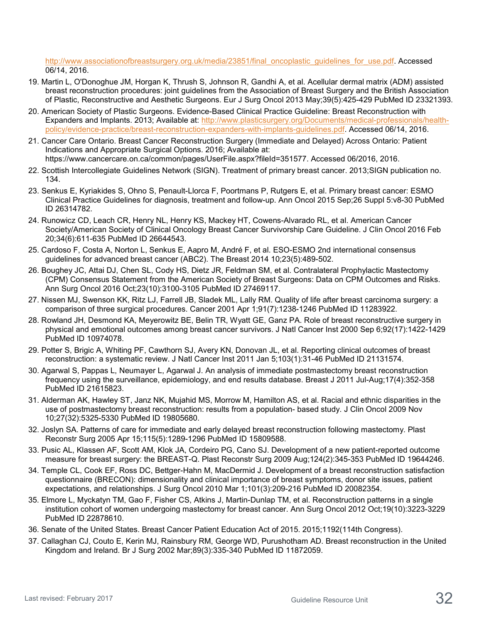[http://www.associationofbreastsurgery.org.uk/media/23851/final\\_oncoplastic\\_guidelines\\_for\\_use.pdf.](http://www.associationofbreastsurgery.org.uk/media/23851/final_oncoplastic_guidelines_for_use.pdf) Accessed 06/14, 2016.

- 19. Martin L, O'Donoghue JM, Horgan K, Thrush S, Johnson R, Gandhi A, et al. Acellular dermal matrix (ADM) assisted breast reconstruction procedures: joint guidelines from the Association of Breast Surgery and the British Association of Plastic, Reconstructive and Aesthetic Surgeons. Eur J Surg Oncol 2013 May;39(5):425-429 PubMed ID 23321393.
- 20. American Society of Plastic Surgeons. Evidence-Based Clinical Practice Guideline: Breast Reconstruction with Expanders and Implants. 2013; Available at: [http://www.plasticsurgery.org/Documents/medical-professionals/health](http://www.plasticsurgery.org/Documents/medical-professionals/health-policy/evidence-practice/breast-reconstruction-expanders-with-implants-guidelines.pdf)[policy/evidence-practice/breast-reconstruction-expanders-with-implants-guidelines.pdf.](http://www.plasticsurgery.org/Documents/medical-professionals/health-policy/evidence-practice/breast-reconstruction-expanders-with-implants-guidelines.pdf) Accessed 06/14, 2016.
- 21. Cancer Care Ontario. Breast Cancer Reconstruction Surgery (Immediate and Delayed) Across Ontario: Patient Indications and Appropriate Surgical Options. 2016; Available at: https://www.cancercare.on.ca/common/pages/UserFile.aspx?fileId=351577. Accessed 06/2016, 2016.
- 22. Scottish Intercollegiate Guidelines Network (SIGN). Treatment of primary breast cancer. 2013;SIGN publication no. 134.
- 23. Senkus E, Kyriakides S, Ohno S, Penault-Llorca F, Poortmans P, Rutgers E, et al. Primary breast cancer: ESMO Clinical Practice Guidelines for diagnosis, treatment and follow-up. Ann Oncol 2015 Sep;26 Suppl 5:v8-30 PubMed ID 26314782.
- 24. Runowicz CD, Leach CR, Henry NL, Henry KS, Mackey HT, Cowens-Alvarado RL, et al. American Cancer Society/American Society of Clinical Oncology Breast Cancer Survivorship Care Guideline. J Clin Oncol 2016 Feb 20;34(6):611-635 PubMed ID 26644543.
- 25. Cardoso F, Costa A, Norton L, Senkus E, Aapro M, André F, et al. ESO-ESMO 2nd international consensus guidelines for advanced breast cancer (ABC2). The Breast 2014 10;23(5):489-502.
- 26. Boughey JC, Attai DJ, Chen SL, Cody HS, Dietz JR, Feldman SM, et al. Contralateral Prophylactic Mastectomy (CPM) Consensus Statement from the American Society of Breast Surgeons: Data on CPM Outcomes and Risks. Ann Surg Oncol 2016 Oct;23(10):3100-3105 PubMed ID 27469117.
- 27. Nissen MJ, Swenson KK, Ritz LJ, Farrell JB, Sladek ML, Lally RM. Quality of life after breast carcinoma surgery: a comparison of three surgical procedures. Cancer 2001 Apr 1;91(7):1238-1246 PubMed ID 11283922.
- 28. Rowland JH, Desmond KA, Meyerowitz BE, Belin TR, Wyatt GE, Ganz PA. Role of breast reconstructive surgery in physical and emotional outcomes among breast cancer survivors. J Natl Cancer Inst 2000 Sep 6;92(17):1422-1429 PubMed ID 10974078.
- 29. Potter S, Brigic A, Whiting PF, Cawthorn SJ, Avery KN, Donovan JL, et al. Reporting clinical outcomes of breast reconstruction: a systematic review. J Natl Cancer Inst 2011 Jan 5;103(1):31-46 PubMed ID 21131574.
- 30. Agarwal S, Pappas L, Neumayer L, Agarwal J. An analysis of immediate postmastectomy breast reconstruction frequency using the surveillance, epidemiology, and end results database. Breast J 2011 Jul-Aug;17(4):352-358 PubMed ID 21615823.
- 31. Alderman AK, Hawley ST, Janz NK, Mujahid MS, Morrow M, Hamilton AS, et al. Racial and ethnic disparities in the use of postmastectomy breast reconstruction: results from a population- based study. J Clin Oncol 2009 Nov 10;27(32):5325-5330 PubMed ID 19805680.
- 32. Joslyn SA. Patterns of care for immediate and early delayed breast reconstruction following mastectomy. Plast Reconstr Surg 2005 Apr 15;115(5):1289-1296 PubMed ID 15809588.
- 33. Pusic AL, Klassen AF, Scott AM, Klok JA, Cordeiro PG, Cano SJ. Development of a new patient-reported outcome measure for breast surgery: the BREAST-Q. Plast Reconstr Surg 2009 Aug;124(2):345-353 PubMed ID 19644246.
- 34. Temple CL, Cook EF, Ross DC, Bettger-Hahn M, MacDermid J. Development of a breast reconstruction satisfaction questionnaire (BRECON): dimensionality and clinical importance of breast symptoms, donor site issues, patient expectations, and relationships. J Surg Oncol 2010 Mar 1;101(3):209-216 PubMed ID 20082354.
- 35. Elmore L, Myckatyn TM, Gao F, Fisher CS, Atkins J, Martin-Dunlap TM, et al. Reconstruction patterns in a single institution cohort of women undergoing mastectomy for breast cancer. Ann Surg Oncol 2012 Oct;19(10):3223-3229 PubMed ID 22878610.
- 36. Senate of the United States. Breast Cancer Patient Education Act of 2015. 2015;1192(114th Congress).
- 37. Callaghan CJ, Couto E, Kerin MJ, Rainsbury RM, George WD, Purushotham AD. Breast reconstruction in the United Kingdom and Ireland. Br J Surg 2002 Mar;89(3):335-340 PubMed ID 11872059.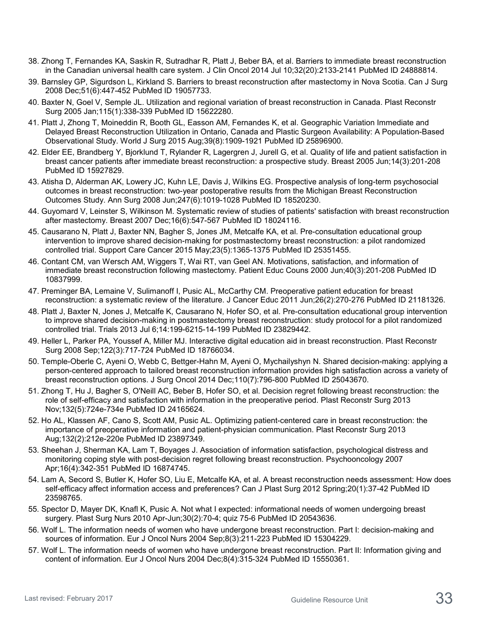- 38. Zhong T, Fernandes KA, Saskin R, Sutradhar R, Platt J, Beber BA, et al. Barriers to immediate breast reconstruction in the Canadian universal health care system. J Clin Oncol 2014 Jul 10;32(20):2133-2141 PubMed ID 24888814.
- 39. Barnsley GP, Sigurdson L, Kirkland S. Barriers to breast reconstruction after mastectomy in Nova Scotia. Can J Surg 2008 Dec;51(6):447-452 PubMed ID 19057733.
- 40. Baxter N, Goel V, Semple JL. Utilization and regional variation of breast reconstruction in Canada. Plast Reconstr Surg 2005 Jan;115(1):338-339 PubMed ID 15622280.
- 41. Platt J, Zhong T, Moineddin R, Booth GL, Easson AM, Fernandes K, et al. Geographic Variation Immediate and Delayed Breast Reconstruction Utilization in Ontario, Canada and Plastic Surgeon Availability: A Population-Based Observational Study. World J Surg 2015 Aug;39(8):1909-1921 PubMed ID 25896900.
- 42. Elder EE, Brandberg Y, Bjorklund T, Rylander R, Lagergren J, Jurell G, et al. Quality of life and patient satisfaction in breast cancer patients after immediate breast reconstruction: a prospective study. Breast 2005 Jun;14(3):201-208 PubMed ID 15927829.
- 43. Atisha D, Alderman AK, Lowery JC, Kuhn LE, Davis J, Wilkins EG. Prospective analysis of long-term psychosocial outcomes in breast reconstruction: two-year postoperative results from the Michigan Breast Reconstruction Outcomes Study. Ann Surg 2008 Jun;247(6):1019-1028 PubMed ID 18520230.
- 44. Guyomard V, Leinster S, Wilkinson M. Systematic review of studies of patients' satisfaction with breast reconstruction after mastectomy. Breast 2007 Dec;16(6):547-567 PubMed ID 18024116.
- 45. Causarano N, Platt J, Baxter NN, Bagher S, Jones JM, Metcalfe KA, et al. Pre-consultation educational group intervention to improve shared decision-making for postmastectomy breast reconstruction: a pilot randomized controlled trial. Support Care Cancer 2015 May;23(5):1365-1375 PubMed ID 25351455.
- 46. Contant CM, van Wersch AM, Wiggers T, Wai RT, van Geel AN. Motivations, satisfaction, and information of immediate breast reconstruction following mastectomy. Patient Educ Couns 2000 Jun;40(3):201-208 PubMed ID 10837999.
- 47. Preminger BA, Lemaine V, Sulimanoff I, Pusic AL, McCarthy CM. Preoperative patient education for breast reconstruction: a systematic review of the literature. J Cancer Educ 2011 Jun;26(2):270-276 PubMed ID 21181326.
- 48. Platt J, Baxter N, Jones J, Metcalfe K, Causarano N, Hofer SO, et al. Pre-consultation educational group intervention to improve shared decision-making in postmastectomy breast reconstruction: study protocol for a pilot randomized controlled trial. Trials 2013 Jul 6;14:199-6215-14-199 PubMed ID 23829442.
- 49. Heller L, Parker PA, Youssef A, Miller MJ. Interactive digital education aid in breast reconstruction. Plast Reconstr Surg 2008 Sep;122(3):717-724 PubMed ID 18766034.
- 50. Temple-Oberle C, Ayeni O, Webb C, Bettger-Hahn M, Ayeni O, Mychailyshyn N. Shared decision-making: applying a person-centered approach to tailored breast reconstruction information provides high satisfaction across a variety of breast reconstruction options. J Surg Oncol 2014 Dec;110(7):796-800 PubMed ID 25043670.
- 51. Zhong T, Hu J, Bagher S, O'Neill AC, Beber B, Hofer SO, et al. Decision regret following breast reconstruction: the role of self-efficacy and satisfaction with information in the preoperative period. Plast Reconstr Surg 2013 Nov;132(5):724e-734e PubMed ID 24165624.
- 52. Ho AL, Klassen AF, Cano S, Scott AM, Pusic AL. Optimizing patient-centered care in breast reconstruction: the importance of preoperative information and patient-physician communication. Plast Reconstr Surg 2013 Aug;132(2):212e-220e PubMed ID 23897349.
- 53. Sheehan J, Sherman KA, Lam T, Boyages J. Association of information satisfaction, psychological distress and monitoring coping style with post-decision regret following breast reconstruction. Psychooncology 2007 Apr;16(4):342-351 PubMed ID 16874745.
- 54. Lam A, Secord S, Butler K, Hofer SO, Liu E, Metcalfe KA, et al. A breast reconstruction needs assessment: How does self-efficacy affect information access and preferences? Can J Plast Surg 2012 Spring;20(1):37-42 PubMed ID 23598765.
- 55. Spector D, Mayer DK, Knafl K, Pusic A. Not what I expected: informational needs of women undergoing breast surgery. Plast Surg Nurs 2010 Apr-Jun;30(2):70-4; quiz 75-6 PubMed ID 20543636.
- 56. Wolf L. The information needs of women who have undergone breast reconstruction. Part I: decision-making and sources of information. Eur J Oncol Nurs 2004 Sep;8(3):211-223 PubMed ID 15304229.
- 57. Wolf L. The information needs of women who have undergone breast reconstruction. Part II: Information giving and content of information. Eur J Oncol Nurs 2004 Dec;8(4):315-324 PubMed ID 15550361.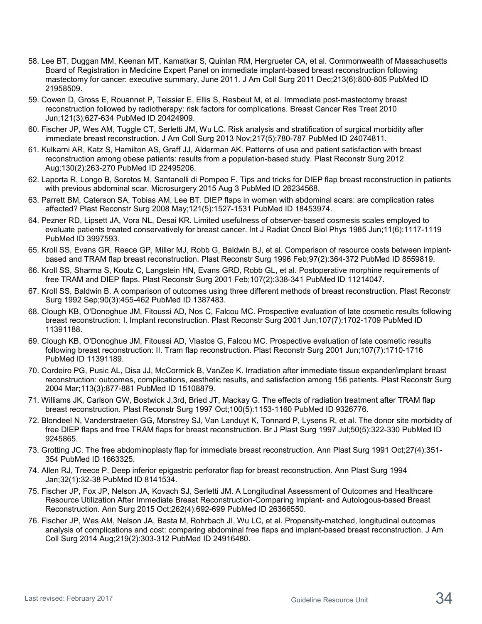- 58. Lee BT, Duggan MM, Keenan MT, Kamatkar S, Quinlan RM, Hergrueter CA, et al. Commonwealth of Massachusetts Board of Registration in Medicine Expert Panel on immediate implant-based breast reconstruction following mastectomy for cancer: executive summary, June 2011. J Am Coll Surg 2011 Dec;213(6):800-805 PubMed ID 21958509.
- 59. Cowen D, Gross E, Rouannet P, Teissier E, Ellis S, Resbeut M, et al. Immediate post-mastectomy breast reconstruction followed by radiotherapy: risk factors for complications. Breast Cancer Res Treat 2010 Jun;121(3):627-634 PubMed ID 20424909.
- 60. Fischer JP, Wes AM, Tuggle CT, Serletti JM, Wu LC. Risk analysis and stratification of surgical morbidity after immediate breast reconstruction. J Am Coll Surg 2013 Nov;217(5):780-787 PubMed ID 24074811.
- 61. Kulkarni AR, Katz S, Hamilton AS, Graff JJ, Alderman AK. Patterns of use and patient satisfaction with breast reconstruction among obese patients: results from a population-based study. Plast Reconstr Surg 2012 Aug;130(2):263-270 PubMed ID 22495206.
- 62. Laporta R, Longo B, Sorotos M, Santanelli di Pompeo F. Tips and tricks for DIEP flap breast reconstruction in patients with previous abdominal scar. Microsurgery 2015 Aug 3 PubMed ID 26234568.
- 63. Parrett BM, Caterson SA, Tobias AM, Lee BT. DIEP flaps in women with abdominal scars: are complication rates affected? Plast Reconstr Surg 2008 May;121(5):1527-1531 PubMed ID 18453974.
- 64. Pezner RD, Lipsett JA, Vora NL, Desai KR. Limited usefulness of observer-based cosmesis scales employed to evaluate patients treated conservatively for breast cancer. Int J Radiat Oncol Biol Phys 1985 Jun;11(6):1117-1119 PubMed ID 3997593.
- 65. Kroll SS, Evans GR, Reece GP, Miller MJ, Robb G, Baldwin BJ, et al. Comparison of resource costs between implantbased and TRAM flap breast reconstruction. Plast Reconstr Surg 1996 Feb;97(2):364-372 PubMed ID 8559819.
- 66. Kroll SS, Sharma S, Koutz C, Langstein HN, Evans GRD, Robb GL, et al. Postoperative morphine requirements of free TRAM and DIEP flaps. Plast Reconstr Surg 2001 Feb;107(2):338-341 PubMed ID 11214047.
- 67. Kroll SS, Baldwin B. A comparison of outcomes using three different methods of breast reconstruction. Plast Reconstr Surg 1992 Sep;90(3):455-462 PubMed ID 1387483.
- 68. Clough KB, O'Donoghue JM, Fitoussi AD, Nos C, Falcou MC. Prospective evaluation of late cosmetic results following breast reconstruction: I. Implant reconstruction. Plast Reconstr Surg 2001 Jun;107(7):1702-1709 PubMed ID 11391188.
- 69. Clough KB, O'Donoghue JM, Fitoussi AD, Vlastos G, Falcou MC. Prospective evaluation of late cosmetic results following breast reconstruction: II. Tram flap reconstruction. Plast Reconstr Surg 2001 Jun;107(7):1710-1716 PubMed ID 11391189.
- 70. Cordeiro PG, Pusic AL, Disa JJ, McCormick B, VanZee K. Irradiation after immediate tissue expander/implant breast reconstruction: outcomes, complications, aesthetic results, and satisfaction among 156 patients. Plast Reconstr Surg 2004 Mar;113(3):877-881 PubMed ID 15108879.
- 71. Williams JK, Carlson GW, Bostwick J,3rd, Bried JT, Mackay G. The effects of radiation treatment after TRAM flap breast reconstruction. Plast Reconstr Surg 1997 Oct;100(5):1153-1160 PubMed ID 9326776.
- 72. Blondeel N, Vanderstraeten GG, Monstrey SJ, Van Landuyt K, Tonnard P, Lysens R, et al. The donor site morbidity of free DIEP flaps and free TRAM flaps for breast reconstruction. Br J Plast Surg 1997 Jul;50(5):322-330 PubMed ID 9245865.
- 73. Grotting JC. The free abdominoplasty flap for immediate breast reconstruction. Ann Plast Surg 1991 Oct;27(4):351- 354 PubMed ID 1663325.
- 74. Allen RJ, Treece P. Deep inferior epigastric perforator flap for breast reconstruction. Ann Plast Surg 1994 Jan;32(1):32-38 PubMed ID 8141534.
- 75. Fischer JP, Fox JP, Nelson JA, Kovach SJ, Serletti JM. A Longitudinal Assessment of Outcomes and Healthcare Resource Utilization After Immediate Breast Reconstruction-Comparing Implant- and Autologous-based Breast Reconstruction. Ann Surg 2015 Oct;262(4):692-699 PubMed ID 26366550.
- 76. Fischer JP, Wes AM, Nelson JA, Basta M, Rohrbach JI, Wu LC, et al. Propensity-matched, longitudinal outcomes analysis of complications and cost: comparing abdominal free flaps and implant-based breast reconstruction. J Am Coll Surg 2014 Aug;219(2):303-312 PubMed ID 24916480.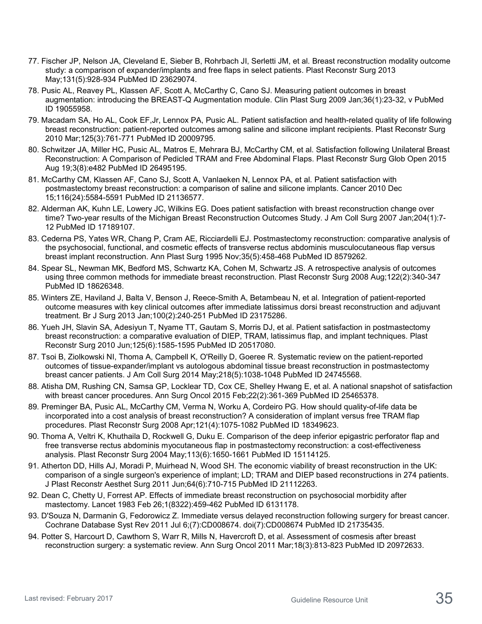- 77. Fischer JP, Nelson JA, Cleveland E, Sieber B, Rohrbach JI, Serletti JM, et al. Breast reconstruction modality outcome study: a comparison of expander/implants and free flaps in select patients. Plast Reconstr Surg 2013 May;131(5):928-934 PubMed ID 23629074.
- 78. Pusic AL, Reavey PL, Klassen AF, Scott A, McCarthy C, Cano SJ. Measuring patient outcomes in breast augmentation: introducing the BREAST-Q Augmentation module. Clin Plast Surg 2009 Jan;36(1):23-32, v PubMed ID 19055958.
- 79. Macadam SA, Ho AL, Cook EF,Jr, Lennox PA, Pusic AL. Patient satisfaction and health-related quality of life following breast reconstruction: patient-reported outcomes among saline and silicone implant recipients. Plast Reconstr Surg 2010 Mar;125(3):761-771 PubMed ID 20009795.
- 80. Schwitzer JA, Miller HC, Pusic AL, Matros E, Mehrara BJ, McCarthy CM, et al. Satisfaction following Unilateral Breast Reconstruction: A Comparison of Pedicled TRAM and Free Abdominal Flaps. Plast Reconstr Surg Glob Open 2015 Aug 19;3(8):e482 PubMed ID 26495195.
- 81. McCarthy CM, Klassen AF, Cano SJ, Scott A, Vanlaeken N, Lennox PA, et al. Patient satisfaction with postmastectomy breast reconstruction: a comparison of saline and silicone implants. Cancer 2010 Dec 15;116(24):5584-5591 PubMed ID 21136577.
- 82. Alderman AK, Kuhn LE, Lowery JC, Wilkins EG. Does patient satisfaction with breast reconstruction change over time? Two-year results of the Michigan Breast Reconstruction Outcomes Study. J Am Coll Surg 2007 Jan;204(1):7- 12 PubMed ID 17189107.
- 83. Cederna PS, Yates WR, Chang P, Cram AE, Ricciardelli EJ. Postmastectomy reconstruction: comparative analysis of the psychosocial, functional, and cosmetic effects of transverse rectus abdominis musculocutaneous flap versus breast implant reconstruction. Ann Plast Surg 1995 Nov;35(5):458-468 PubMed ID 8579262.
- 84. Spear SL, Newman MK, Bedford MS, Schwartz KA, Cohen M, Schwartz JS. A retrospective analysis of outcomes using three common methods for immediate breast reconstruction. Plast Reconstr Surg 2008 Aug;122(2):340-347 PubMed ID 18626348.
- 85. Winters ZE, Haviland J, Balta V, Benson J, Reece-Smith A, Betambeau N, et al. Integration of patient-reported outcome measures with key clinical outcomes after immediate latissimus dorsi breast reconstruction and adjuvant treatment. Br J Surg 2013 Jan;100(2):240-251 PubMed ID 23175286.
- 86. Yueh JH, Slavin SA, Adesiyun T, Nyame TT, Gautam S, Morris DJ, et al. Patient satisfaction in postmastectomy breast reconstruction: a comparative evaluation of DIEP, TRAM, latissimus flap, and implant techniques. Plast Reconstr Surg 2010 Jun;125(6):1585-1595 PubMed ID 20517080.
- 87. Tsoi B, Ziolkowski NI, Thoma A, Campbell K, O'Reilly D, Goeree R. Systematic review on the patient-reported outcomes of tissue-expander/implant vs autologous abdominal tissue breast reconstruction in postmastectomy breast cancer patients. J Am Coll Surg 2014 May;218(5):1038-1048 PubMed ID 24745568.
- 88. Atisha DM, Rushing CN, Samsa GP, Locklear TD, Cox CE, Shelley Hwang E, et al. A national snapshot of satisfaction with breast cancer procedures. Ann Surg Oncol 2015 Feb;22(2):361-369 PubMed ID 25465378.
- 89. Preminger BA, Pusic AL, McCarthy CM, Verma N, Worku A, Cordeiro PG. How should quality-of-life data be incorporated into a cost analysis of breast reconstruction? A consideration of implant versus free TRAM flap procedures. Plast Reconstr Surg 2008 Apr;121(4):1075-1082 PubMed ID 18349623.
- 90. Thoma A, Veltri K, Khuthaila D, Rockwell G, Duku E. Comparison of the deep inferior epigastric perforator flap and free transverse rectus abdominis myocutaneous flap in postmastectomy reconstruction: a cost-effectiveness analysis. Plast Reconstr Surg 2004 May;113(6):1650-1661 PubMed ID 15114125.
- 91. Atherton DD, Hills AJ, Moradi P, Muirhead N, Wood SH. The economic viability of breast reconstruction in the UK: comparison of a single surgeon's experience of implant; LD; TRAM and DIEP based reconstructions in 274 patients. J Plast Reconstr Aesthet Surg 2011 Jun;64(6):710-715 PubMed ID 21112263.
- 92. Dean C, Chetty U, Forrest AP. Effects of immediate breast reconstruction on psychosocial morbidity after mastectomy. Lancet 1983 Feb 26;1(8322):459-462 PubMed ID 6131178.
- 93. D'Souza N, Darmanin G, Fedorowicz Z. Immediate versus delayed reconstruction following surgery for breast cancer. Cochrane Database Syst Rev 2011 Jul 6;(7):CD008674. doi(7):CD008674 PubMed ID 21735435.
- 94. Potter S, Harcourt D, Cawthorn S, Warr R, Mills N, Havercroft D, et al. Assessment of cosmesis after breast reconstruction surgery: a systematic review. Ann Surg Oncol 2011 Mar;18(3):813-823 PubMed ID 20972633.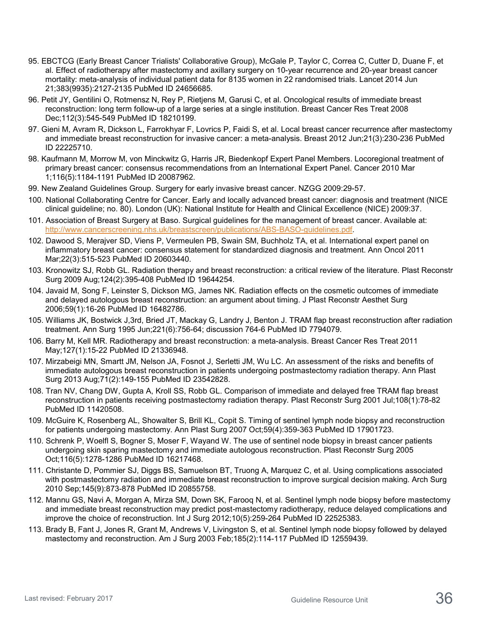- 95. EBCTCG (Early Breast Cancer Trialists' Collaborative Group), McGale P, Taylor C, Correa C, Cutter D, Duane F, et al. Effect of radiotherapy after mastectomy and axillary surgery on 10-year recurrence and 20-year breast cancer mortality: meta-analysis of individual patient data for 8135 women in 22 randomised trials. Lancet 2014 Jun 21;383(9935):2127-2135 PubMed ID 24656685.
- 96. Petit JY, Gentilini O, Rotmensz N, Rey P, Rietjens M, Garusi C, et al. Oncological results of immediate breast reconstruction: long term follow-up of a large series at a single institution. Breast Cancer Res Treat 2008 Dec;112(3):545-549 PubMed ID 18210199.
- 97. Gieni M, Avram R, Dickson L, Farrokhyar F, Lovrics P, Faidi S, et al. Local breast cancer recurrence after mastectomy and immediate breast reconstruction for invasive cancer: a meta-analysis. Breast 2012 Jun;21(3):230-236 PubMed ID 22225710.
- 98. Kaufmann M, Morrow M, von Minckwitz G, Harris JR, Biedenkopf Expert Panel Members. Locoregional treatment of primary breast cancer: consensus recommendations from an International Expert Panel. Cancer 2010 Mar 1;116(5):1184-1191 PubMed ID 20087962.
- 99. New Zealand Guidelines Group. Surgery for early invasive breast cancer. NZGG 2009:29-57.
- 100. National Collaborating Centre for Cancer. Early and locally advanced breast cancer: diagnosis and treatment (NICE clinical guideline; no. 80). London (UK): National Institute for Health and Clinical Excellence (NICE) 2009:37.
- 101. Association of Breast Surgery at Baso. Surgical guidelines for the management of breast cancer. Available at: [http://www.cancerscreening.nhs.uk/breastscreen/publications/ABS-BASO-guidelines.pdf.](http://www.cancerscreening.nhs.uk/breastscreen/publications/ABS-BASO-guidelines.pdf)
- 102. Dawood S, Merajver SD, Viens P, Vermeulen PB, Swain SM, Buchholz TA, et al. International expert panel on inflammatory breast cancer: consensus statement for standardized diagnosis and treatment. Ann Oncol 2011 Mar;22(3):515-523 PubMed ID 20603440.
- 103. Kronowitz SJ, Robb GL. Radiation therapy and breast reconstruction: a critical review of the literature. Plast Reconstr Surg 2009 Aug;124(2):395-408 PubMed ID 19644254.
- 104. Javaid M, Song F, Leinster S, Dickson MG, James NK. Radiation effects on the cosmetic outcomes of immediate and delayed autologous breast reconstruction: an argument about timing. J Plast Reconstr Aesthet Surg 2006;59(1):16-26 PubMed ID 16482786.
- 105. Williams JK, Bostwick J,3rd, Bried JT, Mackay G, Landry J, Benton J. TRAM flap breast reconstruction after radiation treatment. Ann Surg 1995 Jun;221(6):756-64; discussion 764-6 PubMed ID 7794079.
- 106. Barry M, Kell MR. Radiotherapy and breast reconstruction: a meta-analysis. Breast Cancer Res Treat 2011 May;127(1):15-22 PubMed ID 21336948.
- 107. Mirzabeigi MN, Smartt JM, Nelson JA, Fosnot J, Serletti JM, Wu LC. An assessment of the risks and benefits of immediate autologous breast reconstruction in patients undergoing postmastectomy radiation therapy. Ann Plast Surg 2013 Aug;71(2):149-155 PubMed ID 23542828.
- 108. Tran NV, Chang DW, Gupta A, Kroll SS, Robb GL. Comparison of immediate and delayed free TRAM flap breast reconstruction in patients receiving postmastectomy radiation therapy. Plast Reconstr Surg 2001 Jul;108(1):78-82 PubMed ID 11420508.
- 109. McGuire K, Rosenberg AL, Showalter S, Brill KL, Copit S. Timing of sentinel lymph node biopsy and reconstruction for patients undergoing mastectomy. Ann Plast Surg 2007 Oct;59(4):359-363 PubMed ID 17901723.
- 110. Schrenk P, Woelfl S, Bogner S, Moser F, Wayand W. The use of sentinel node biopsy in breast cancer patients undergoing skin sparing mastectomy and immediate autologous reconstruction. Plast Reconstr Surg 2005 Oct;116(5):1278-1286 PubMed ID 16217468.
- 111. Christante D, Pommier SJ, Diggs BS, Samuelson BT, Truong A, Marquez C, et al. Using complications associated with postmastectomy radiation and immediate breast reconstruction to improve surgical decision making. Arch Surg 2010 Sep;145(9):873-878 PubMed ID 20855758.
- 112. Mannu GS, Navi A, Morgan A, Mirza SM, Down SK, Farooq N, et al. Sentinel lymph node biopsy before mastectomy and immediate breast reconstruction may predict post-mastectomy radiotherapy, reduce delayed complications and improve the choice of reconstruction. Int J Surg 2012;10(5):259-264 PubMed ID 22525383.
- 113. Brady B, Fant J, Jones R, Grant M, Andrews V, Livingston S, et al. Sentinel lymph node biopsy followed by delayed mastectomy and reconstruction. Am J Surg 2003 Feb;185(2):114-117 PubMed ID 12559439.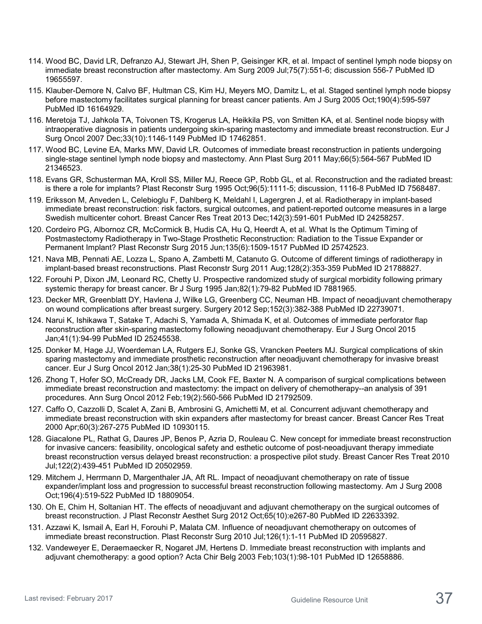- 114. Wood BC, David LR, Defranzo AJ, Stewart JH, Shen P, Geisinger KR, et al. Impact of sentinel lymph node biopsy on immediate breast reconstruction after mastectomy. Am Surg 2009 Jul;75(7):551-6; discussion 556-7 PubMed ID 19655597.
- 115. Klauber-Demore N, Calvo BF, Hultman CS, Kim HJ, Meyers MO, Damitz L, et al. Staged sentinel lymph node biopsy before mastectomy facilitates surgical planning for breast cancer patients. Am J Surg 2005 Oct;190(4):595-597 PubMed ID 16164929.
- 116. Meretoja TJ, Jahkola TA, Toivonen TS, Krogerus LA, Heikkila PS, von Smitten KA, et al. Sentinel node biopsy with intraoperative diagnosis in patients undergoing skin-sparing mastectomy and immediate breast reconstruction. Eur J Surg Oncol 2007 Dec;33(10):1146-1149 PubMed ID 17462851.
- 117. Wood BC, Levine EA, Marks MW, David LR. Outcomes of immediate breast reconstruction in patients undergoing single-stage sentinel lymph node biopsy and mastectomy. Ann Plast Surg 2011 May;66(5):564-567 PubMed ID 21346523.
- 118. Evans GR, Schusterman MA, Kroll SS, Miller MJ, Reece GP, Robb GL, et al. Reconstruction and the radiated breast: is there a role for implants? Plast Reconstr Surg 1995 Oct;96(5):1111-5; discussion, 1116-8 PubMed ID 7568487.
- 119. Eriksson M, Anveden L, Celebioglu F, Dahlberg K, Meldahl I, Lagergren J, et al. Radiotherapy in implant-based immediate breast reconstruction: risk factors, surgical outcomes, and patient-reported outcome measures in a large Swedish multicenter cohort. Breast Cancer Res Treat 2013 Dec;142(3):591-601 PubMed ID 24258257.
- 120. Cordeiro PG, Albornoz CR, McCormick B, Hudis CA, Hu Q, Heerdt A, et al. What Is the Optimum Timing of Postmastectomy Radiotherapy in Two-Stage Prosthetic Reconstruction: Radiation to the Tissue Expander or Permanent Implant? Plast Reconstr Surg 2015 Jun;135(6):1509-1517 PubMed ID 25742523.
- 121. Nava MB, Pennati AE, Lozza L, Spano A, Zambetti M, Catanuto G. Outcome of different timings of radiotherapy in implant-based breast reconstructions. Plast Reconstr Surg 2011 Aug;128(2):353-359 PubMed ID 21788827.
- 122. Forouhi P, Dixon JM, Leonard RC, Chetty U. Prospective randomized study of surgical morbidity following primary systemic therapy for breast cancer. Br J Surg 1995 Jan;82(1):79-82 PubMed ID 7881965.
- 123. Decker MR, Greenblatt DY, Havlena J, Wilke LG, Greenberg CC, Neuman HB. Impact of neoadjuvant chemotherapy on wound complications after breast surgery. Surgery 2012 Sep;152(3):382-388 PubMed ID 22739071.
- 124. Narui K, Ishikawa T, Satake T, Adachi S, Yamada A, Shimada K, et al. Outcomes of immediate perforator flap reconstruction after skin-sparing mastectomy following neoadjuvant chemotherapy. Eur J Surg Oncol 2015 Jan;41(1):94-99 PubMed ID 25245538.
- 125. Donker M, Hage JJ, Woerdeman LA, Rutgers EJ, Sonke GS, Vrancken Peeters MJ. Surgical complications of skin sparing mastectomy and immediate prosthetic reconstruction after neoadjuvant chemotherapy for invasive breast cancer. Eur J Surg Oncol 2012 Jan;38(1):25-30 PubMed ID 21963981.
- 126. Zhong T, Hofer SO, McCready DR, Jacks LM, Cook FE, Baxter N. A comparison of surgical complications between immediate breast reconstruction and mastectomy: the impact on delivery of chemotherapy--an analysis of 391 procedures. Ann Surg Oncol 2012 Feb;19(2):560-566 PubMed ID 21792509.
- 127. Caffo O, Cazzolli D, Scalet A, Zani B, Ambrosini G, Amichetti M, et al. Concurrent adjuvant chemotherapy and immediate breast reconstruction with skin expanders after mastectomy for breast cancer. Breast Cancer Res Treat 2000 Apr;60(3):267-275 PubMed ID 10930115.
- 128. Giacalone PL, Rathat G, Daures JP, Benos P, Azria D, Rouleau C. New concept for immediate breast reconstruction for invasive cancers: feasibility, oncological safety and esthetic outcome of post-neoadjuvant therapy immediate breast reconstruction versus delayed breast reconstruction: a prospective pilot study. Breast Cancer Res Treat 2010 Jul;122(2):439-451 PubMed ID 20502959.
- 129. Mitchem J, Herrmann D, Margenthaler JA, Aft RL. Impact of neoadjuvant chemotherapy on rate of tissue expander/implant loss and progression to successful breast reconstruction following mastectomy. Am J Surg 2008 Oct;196(4):519-522 PubMed ID 18809054.
- 130. Oh E, Chim H, Soltanian HT. The effects of neoadjuvant and adjuvant chemotherapy on the surgical outcomes of breast reconstruction. J Plast Reconstr Aesthet Surg 2012 Oct;65(10):e267-80 PubMed ID 22633392.
- 131. Azzawi K, Ismail A, Earl H, Forouhi P, Malata CM. Influence of neoadjuvant chemotherapy on outcomes of immediate breast reconstruction. Plast Reconstr Surg 2010 Jul;126(1):1-11 PubMed ID 20595827.
- 132. Vandeweyer E, Deraemaecker R, Nogaret JM, Hertens D. Immediate breast reconstruction with implants and adjuvant chemotherapy: a good option? Acta Chir Belg 2003 Feb;103(1):98-101 PubMed ID 12658886.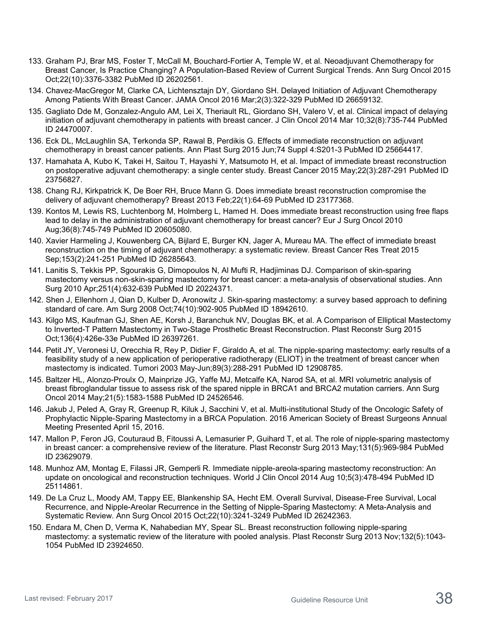- 133. Graham PJ, Brar MS, Foster T, McCall M, Bouchard-Fortier A, Temple W, et al. Neoadjuvant Chemotherapy for Breast Cancer, Is Practice Changing? A Population-Based Review of Current Surgical Trends. Ann Surg Oncol 2015 Oct;22(10):3376-3382 PubMed ID 26202561.
- 134. Chavez-MacGregor M, Clarke CA, Lichtensztajn DY, Giordano SH. Delayed Initiation of Adjuvant Chemotherapy Among Patients With Breast Cancer. JAMA Oncol 2016 Mar;2(3):322-329 PubMed ID 26659132.
- 135. Gagliato Dde M, Gonzalez-Angulo AM, Lei X, Theriault RL, Giordano SH, Valero V, et al. Clinical impact of delaying initiation of adjuvant chemotherapy in patients with breast cancer. J Clin Oncol 2014 Mar 10;32(8):735-744 PubMed ID 24470007.
- 136. Eck DL, McLaughlin SA, Terkonda SP, Rawal B, Perdikis G. Effects of immediate reconstruction on adjuvant chemotherapy in breast cancer patients. Ann Plast Surg 2015 Jun;74 Suppl 4:S201-3 PubMed ID 25664417.
- 137. Hamahata A, Kubo K, Takei H, Saitou T, Hayashi Y, Matsumoto H, et al. Impact of immediate breast reconstruction on postoperative adjuvant chemotherapy: a single center study. Breast Cancer 2015 May;22(3):287-291 PubMed ID 23756827.
- 138. Chang RJ, Kirkpatrick K, De Boer RH, Bruce Mann G. Does immediate breast reconstruction compromise the delivery of adjuvant chemotherapy? Breast 2013 Feb;22(1):64-69 PubMed ID 23177368.
- 139. Kontos M, Lewis RS, Luchtenborg M, Holmberg L, Hamed H. Does immediate breast reconstruction using free flaps lead to delay in the administration of adjuvant chemotherapy for breast cancer? Eur J Surg Oncol 2010 Aug;36(8):745-749 PubMed ID 20605080.
- 140. Xavier Harmeling J, Kouwenberg CA, Bijlard E, Burger KN, Jager A, Mureau MA. The effect of immediate breast reconstruction on the timing of adjuvant chemotherapy: a systematic review. Breast Cancer Res Treat 2015 Sep;153(2):241-251 PubMed ID 26285643.
- 141. Lanitis S, Tekkis PP, Sgourakis G, Dimopoulos N, Al Mufti R, Hadjiminas DJ. Comparison of skin-sparing mastectomy versus non-skin-sparing mastectomy for breast cancer: a meta-analysis of observational studies. Ann Surg 2010 Apr;251(4):632-639 PubMed ID 20224371.
- 142. Shen J, Ellenhorn J, Qian D, Kulber D, Aronowitz J. Skin-sparing mastectomy: a survey based approach to defining standard of care. Am Surg 2008 Oct;74(10):902-905 PubMed ID 18942610.
- 143. Kilgo MS, Kaufman GJ, Shen AE, Korsh J, Baranchuk NV, Douglas BK, et al. A Comparison of Elliptical Mastectomy to Inverted-T Pattern Mastectomy in Two-Stage Prosthetic Breast Reconstruction. Plast Reconstr Surg 2015 Oct;136(4):426e-33e PubMed ID 26397261.
- 144. Petit JY, Veronesi U, Orecchia R, Rey P, Didier F, Giraldo A, et al. The nipple-sparing mastectomy: early results of a feasibility study of a new application of perioperative radiotherapy (ELIOT) in the treatment of breast cancer when mastectomy is indicated. Tumori 2003 May-Jun;89(3):288-291 PubMed ID 12908785.
- 145. Baltzer HL, Alonzo-Proulx O, Mainprize JG, Yaffe MJ, Metcalfe KA, Narod SA, et al. MRI volumetric analysis of breast fibroglandular tissue to assess risk of the spared nipple in BRCA1 and BRCA2 mutation carriers. Ann Surg Oncol 2014 May;21(5):1583-1588 PubMed ID 24526546.
- 146. Jakub J, Peled A, Gray R, Greenup R, Kiluk J, Sacchini V, et al. Multi-institutional Study of the Oncologic Safety of Prophylactic Nipple-Sparing Mastectomy in a BRCA Population. 2016 American Society of Breast Surgeons Annual Meeting Presented April 15, 2016.
- 147. Mallon P, Feron JG, Couturaud B, Fitoussi A, Lemasurier P, Guihard T, et al. The role of nipple-sparing mastectomy in breast cancer: a comprehensive review of the literature. Plast Reconstr Surg 2013 May;131(5):969-984 PubMed ID 23629079.
- 148. Munhoz AM, Montag E, Filassi JR, Gemperli R. Immediate nipple-areola-sparing mastectomy reconstruction: An update on oncological and reconstruction techniques. World J Clin Oncol 2014 Aug 10;5(3):478-494 PubMed ID 25114861.
- 149. De La Cruz L, Moody AM, Tappy EE, Blankenship SA, Hecht EM. Overall Survival, Disease-Free Survival, Local Recurrence, and Nipple-Areolar Recurrence in the Setting of Nipple-Sparing Mastectomy: A Meta-Analysis and Systematic Review. Ann Surg Oncol 2015 Oct;22(10):3241-3249 PubMed ID 26242363.
- 150. Endara M, Chen D, Verma K, Nahabedian MY, Spear SL. Breast reconstruction following nipple-sparing mastectomy: a systematic review of the literature with pooled analysis. Plast Reconstr Surg 2013 Nov;132(5):1043- 1054 PubMed ID 23924650.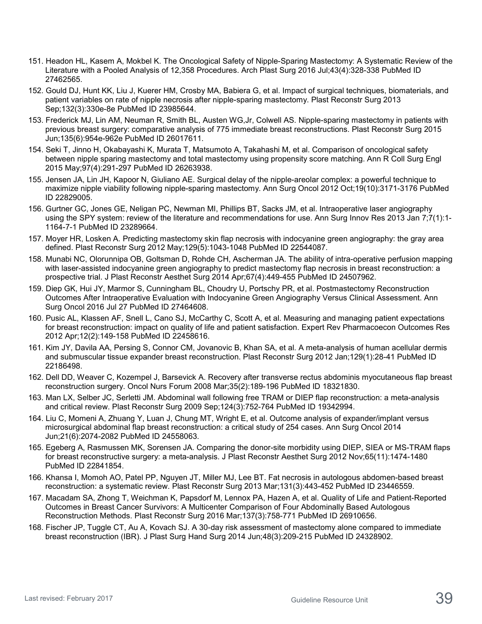- 151. Headon HL, Kasem A, Mokbel K. The Oncological Safety of Nipple-Sparing Mastectomy: A Systematic Review of the Literature with a Pooled Analysis of 12,358 Procedures. Arch Plast Surg 2016 Jul;43(4):328-338 PubMed ID 27462565.
- 152. Gould DJ, Hunt KK, Liu J, Kuerer HM, Crosby MA, Babiera G, et al. Impact of surgical techniques, biomaterials, and patient variables on rate of nipple necrosis after nipple-sparing mastectomy. Plast Reconstr Surg 2013 Sep;132(3):330e-8e PubMed ID 23985644.
- 153. Frederick MJ, Lin AM, Neuman R, Smith BL, Austen WG,Jr, Colwell AS. Nipple-sparing mastectomy in patients with previous breast surgery: comparative analysis of 775 immediate breast reconstructions. Plast Reconstr Surg 2015 Jun;135(6):954e-962e PubMed ID 26017611.
- 154. Seki T, Jinno H, Okabayashi K, Murata T, Matsumoto A, Takahashi M, et al. Comparison of oncological safety between nipple sparing mastectomy and total mastectomy using propensity score matching. Ann R Coll Surg Engl 2015 May;97(4):291-297 PubMed ID 26263938.
- 155. Jensen JA, Lin JH, Kapoor N, Giuliano AE. Surgical delay of the nipple-areolar complex: a powerful technique to maximize nipple viability following nipple-sparing mastectomy. Ann Surg Oncol 2012 Oct;19(10):3171-3176 PubMed ID 22829005.
- 156. Gurtner GC, Jones GE, Neligan PC, Newman MI, Phillips BT, Sacks JM, et al. Intraoperative laser angiography using the SPY system: review of the literature and recommendations for use. Ann Surg Innov Res 2013 Jan 7;7(1):1- 1164-7-1 PubMed ID 23289664.
- 157. Moyer HR, Losken A. Predicting mastectomy skin flap necrosis with indocyanine green angiography: the gray area defined. Plast Reconstr Surg 2012 May;129(5):1043-1048 PubMed ID 22544087.
- 158. Munabi NC, Olorunnipa OB, Goltsman D, Rohde CH, Ascherman JA. The ability of intra-operative perfusion mapping with laser-assisted indocyanine green angiography to predict mastectomy flap necrosis in breast reconstruction: a prospective trial. J Plast Reconstr Aesthet Surg 2014 Apr;67(4):449-455 PubMed ID 24507962.
- 159. Diep GK, Hui JY, Marmor S, Cunningham BL, Choudry U, Portschy PR, et al. Postmastectomy Reconstruction Outcomes After Intraoperative Evaluation with Indocyanine Green Angiography Versus Clinical Assessment. Ann Surg Oncol 2016 Jul 27 PubMed ID 27464608.
- 160. Pusic AL, Klassen AF, Snell L, Cano SJ, McCarthy C, Scott A, et al. Measuring and managing patient expectations for breast reconstruction: impact on quality of life and patient satisfaction. Expert Rev Pharmacoecon Outcomes Res 2012 Apr;12(2):149-158 PubMed ID 22458616.
- 161. Kim JY, Davila AA, Persing S, Connor CM, Jovanovic B, Khan SA, et al. A meta-analysis of human acellular dermis and submuscular tissue expander breast reconstruction. Plast Reconstr Surg 2012 Jan;129(1):28-41 PubMed ID 22186498.
- 162. Dell DD, Weaver C, Kozempel J, Barsevick A. Recovery after transverse rectus abdominis myocutaneous flap breast reconstruction surgery. Oncol Nurs Forum 2008 Mar;35(2):189-196 PubMed ID 18321830.
- 163. Man LX, Selber JC, Serletti JM. Abdominal wall following free TRAM or DIEP flap reconstruction: a meta-analysis and critical review. Plast Reconstr Surg 2009 Sep;124(3):752-764 PubMed ID 19342994.
- 164. Liu C, Momeni A, Zhuang Y, Luan J, Chung MT, Wright E, et al. Outcome analysis of expander/implant versus microsurgical abdominal flap breast reconstruction: a critical study of 254 cases. Ann Surg Oncol 2014 Jun;21(6):2074-2082 PubMed ID 24558063.
- 165. Egeberg A, Rasmussen MK, Sorensen JA. Comparing the donor-site morbidity using DIEP, SIEA or MS-TRAM flaps for breast reconstructive surgery: a meta-analysis. J Plast Reconstr Aesthet Surg 2012 Nov;65(11):1474-1480 PubMed ID 22841854.
- 166. Khansa I, Momoh AO, Patel PP, Nguyen JT, Miller MJ, Lee BT. Fat necrosis in autologous abdomen-based breast reconstruction: a systematic review. Plast Reconstr Surg 2013 Mar;131(3):443-452 PubMed ID 23446559.
- 167. Macadam SA, Zhong T, Weichman K, Papsdorf M, Lennox PA, Hazen A, et al. Quality of Life and Patient-Reported Outcomes in Breast Cancer Survivors: A Multicenter Comparison of Four Abdominally Based Autologous Reconstruction Methods. Plast Reconstr Surg 2016 Mar;137(3):758-771 PubMed ID 26910656.
- 168. Fischer JP, Tuggle CT, Au A, Kovach SJ. A 30-day risk assessment of mastectomy alone compared to immediate breast reconstruction (IBR). J Plast Surg Hand Surg 2014 Jun;48(3):209-215 PubMed ID 24328902.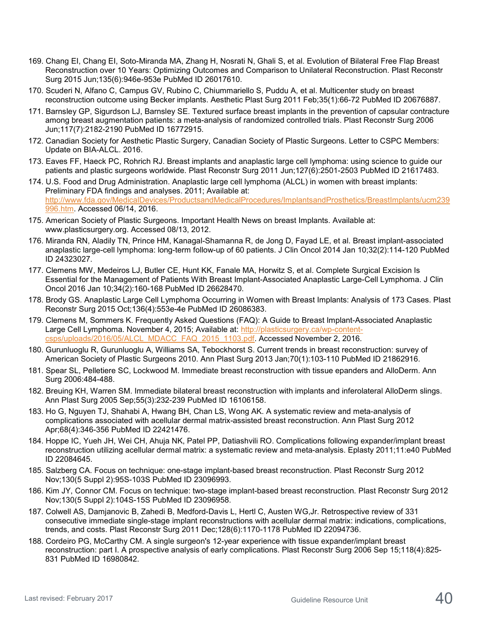- 169. Chang EI, Chang EI, Soto-Miranda MA, Zhang H, Nosrati N, Ghali S, et al. Evolution of Bilateral Free Flap Breast Reconstruction over 10 Years: Optimizing Outcomes and Comparison to Unilateral Reconstruction. Plast Reconstr Surg 2015 Jun;135(6):946e-953e PubMed ID 26017610.
- 170. Scuderi N, Alfano C, Campus GV, Rubino C, Chiummariello S, Puddu A, et al. Multicenter study on breast reconstruction outcome using Becker implants. Aesthetic Plast Surg 2011 Feb;35(1):66-72 PubMed ID 20676887.
- 171. Barnsley GP, Sigurdson LJ, Barnsley SE. Textured surface breast implants in the prevention of capsular contracture among breast augmentation patients: a meta-analysis of randomized controlled trials. Plast Reconstr Surg 2006 Jun;117(7):2182-2190 PubMed ID 16772915.
- 172. Canadian Society for Aesthetic Plastic Surgery, Canadian Society of Plastic Surgeons. Letter to CSPC Members: Update on BIA-ALCL. 2016.
- 173. Eaves FF, Haeck PC, Rohrich RJ. Breast implants and anaplastic large cell lymphoma: using science to guide our patients and plastic surgeons worldwide. Plast Reconstr Surg 2011 Jun;127(6):2501-2503 PubMed ID 21617483.
- 174. U.S. Food and Drug Administration. Anaplastic large cell lymphoma (ALCL) in women with breast implants: Preliminary FDA findings and analyses. 2011; Available at: [http://www.fda.gov/MedicalDevices/ProductsandMedicalProcedures/ImplantsandProsthetics/BreastImplants/ucm239](http://www.fda.gov/MedicalDevices/ProductsandMedicalProcedures/ImplantsandProsthetics/BreastImplants/ucm239996.htm) [996.htm.](http://www.fda.gov/MedicalDevices/ProductsandMedicalProcedures/ImplantsandProsthetics/BreastImplants/ucm239996.htm) Accessed 06/14, 2016.
- 175. American Society of Plastic Surgeons. Important Health News on breast Implants. Available at: www.plasticsurgery.org. Accessed 08/13, 2012.
- 176. Miranda RN, Aladily TN, Prince HM, Kanagal-Shamanna R, de Jong D, Fayad LE, et al. Breast implant-associated anaplastic large-cell lymphoma: long-term follow-up of 60 patients. J Clin Oncol 2014 Jan 10;32(2):114-120 PubMed ID 24323027.
- 177. Clemens MW, Medeiros LJ, Butler CE, Hunt KK, Fanale MA, Horwitz S, et al. Complete Surgical Excision Is Essential for the Management of Patients With Breast Implant-Associated Anaplastic Large-Cell Lymphoma. J Clin Oncol 2016 Jan 10;34(2):160-168 PubMed ID 26628470.
- 178. Brody GS. Anaplastic Large Cell Lymphoma Occurring in Women with Breast Implants: Analysis of 173 Cases. Plast Reconstr Surg 2015 Oct;136(4):553e-4e PubMed ID 26086383.
- 179. Clemens M, Sommers K. Frequently Asked Questions (FAQ): A Guide to Breast Implant-Associated Anaplastic Large Cell Lymphoma. November 4, 2015; Available at: [http://plasticsurgery.ca/wp-content](http://plasticsurgery.ca/wp-content-csps/uploads/2016/05/ALCL_MDACC_FAQ_2015_1103.pdf)[csps/uploads/2016/05/ALCL\\_MDACC\\_FAQ\\_2015\\_1103.pdf.](http://plasticsurgery.ca/wp-content-csps/uploads/2016/05/ALCL_MDACC_FAQ_2015_1103.pdf) Accessed November 2, 2016.
- 180. Gurunluoglu R, Gurunluoglu A, Williams SA, Tebockhorst S. Current trends in breast reconstruction: survey of American Society of Plastic Surgeons 2010. Ann Plast Surg 2013 Jan;70(1):103-110 PubMed ID 21862916.
- 181. Spear SL, Pelletiere SC, Lockwood M. Immediate breast reconstruction with tissue epanders and AlloDerm. Ann Surg 2006:484-488.
- 182. Breuing KH, Warren SM. Immediate bilateral breast reconstruction with implants and inferolateral AlloDerm slings. Ann Plast Surg 2005 Sep;55(3):232-239 PubMed ID 16106158.
- 183. Ho G, Nguyen TJ, Shahabi A, Hwang BH, Chan LS, Wong AK. A systematic review and meta-analysis of complications associated with acellular dermal matrix-assisted breast reconstruction. Ann Plast Surg 2012 Apr;68(4):346-356 PubMed ID 22421476.
- 184. Hoppe IC, Yueh JH, Wei CH, Ahuja NK, Patel PP, Datiashvili RO. Complications following expander/implant breast reconstruction utilizing acellular dermal matrix: a systematic review and meta-analysis. Eplasty 2011;11:e40 PubMed ID 22084645.
- 185. Salzberg CA. Focus on technique: one-stage implant-based breast reconstruction. Plast Reconstr Surg 2012 Nov;130(5 Suppl 2):95S-103S PubMed ID 23096993.
- 186. Kim JY, Connor CM. Focus on technique: two-stage implant-based breast reconstruction. Plast Reconstr Surg 2012 Nov;130(5 Suppl 2):104S-15S PubMed ID 23096958.
- 187. Colwell AS, Damjanovic B, Zahedi B, Medford-Davis L, Hertl C, Austen WG,Jr. Retrospective review of 331 consecutive immediate single-stage implant reconstructions with acellular dermal matrix: indications, complications, trends, and costs. Plast Reconstr Surg 2011 Dec;128(6):1170-1178 PubMed ID 22094736.
- 188. Cordeiro PG, McCarthy CM. A single surgeon's 12-year experience with tissue expander/implant breast reconstruction: part I. A prospective analysis of early complications. Plast Reconstr Surg 2006 Sep 15;118(4):825- 831 PubMed ID 16980842.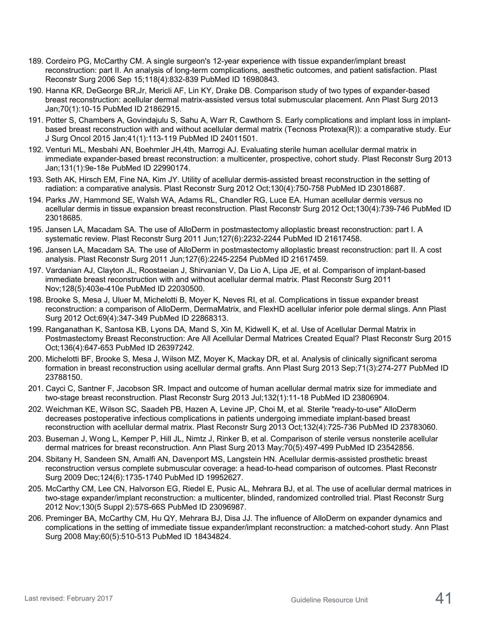- 189. Cordeiro PG, McCarthy CM. A single surgeon's 12-year experience with tissue expander/implant breast reconstruction: part II. An analysis of long-term complications, aesthetic outcomes, and patient satisfaction. Plast Reconstr Surg 2006 Sep 15;118(4):832-839 PubMed ID 16980843.
- 190. Hanna KR, DeGeorge BR,Jr, Mericli AF, Lin KY, Drake DB. Comparison study of two types of expander-based breast reconstruction: acellular dermal matrix-assisted versus total submuscular placement. Ann Plast Surg 2013 Jan;70(1):10-15 PubMed ID 21862915.
- 191. Potter S, Chambers A, Govindajulu S, Sahu A, Warr R, Cawthorn S. Early complications and implant loss in implantbased breast reconstruction with and without acellular dermal matrix (Tecnoss Protexa(R)): a comparative study. Eur J Surg Oncol 2015 Jan;41(1):113-119 PubMed ID 24011501.
- 192. Venturi ML, Mesbahi AN, Boehmler JH,4th, Marrogi AJ. Evaluating sterile human acellular dermal matrix in immediate expander-based breast reconstruction: a multicenter, prospective, cohort study. Plast Reconstr Surg 2013 Jan;131(1):9e-18e PubMed ID 22990174.
- 193. Seth AK, Hirsch EM, Fine NA, Kim JY. Utility of acellular dermis-assisted breast reconstruction in the setting of radiation: a comparative analysis. Plast Reconstr Surg 2012 Oct;130(4):750-758 PubMed ID 23018687.
- 194. Parks JW, Hammond SE, Walsh WA, Adams RL, Chandler RG, Luce EA. Human acellular dermis versus no acellular dermis in tissue expansion breast reconstruction. Plast Reconstr Surg 2012 Oct;130(4):739-746 PubMed ID 23018685.
- 195. Jansen LA, Macadam SA. The use of AlloDerm in postmastectomy alloplastic breast reconstruction: part I. A systematic review. Plast Reconstr Surg 2011 Jun;127(6):2232-2244 PubMed ID 21617458.
- 196. Jansen LA, Macadam SA. The use of AlloDerm in postmastectomy alloplastic breast reconstruction: part II. A cost analysis. Plast Reconstr Surg 2011 Jun;127(6):2245-2254 PubMed ID 21617459.
- 197. Vardanian AJ, Clayton JL, Roostaeian J, Shirvanian V, Da Lio A, Lipa JE, et al. Comparison of implant-based immediate breast reconstruction with and without acellular dermal matrix. Plast Reconstr Surg 2011 Nov;128(5):403e-410e PubMed ID 22030500.
- 198. Brooke S, Mesa J, Uluer M, Michelotti B, Moyer K, Neves RI, et al. Complications in tissue expander breast reconstruction: a comparison of AlloDerm, DermaMatrix, and FlexHD acellular inferior pole dermal slings. Ann Plast Surg 2012 Oct;69(4):347-349 PubMed ID 22868313.
- 199. Ranganathan K, Santosa KB, Lyons DA, Mand S, Xin M, Kidwell K, et al. Use of Acellular Dermal Matrix in Postmastectomy Breast Reconstruction: Are All Acellular Dermal Matrices Created Equal? Plast Reconstr Surg 2015 Oct;136(4):647-653 PubMed ID 26397242.
- 200. Michelotti BF, Brooke S, Mesa J, Wilson MZ, Moyer K, Mackay DR, et al. Analysis of clinically significant seroma formation in breast reconstruction using acellular dermal grafts. Ann Plast Surg 2013 Sep;71(3):274-277 PubMed ID 23788150.
- 201. Cayci C, Santner F, Jacobson SR. Impact and outcome of human acellular dermal matrix size for immediate and two-stage breast reconstruction. Plast Reconstr Surg 2013 Jul;132(1):11-18 PubMed ID 23806904.
- 202. Weichman KE, Wilson SC, Saadeh PB, Hazen A, Levine JP, Choi M, et al. Sterile "ready-to-use" AlloDerm decreases postoperative infectious complications in patients undergoing immediate implant-based breast reconstruction with acellular dermal matrix. Plast Reconstr Surg 2013 Oct;132(4):725-736 PubMed ID 23783060.
- 203. Buseman J, Wong L, Kemper P, Hill JL, Nimtz J, Rinker B, et al. Comparison of sterile versus nonsterile acellular dermal matrices for breast reconstruction. Ann Plast Surg 2013 May;70(5):497-499 PubMed ID 23542856.
- 204. Sbitany H, Sandeen SN, Amalfi AN, Davenport MS, Langstein HN. Acellular dermis-assisted prosthetic breast reconstruction versus complete submuscular coverage: a head-to-head comparison of outcomes. Plast Reconstr Surg 2009 Dec;124(6):1735-1740 PubMed ID 19952627.
- 205. McCarthy CM, Lee CN, Halvorson EG, Riedel E, Pusic AL, Mehrara BJ, et al. The use of acellular dermal matrices in two-stage expander/implant reconstruction: a multicenter, blinded, randomized controlled trial. Plast Reconstr Surg 2012 Nov;130(5 Suppl 2):57S-66S PubMed ID 23096987.
- 206. Preminger BA, McCarthy CM, Hu QY, Mehrara BJ, Disa JJ. The influence of AlloDerm on expander dynamics and complications in the setting of immediate tissue expander/implant reconstruction: a matched-cohort study. Ann Plast Surg 2008 May;60(5):510-513 PubMed ID 18434824.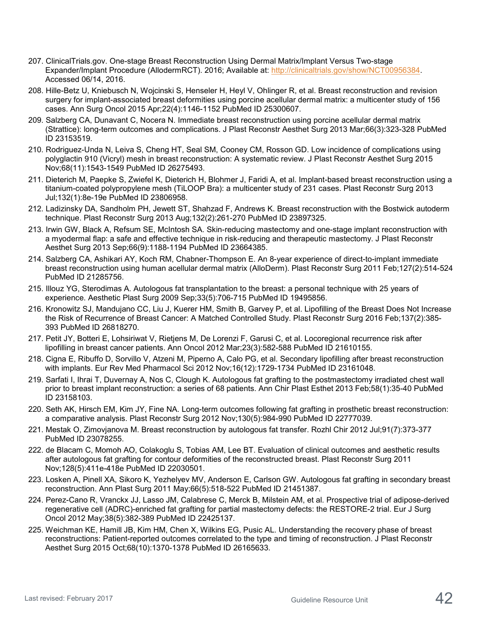- 207. ClinicalTrials.gov. One-stage Breast Reconstruction Using Dermal Matrix/Implant Versus Two-stage Expander/Implant Procedure (AllodermRCT). 2016; Available at: [http://clinicaltrials.gov/show/NCT00956384.](http://clinicaltrials.gov/show/NCT00956384) Accessed 06/14, 2016.
- 208. Hille-Betz U, Kniebusch N, Wojcinski S, Henseler H, Heyl V, Ohlinger R, et al. Breast reconstruction and revision surgery for implant-associated breast deformities using porcine acellular dermal matrix: a multicenter study of 156 cases. Ann Surg Oncol 2015 Apr;22(4):1146-1152 PubMed ID 25300607.
- 209. Salzberg CA, Dunavant C, Nocera N. Immediate breast reconstruction using porcine acellular dermal matrix (Strattice): long-term outcomes and complications. J Plast Reconstr Aesthet Surg 2013 Mar;66(3):323-328 PubMed ID 23153519.
- 210. Rodriguez-Unda N, Leiva S, Cheng HT, Seal SM, Cooney CM, Rosson GD. Low incidence of complications using polyglactin 910 (Vicryl) mesh in breast reconstruction: A systematic review. J Plast Reconstr Aesthet Surg 2015 Nov;68(11):1543-1549 PubMed ID 26275493.
- 211. Dieterich M, Paepke S, Zwiefel K, Dieterich H, Blohmer J, Faridi A, et al. Implant-based breast reconstruction using a titanium-coated polypropylene mesh (TiLOOP Bra): a multicenter study of 231 cases. Plast Reconstr Surg 2013 Jul;132(1):8e-19e PubMed ID 23806958.
- 212. Ladizinsky DA, Sandholm PH, Jewett ST, Shahzad F, Andrews K. Breast reconstruction with the Bostwick autoderm technique. Plast Reconstr Surg 2013 Aug;132(2):261-270 PubMed ID 23897325.
- 213. Irwin GW, Black A, Refsum SE, McIntosh SA. Skin-reducing mastectomy and one-stage implant reconstruction with a myodermal flap: a safe and effective technique in risk-reducing and therapeutic mastectomy. J Plast Reconstr Aesthet Surg 2013 Sep;66(9):1188-1194 PubMed ID 23664385.
- 214. Salzberg CA, Ashikari AY, Koch RM, Chabner-Thompson E. An 8-year experience of direct-to-implant immediate breast reconstruction using human acellular dermal matrix (AlloDerm). Plast Reconstr Surg 2011 Feb;127(2):514-524 PubMed ID 21285756.
- 215. Illouz YG, Sterodimas A. Autologous fat transplantation to the breast: a personal technique with 25 years of experience. Aesthetic Plast Surg 2009 Sep;33(5):706-715 PubMed ID 19495856.
- 216. Kronowitz SJ, Mandujano CC, Liu J, Kuerer HM, Smith B, Garvey P, et al. Lipofilling of the Breast Does Not Increase the Risk of Recurrence of Breast Cancer: A Matched Controlled Study. Plast Reconstr Surg 2016 Feb;137(2):385- 393 PubMed ID 26818270.
- 217. Petit JY, Botteri E, Lohsiriwat V, Rietjens M, De Lorenzi F, Garusi C, et al. Locoregional recurrence risk after lipofilling in breast cancer patients. Ann Oncol 2012 Mar;23(3):582-588 PubMed ID 21610155.
- 218. Cigna E, Ribuffo D, Sorvillo V, Atzeni M, Piperno A, Calo PG, et al. Secondary lipofilling after breast reconstruction with implants. Eur Rev Med Pharmacol Sci 2012 Nov;16(12):1729-1734 PubMed ID 23161048.
- 219. Sarfati I, Ihrai T, Duvernay A, Nos C, Clough K. Autologous fat grafting to the postmastectomy irradiated chest wall prior to breast implant reconstruction: a series of 68 patients. Ann Chir Plast Esthet 2013 Feb;58(1):35-40 PubMed ID 23158103.
- 220. Seth AK, Hirsch EM, Kim JY, Fine NA. Long-term outcomes following fat grafting in prosthetic breast reconstruction: a comparative analysis. Plast Reconstr Surg 2012 Nov;130(5):984-990 PubMed ID 22777039.
- 221. Mestak O, Zimovjanova M. Breast reconstruction by autologous fat transfer. Rozhl Chir 2012 Jul;91(7):373-377 PubMed ID 23078255.
- 222. de Blacam C, Momoh AO, Colakoglu S, Tobias AM, Lee BT. Evaluation of clinical outcomes and aesthetic results after autologous fat grafting for contour deformities of the reconstructed breast. Plast Reconstr Surg 2011 Nov;128(5):411e-418e PubMed ID 22030501.
- 223. Losken A, Pinell XA, Sikoro K, Yezhelyev MV, Anderson E, Carlson GW. Autologous fat grafting in secondary breast reconstruction. Ann Plast Surg 2011 May;66(5):518-522 PubMed ID 21451387.
- 224. Perez-Cano R, Vranckx JJ, Lasso JM, Calabrese C, Merck B, Milstein AM, et al. Prospective trial of adipose-derived regenerative cell (ADRC)-enriched fat grafting for partial mastectomy defects: the RESTORE-2 trial. Eur J Surg Oncol 2012 May;38(5):382-389 PubMed ID 22425137.
- 225. Weichman KE, Hamill JB, Kim HM, Chen X, Wilkins EG, Pusic AL. Understanding the recovery phase of breast reconstructions: Patient-reported outcomes correlated to the type and timing of reconstruction. J Plast Reconstr Aesthet Surg 2015 Oct;68(10):1370-1378 PubMed ID 26165633.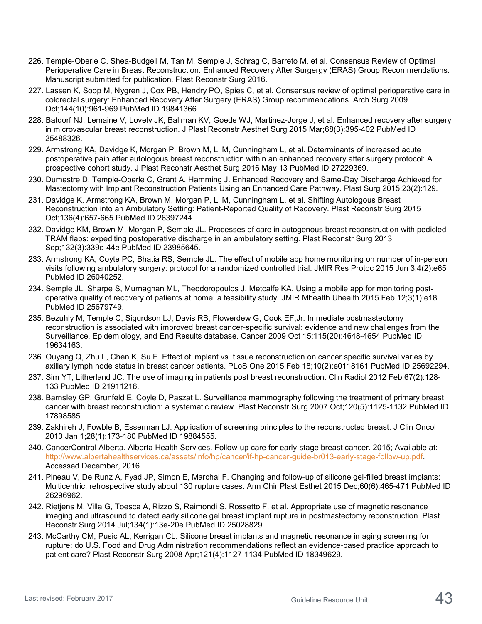- 226. Temple-Oberle C, Shea-Budgell M, Tan M, Semple J, Schrag C, Barreto M, et al. Consensus Review of Optimal Perioperative Care in Breast Reconstruction. Enhanced Recovery After Surgergy (ERAS) Group Recommendations. Manuscript submitted for publication. Plast Reconstr Surg 2016.
- 227. Lassen K, Soop M, Nygren J, Cox PB, Hendry PO, Spies C, et al. Consensus review of optimal perioperative care in colorectal surgery: Enhanced Recovery After Surgery (ERAS) Group recommendations. Arch Surg 2009 Oct;144(10):961-969 PubMed ID 19841366.
- 228. Batdorf NJ, Lemaine V, Lovely JK, Ballman KV, Goede WJ, Martinez-Jorge J, et al. Enhanced recovery after surgery in microvascular breast reconstruction. J Plast Reconstr Aesthet Surg 2015 Mar;68(3):395-402 PubMed ID 25488326.
- 229. Armstrong KA, Davidge K, Morgan P, Brown M, Li M, Cunningham L, et al. Determinants of increased acute postoperative pain after autologous breast reconstruction within an enhanced recovery after surgery protocol: A prospective cohort study. J Plast Reconstr Aesthet Surg 2016 May 13 PubMed ID 27229369.
- 230. Dumestre D, Temple-Oberle C, Grant A, Hamming J. Enhanced Recovery and Same-Day Discharge Achieved for Mastectomy with Implant Reconstruction Patients Using an Enhanced Care Pathway. Plast Surg 2015;23(2):129.
- 231. Davidge K, Armstrong KA, Brown M, Morgan P, Li M, Cunningham L, et al. Shifting Autologous Breast Reconstruction into an Ambulatory Setting: Patient-Reported Quality of Recovery. Plast Reconstr Surg 2015 Oct;136(4):657-665 PubMed ID 26397244.
- 232. Davidge KM, Brown M, Morgan P, Semple JL. Processes of care in autogenous breast reconstruction with pedicled TRAM flaps: expediting postoperative discharge in an ambulatory setting. Plast Reconstr Surg 2013 Sep;132(3):339e-44e PubMed ID 23985645.
- 233. Armstrong KA, Coyte PC, Bhatia RS, Semple JL. The effect of mobile app home monitoring on number of in-person visits following ambulatory surgery: protocol for a randomized controlled trial. JMIR Res Protoc 2015 Jun 3;4(2):e65 PubMed ID 26040252.
- 234. Semple JL, Sharpe S, Murnaghan ML, Theodoropoulos J, Metcalfe KA. Using a mobile app for monitoring postoperative quality of recovery of patients at home: a feasibility study. JMIR Mhealth Uhealth 2015 Feb 12;3(1):e18 PubMed ID 25679749.
- 235. Bezuhly M, Temple C, Sigurdson LJ, Davis RB, Flowerdew G, Cook EF,Jr. Immediate postmastectomy reconstruction is associated with improved breast cancer-specific survival: evidence and new challenges from the Surveillance, Epidemiology, and End Results database. Cancer 2009 Oct 15;115(20):4648-4654 PubMed ID 19634163.
- 236. Ouyang Q, Zhu L, Chen K, Su F. Effect of implant vs. tissue reconstruction on cancer specific survival varies by axillary lymph node status in breast cancer patients. PLoS One 2015 Feb 18;10(2):e0118161 PubMed ID 25692294.
- 237. Sim YT, Litherland JC. The use of imaging in patients post breast reconstruction. Clin Radiol 2012 Feb;67(2):128- 133 PubMed ID 21911216.
- 238. Barnsley GP, Grunfeld E, Coyle D, Paszat L. Surveillance mammography following the treatment of primary breast cancer with breast reconstruction: a systematic review. Plast Reconstr Surg 2007 Oct;120(5):1125-1132 PubMed ID 17898585.
- 239. Zakhireh J, Fowble B, Esserman LJ. Application of screening principles to the reconstructed breast. J Clin Oncol 2010 Jan 1;28(1):173-180 PubMed ID 19884555.
- 240. CancerControl Alberta, Alberta Health Services. Follow-up care for early-stage breast cancer. 2015; Available at: [http://www.albertahealthservices.ca/assets/info/hp/cancer/if-hp-cancer-guide-br013-early-stage-follow-up.pdf.](http://www.albertahealthservices.ca/assets/info/hp/cancer/if-hp-cancer-guide-br013-early-stage-follow-up.pdf) Accessed December, 2016.
- 241. Pineau V, De Runz A, Fyad JP, Simon E, Marchal F. Changing and follow-up of silicone gel-filled breast implants: Multicentric, retrospective study about 130 rupture cases. Ann Chir Plast Esthet 2015 Dec;60(6):465-471 PubMed ID 26296962.
- 242. Rietjens M, Villa G, Toesca A, Rizzo S, Raimondi S, Rossetto F, et al. Appropriate use of magnetic resonance imaging and ultrasound to detect early silicone gel breast implant rupture in postmastectomy reconstruction. Plast Reconstr Surg 2014 Jul;134(1):13e-20e PubMed ID 25028829.
- 243. McCarthy CM, Pusic AL, Kerrigan CL. Silicone breast implants and magnetic resonance imaging screening for rupture: do U.S. Food and Drug Administration recommendations reflect an evidence-based practice approach to patient care? Plast Reconstr Surg 2008 Apr;121(4):1127-1134 PubMed ID 18349629.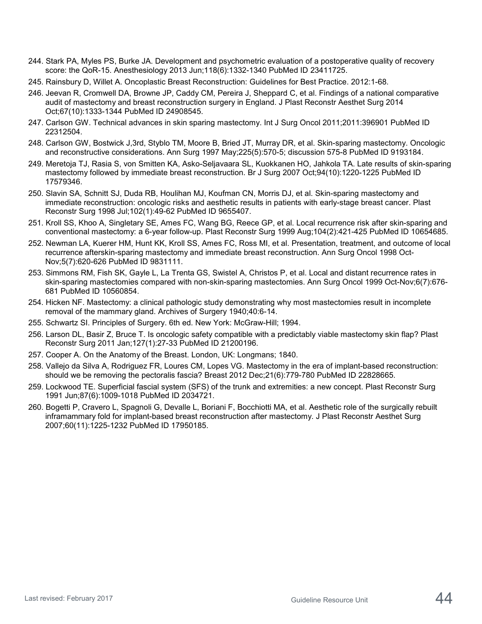- 244. Stark PA, Myles PS, Burke JA. Development and psychometric evaluation of a postoperative quality of recovery score: the QoR-15. Anesthesiology 2013 Jun;118(6):1332-1340 PubMed ID 23411725.
- 245. Rainsbury D, Willet A. Oncoplastic Breast Reconstruction: Guidelines for Best Practice. 2012:1-68.
- 246. Jeevan R, Cromwell DA, Browne JP, Caddy CM, Pereira J, Sheppard C, et al. Findings of a national comparative audit of mastectomy and breast reconstruction surgery in England. J Plast Reconstr Aesthet Surg 2014 Oct;67(10):1333-1344 PubMed ID 24908545.
- 247. Carlson GW. Technical advances in skin sparing mastectomy. Int J Surg Oncol 2011;2011:396901 PubMed ID 22312504.
- 248. Carlson GW, Bostwick J,3rd, Styblo TM, Moore B, Bried JT, Murray DR, et al. Skin-sparing mastectomy. Oncologic and reconstructive considerations. Ann Surg 1997 May;225(5):570-5; discussion 575-8 PubMed ID 9193184.
- 249. Meretoja TJ, Rasia S, von Smitten KA, Asko-Seljavaara SL, Kuokkanen HO, Jahkola TA. Late results of skin-sparing mastectomy followed by immediate breast reconstruction. Br J Surg 2007 Oct;94(10):1220-1225 PubMed ID 17579346.
- 250. Slavin SA, Schnitt SJ, Duda RB, Houlihan MJ, Koufman CN, Morris DJ, et al. Skin-sparing mastectomy and immediate reconstruction: oncologic risks and aesthetic results in patients with early-stage breast cancer. Plast Reconstr Surg 1998 Jul;102(1):49-62 PubMed ID 9655407.
- 251. Kroll SS, Khoo A, Singletary SE, Ames FC, Wang BG, Reece GP, et al. Local recurrence risk after skin-sparing and conventional mastectomy: a 6-year follow-up. Plast Reconstr Surg 1999 Aug;104(2):421-425 PubMed ID 10654685.
- 252. Newman LA, Kuerer HM, Hunt KK, Kroll SS, Ames FC, Ross MI, et al. Presentation, treatment, and outcome of local recurrence afterskin-sparing mastectomy and immediate breast reconstruction. Ann Surg Oncol 1998 Oct-Nov;5(7):620-626 PubMed ID 9831111.
- 253. Simmons RM, Fish SK, Gayle L, La Trenta GS, Swistel A, Christos P, et al. Local and distant recurrence rates in skin-sparing mastectomies compared with non-skin-sparing mastectomies. Ann Surg Oncol 1999 Oct-Nov;6(7):676- 681 PubMed ID 10560854.
- 254. Hicken NF. Mastectomy: a clinical pathologic study demonstrating why most mastectomies result in incomplete removal of the mammary gland. Archives of Surgery 1940;40:6-14.
- 255. Schwartz SI. Principles of Surgery. 6th ed. New York: McGraw-Hill; 1994.
- 256. Larson DL, Basir Z, Bruce T. Is oncologic safety compatible with a predictably viable mastectomy skin flap? Plast Reconstr Surg 2011 Jan;127(1):27-33 PubMed ID 21200196.
- 257. Cooper A. On the Anatomy of the Breast. London, UK: Longmans; 1840.
- 258. Vallejo da Silva A, Rodriguez FR, Loures CM, Lopes VG. Mastectomy in the era of implant-based reconstruction: should we be removing the pectoralis fascia? Breast 2012 Dec;21(6):779-780 PubMed ID 22828665.
- 259. Lockwood TE. Superficial fascial system (SFS) of the trunk and extremities: a new concept. Plast Reconstr Surg 1991 Jun;87(6):1009-1018 PubMed ID 2034721.
- 260. Bogetti P, Cravero L, Spagnoli G, Devalle L, Boriani F, Bocchiotti MA, et al. Aesthetic role of the surgically rebuilt inframammary fold for implant-based breast reconstruction after mastectomy. J Plast Reconstr Aesthet Surg 2007;60(11):1225-1232 PubMed ID 17950185.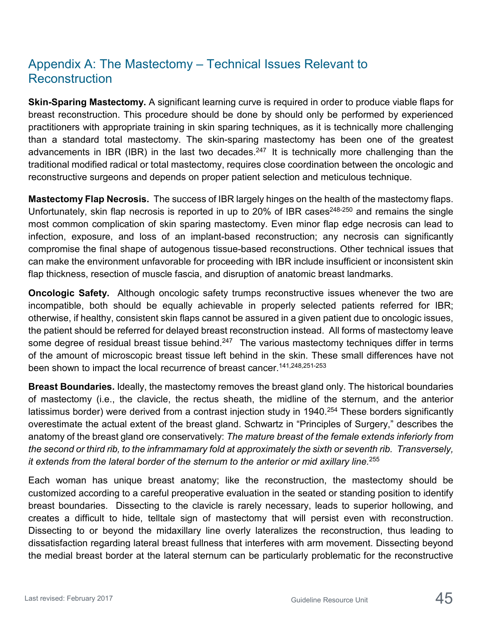# Appendix A: The Mastectomy – Technical Issues Relevant to Reconstruction

**Skin-Sparing Mastectomy.** A significant learning curve is required in order to produce viable flaps for breast reconstruction. This procedure should be done by should only be performed by experienced practitioners with appropriate training in skin sparing techniques, as it is technically more challenging than a standard total mastectomy. The skin-sparing mastectomy has been one of the greatest advancements in IBR (IBR) in the last two decades.<sup>247</sup> It is technically more challenging than the traditional modified radical or total mastectomy, requires close coordination between the oncologic and reconstructive surgeons and depends on proper patient selection and meticulous technique.

**Mastectomy Flap Necrosis.** The success of IBR largely hinges on the health of the mastectomy flaps. Unfortunately, skin flap necrosis is reported in up to 20% of IBR cases<sup>248-250</sup> and remains the single most common complication of skin sparing mastectomy. Even minor flap edge necrosis can lead to infection, exposure, and loss of an implant-based reconstruction; any necrosis can significantly compromise the final shape of autogenous tissue-based reconstructions. Other technical issues that can make the environment unfavorable for proceeding with IBR include insufficient or inconsistent skin flap thickness, resection of muscle fascia, and disruption of anatomic breast landmarks.

**Oncologic Safety.** Although oncologic safety trumps reconstructive issues whenever the two are incompatible, both should be equally achievable in properly selected patients referred for IBR; otherwise, if healthy, consistent skin flaps cannot be assured in a given patient due to oncologic issues, the patient should be referred for delayed breast reconstruction instead. All forms of mastectomy leave some degree of residual breast tissue behind.<sup>247</sup> The various mastectomy techniques differ in terms of the amount of microscopic breast tissue left behind in the skin. These small differences have not been shown to impact the local recurrence of breast cancer.<sup>141,248,251-253</sup>

**Breast Boundaries.** Ideally, the mastectomy removes the breast gland only. The historical boundaries of mastectomy (i.e., the clavicle, the rectus sheath, the midline of the sternum, and the anterior latissimus border) were derived from a contrast injection study in 1940.<sup>254</sup> These borders significantly overestimate the actual extent of the breast gland. Schwartz in "Principles of Surgery," describes the anatomy of the breast gland ore conservatively: *The mature breast of the female extends inferiorly from the second or third rib, to the inframmamary fold at approximately the sixth or seventh rib. Transversely, it extends from the lateral border of the sternum to the anterior or mid axillary line.*255

Each woman has unique breast anatomy; like the reconstruction, the mastectomy should be customized according to a careful preoperative evaluation in the seated or standing position to identify breast boundaries. Dissecting to the clavicle is rarely necessary, leads to superior hollowing, and creates a difficult to hide, telltale sign of mastectomy that will persist even with reconstruction. Dissecting to or beyond the midaxillary line overly lateralizes the reconstruction, thus leading to dissatisfaction regarding lateral breast fullness that interferes with arm movement. Dissecting beyond the medial breast border at the lateral sternum can be particularly problematic for the reconstructive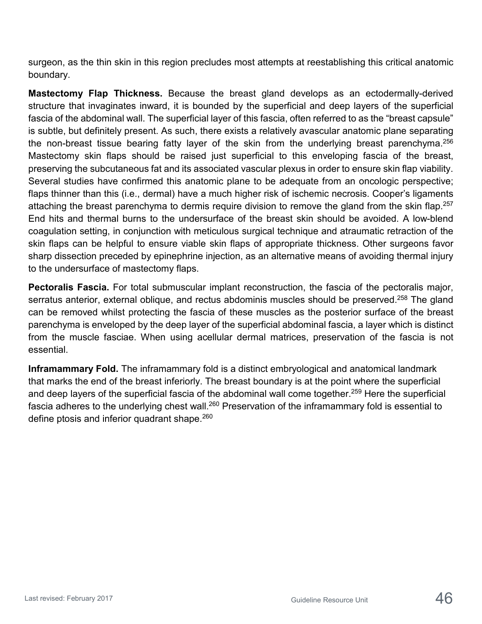surgeon, as the thin skin in this region precludes most attempts at reestablishing this critical anatomic boundary.

**Mastectomy Flap Thickness.** Because the breast gland develops as an ectodermally-derived structure that invaginates inward, it is bounded by the superficial and deep layers of the superficial fascia of the abdominal wall. The superficial layer of this fascia, often referred to as the "breast capsule" is subtle, but definitely present. As such, there exists a relatively avascular anatomic plane separating the non-breast tissue bearing fatty layer of the skin from the underlying breast parenchyma.  $256$ Mastectomy skin flaps should be raised just superficial to this enveloping fascia of the breast, preserving the subcutaneous fat and its associated vascular plexus in order to ensure skin flap viability. Several studies have confirmed this anatomic plane to be adequate from an oncologic perspective; flaps thinner than this (i.e., dermal) have a much higher risk of ischemic necrosis. Cooper's ligaments attaching the breast parenchyma to dermis require division to remove the gland from the skin flap.<sup>257</sup> End hits and thermal burns to the undersurface of the breast skin should be avoided. A low-blend coagulation setting, in conjunction with meticulous surgical technique and atraumatic retraction of the skin flaps can be helpful to ensure viable skin flaps of appropriate thickness. Other surgeons favor sharp dissection preceded by epinephrine injection, as an alternative means of avoiding thermal injury to the undersurface of mastectomy flaps.

**Pectoralis Fascia.** For total submuscular implant reconstruction, the fascia of the pectoralis major, serratus anterior, external oblique, and rectus abdominis muscles should be preserved.<sup>258</sup> The gland can be removed whilst protecting the fascia of these muscles as the posterior surface of the breast parenchyma is enveloped by the deep layer of the superficial abdominal fascia, a layer which is distinct from the muscle fasciae. When using acellular dermal matrices, preservation of the fascia is not essential.

**Inframammary Fold.** The inframammary fold is a distinct embryological and anatomical landmark that marks the end of the breast inferiorly. The breast boundary is at the point where the superficial and deep layers of the superficial fascia of the abdominal wall come together.<sup>259</sup> Here the superficial fascia adheres to the underlying chest wall.<sup>260</sup> Preservation of the inframammary fold is essential to define ptosis and inferior quadrant shape.<sup>260</sup>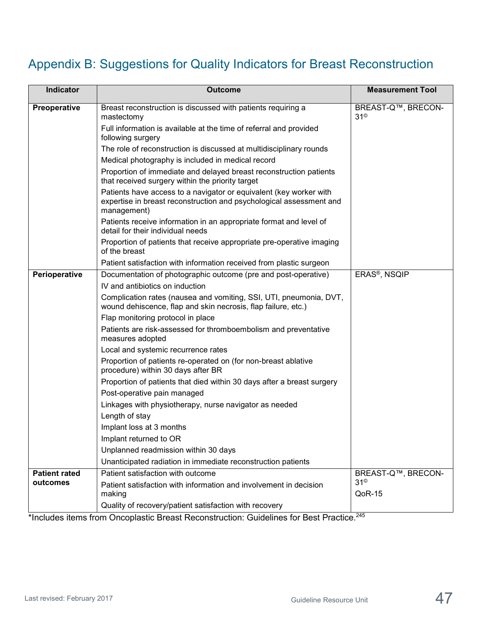# Appendix B: Suggestions for Quality Indicators for Breast Reconstruction

| <b>Indicator</b>     | <b>Outcome</b>                                                                                                                                           | <b>Measurement Tool</b>          |
|----------------------|----------------------------------------------------------------------------------------------------------------------------------------------------------|----------------------------------|
| Preoperative         | Breast reconstruction is discussed with patients requiring a<br>mastectomy                                                                               | BREAST-Q™, BRECON-<br>$31^\circ$ |
|                      | Full information is available at the time of referral and provided<br>following surgery                                                                  |                                  |
|                      | The role of reconstruction is discussed at multidisciplinary rounds                                                                                      |                                  |
|                      | Medical photography is included in medical record                                                                                                        |                                  |
|                      | Proportion of immediate and delayed breast reconstruction patients<br>that received surgery within the priority target                                   |                                  |
|                      | Patients have access to a navigator or equivalent (key worker with<br>expertise in breast reconstruction and psychological assessment and<br>management) |                                  |
|                      | Patients receive information in an appropriate format and level of<br>detail for their individual needs                                                  |                                  |
|                      | Proportion of patients that receive appropriate pre-operative imaging<br>of the breast                                                                   |                                  |
|                      | Patient satisfaction with information received from plastic surgeon                                                                                      |                                  |
| Perioperative        | Documentation of photographic outcome (pre and post-operative)                                                                                           | ERAS <sup>®</sup> , NSQIP        |
|                      | IV and antibiotics on induction                                                                                                                          |                                  |
|                      | Complication rates (nausea and vomiting, SSI, UTI, pneumonia, DVT,<br>wound dehiscence, flap and skin necrosis, flap failure, etc.)                      |                                  |
|                      | Flap monitoring protocol in place                                                                                                                        |                                  |
|                      | Patients are risk-assessed for thromboembolism and preventative<br>measures adopted                                                                      |                                  |
|                      | Local and systemic recurrence rates                                                                                                                      |                                  |
|                      | Proportion of patients re-operated on (for non-breast ablative<br>procedure) within 30 days after BR                                                     |                                  |
|                      | Proportion of patients that died within 30 days after a breast surgery                                                                                   |                                  |
|                      | Post-operative pain managed                                                                                                                              |                                  |
|                      | Linkages with physiotherapy, nurse navigator as needed                                                                                                   |                                  |
|                      | Length of stay                                                                                                                                           |                                  |
|                      | Implant loss at 3 months                                                                                                                                 |                                  |
|                      | Implant returned to OR                                                                                                                                   |                                  |
|                      | Unplanned readmission within 30 days                                                                                                                     |                                  |
|                      | Unanticipated radiation in immediate reconstruction patients                                                                                             |                                  |
| <b>Patient rated</b> | Patient satisfaction with outcome                                                                                                                        | BREAST-Q™, BRECON-<br>$31^\circ$ |
| outcomes             | Patient satisfaction with information and involvement in decision<br>making                                                                              | QoR-15                           |
|                      | Quality of recovery/patient satisfaction with recovery                                                                                                   |                                  |

\*Includes items from Oncoplastic Breast Reconstruction: Guidelines for Best Practice.<sup>245</sup>